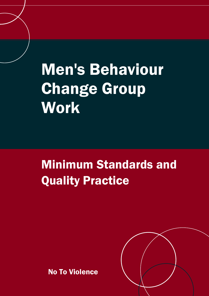# Men's Behaviour Change Group **Work**

## Minimum Standards and Quality Practice



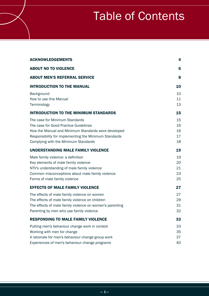## Table of Contents

| <b>ACKNOWLEDGEMENTS</b>                                                                                                                                                                                                         | 4                          |
|---------------------------------------------------------------------------------------------------------------------------------------------------------------------------------------------------------------------------------|----------------------------|
| <b>ABOUT NO TO VIOLENCE</b>                                                                                                                                                                                                     | 6                          |
| <b>ABOUT MEN'S REFERRAL SERVICE</b>                                                                                                                                                                                             | 8                          |
| <b>INTRODUCTION TO THE MANUAL</b>                                                                                                                                                                                               | 10                         |
| Background<br>How to use this Manual<br>Terminology                                                                                                                                                                             | 10<br>11<br>13             |
| <b>INTRODUCTION TO THE MINIMUM STANDARDS</b>                                                                                                                                                                                    | 15                         |
| The case for Minimum Standards<br>The case for Good Practice Guidelines<br>How the Manual and Minimum Standards were developed<br>Responsibility for implementing the Minimum Standards<br>Complying with the Minimum Standards | 15<br>16<br>16<br>17<br>18 |
| <b>UNDERSTANDING MALE FAMILY VIOLENCE</b>                                                                                                                                                                                       | 19                         |
| Male family violence: a definition<br>Key elements of male family violence<br>NTV's understanding of male family violence<br>Common misconceptions about male family violence<br>Forms of male family violence                  | 19<br>20<br>21<br>23<br>25 |
| <b>EFFECTS OF MALE FAMILY VIOLENCE</b>                                                                                                                                                                                          | 27                         |
| The effects of male family violence on women<br>The effects of male family violence on children<br>The effects of male family violence on women's parenting<br>Parenting by men who use family violence                         | 27<br>29<br>31<br>32       |
| <b>RESPONDING TO MALE FAMILY VIOLENCE</b>                                                                                                                                                                                       | 33                         |
| Putting men's behaviour change work in context<br>Working with men for change<br>A rationale for men's behaviour change group work<br>Experiences of men's behaviour change programs                                            | 33<br>35<br>37<br>40       |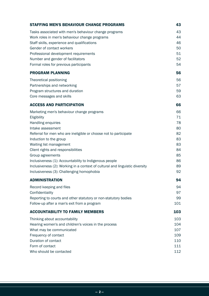| <b>STAFFING MEN'S BEHAVIOUR CHANGE PROGRAMS</b>                                                                                        | 43       |
|----------------------------------------------------------------------------------------------------------------------------------------|----------|
| Tasks associated with men's behaviour change programs                                                                                  |          |
| Work roles in men's behaviour change programs                                                                                          | 44       |
| Staff skills, experience and qualifications                                                                                            | 46       |
| Gender of contact workers                                                                                                              | 50       |
| Professional development requirements                                                                                                  | 51       |
| Number and gender of facilitators                                                                                                      | 52       |
| Formal roles for previous participants                                                                                                 | 54       |
| <b>PROGRAM PLANNING</b>                                                                                                                | 56       |
| Theoretical positioning                                                                                                                | 56       |
| Partnerships and networking                                                                                                            | 57       |
| Program structures and duration                                                                                                        | 59       |
| Core messages and skills                                                                                                               | 63       |
| <b>ACCESS AND PARTICIPATION</b>                                                                                                        | 66       |
| Marketing men's behaviour change programs                                                                                              | 66       |
| Eligibility                                                                                                                            | 71       |
| Handling enquiries                                                                                                                     | 78       |
| Intake assessment                                                                                                                      | 80       |
| Referral for men who are ineligible or choose not to participate                                                                       | 82       |
| Induction to the group                                                                                                                 | 83       |
| Waiting list management                                                                                                                | 83       |
| Client rights and responsibilities                                                                                                     | 84       |
| Group agreements                                                                                                                       | 85       |
| Inclusiveness (1): Accountability to Indigenous people<br>Inclusiveness (2): Working in a context of cultural and linguistic diversity | 86<br>89 |
| Inclusiveness (3): Challenging homophobia                                                                                              | 92       |
| <b>ADMINISTRATION</b>                                                                                                                  | 94       |
| Record keeping and files                                                                                                               | 94       |
| Confidentiality                                                                                                                        | 97       |
| Reporting to courts and other statutory or non-statutory bodies                                                                        | 99       |
| Follow-up after a man's exit from a program                                                                                            | 101      |
| <b>ACCOUNTABILITY TO FAMILY MEMBERS</b>                                                                                                | 103      |
| Thinking about accountability                                                                                                          | 103      |
| Hearing women's and children's voices in the process                                                                                   | 104      |
| What may be communicated                                                                                                               | 107      |
| Frequency of contact                                                                                                                   | 109      |
| Duration of contact                                                                                                                    | 110      |
| Form of contact                                                                                                                        | 111      |
| Who should be contacted                                                                                                                | 112      |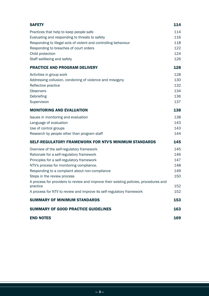| <b>SAFETY</b>                                                                                     | 114 |
|---------------------------------------------------------------------------------------------------|-----|
| Practices that help to keep people safe                                                           | 114 |
| Evaluating and responding to threats to safety                                                    | 116 |
| Responding to illegal acts of violent and controlling behaviour                                   | 118 |
| Responding to breaches of court orders                                                            | 122 |
| Child protection                                                                                  | 124 |
| Staff wellbeing and safety                                                                        | 126 |
| <b>PRACTICE AND PROGRAM DELIVERY</b>                                                              | 128 |
| Activities in group work                                                                          | 128 |
| Addressing collusion, condoning of violence and misogyny                                          | 130 |
| Reflective practice                                                                               | 132 |
| <b>Observers</b>                                                                                  | 134 |
| Debriefing                                                                                        | 136 |
| Supervision                                                                                       | 137 |
| <b>MONITORING AND EVALUATION</b>                                                                  | 138 |
| Issues in monitoring and evaluation                                                               | 138 |
| Language of evaluation                                                                            | 143 |
| Use of control groups                                                                             | 143 |
| Research by people other than program staff                                                       | 144 |
| <b>SELF-REGULATORY FRAMEWORK FOR NTV'S MINIMUM STANDARDS</b>                                      | 145 |
| Overview of the self-regulatory framework                                                         | 145 |
| Rationale for a self-regulatory framework                                                         | 146 |
| Principles for a self-regulatory framework                                                        | 147 |
| NTV's process for monitoring compliance.                                                          | 148 |
| Responding to a complaint about non-compliance                                                    | 149 |
| Steps in the review process                                                                       | 150 |
| A process for providers to review and improve their existing policies, procedures and<br>practice | 152 |
| A process for NTV to review and improve its self-regulatory framework                             | 152 |
| <b>SUMMARY OF MINIMUM STANDARDS</b>                                                               | 153 |
| <b>SUMMARY OF GOOD PRACTICE GUIDELINES</b>                                                        | 163 |
| <b>END NOTES</b>                                                                                  | 169 |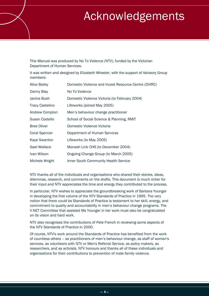## Acknowledgements

This Manual was produced by No To Violence (NTV), funded by the Victorian Department of Human Services.

It was written and designed by Elizabeth Wheeler, with the support of Advisory Group members:

| <b>Alice Bailey</b>    | Domestic Violence and Incest Resource Centre (DVIRC) |
|------------------------|------------------------------------------------------|
| Danny Blay             | No To Violence                                       |
| Janine Bush            | Domestic Violence Victoria (to February 2004)        |
| <b>Tracy Castelino</b> | Lifeworks (joined May 2005)                          |
| <b>Andrew Compton</b>  | Men's behaviour change practitioner                  |
| Susan Costello         | School of Social Science & Planning, RMIT            |
| <b>Bree Oliver</b>     | Domestic Violence Victoria                           |
| <b>Coral Spencer</b>   | Department of Human Services                         |
| Kaye Swanton           | Lifeworks (to May 2005)                              |
| <b>Gael Wallace</b>    | Monash Link CHS (to December 2004)                   |
| Ivan Wilson            | Ongoing Change Group (to March 2005)                 |
| Michele Wright         | <b>Inner South Community Health Service</b>          |

NTV thanks all of the individuals and organisations who shared their stories, ideas, dilemmas, research, and comments on the drafts. This document is much richer for their input and NTV appreciates the time and energy they contributed to the process.

In particular, NTV wishes to appreciate the groundbreaking work of Barbara Younger in developing the first volume of the NTV Standards of Practice in 1995. The very notion that there *could be* Standards of Practice is testament to her skill, energy, and commitment to quality and accountability in men's behaviour change programs. The V-NET Committee that assisted Ms Younger in her work must also be congratulated on its vision and hard work.

NTV also recognises the contributions of Pete French in reviewing some aspects of the NTV Standards of Practice in 2000.

Of course, NTV's work around the Standards of Practice has benefited from the work of countless others – as practitioners of men's behaviour change, as staff of women's services, as volunteers with NTV or Men's Referral Service, as policy makers, as researchers, and as activists. NTV honours and thanks all of these individuals and organisations for their contributions to prevention of male family violence.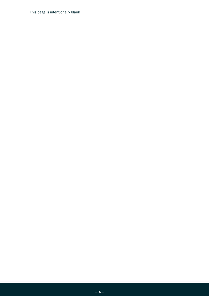This page is intentionally blank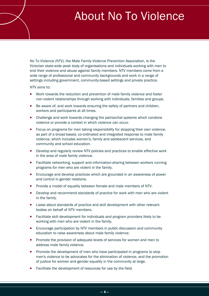### About No To Violence

No To Violence (NTV), the Male Family Violence Prevention Association, is the Victorian state-wide peak body of organisations and individuals working with men to end their violence and abuse against family members. NTV members come from a wide range of professional and community backgrounds and work in a range of settings including government, community-based settings and private practice.

NTV aims to:

- ° Work towards the reduction and prevention of male family violence and foster non-violent relationships through working with individuals, families and groups.
- ° Be aware of, and work towards ensuring the safety of partners and children, workers and participants at all times.
- ° Challenge and work towards changing the patriarchal systems which condone violence or provide a context in which violence can occur.
- ° Focus on programs for men taking responsibility for stopping their own violence, as part of a broad-based, co-ordinated and integrated response to male family violence, which includes women's, family and adolescent services, and community and school education.
- ° Develop and regularly review NTV policies and practices to enable effective work in the area of male family violence.
- ° Facilitate networking, support and information-sharing between workers running programs for men who are violent in the family.
- ° Encourage and develop practices which are grounded in an awareness of power and control in gender relations.
- ° Provide a model of equality between female and male members of NTV.
- ° Develop and recommend standards of practice for work with men who are violent in the family.
- Liaise about standards of practice and skill development with other relevant bodies on behalf of NTV members.
- ° Facilitate skill development for individuals and program providers likely to be working with men who are violent in the family.
- Encourage participation by NTV members in public discussion and community education to raise awareness about male family violence.
- **•** Promote the provision of adequate levels of services for women and men to address male family violence.
- ° Promote the development of men who have participated in programs to stop men's violence to be advocates for the elimination of violence, and the promotion of justice for women and gender equality in the community at large.
- Facilitate the development of resources for use by the field.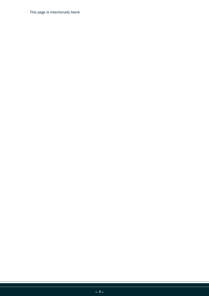This page is intentionally blank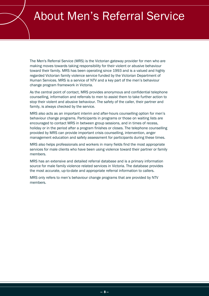### About Men's Referral Service

The Men's Referral Service (MRS) is the Victorian gateway provider for men who are making moves towards taking responsibility for their violent or abusive behaviour toward their family. MRS has been operating since 1993 and is a valued and highly regarded Victorian family violence service funded by the Victorian Department of Human Services. MRS is a service of NTV and a key part of the men's behaviour change program framework in Victoria.

As the central point of contact, MRS provides anonymous and confidential telephone counselling, information and referrals to men to assist them to take further action to stop their violent and abusive behaviour. The safety of the caller, their partner and family, is always checked by the service.

MRS also acts as an important interim and after-hours counselling option for men's behaviour change programs. Participants in programs or those on waiting lists are encouraged to contact MRS in between group sessions, and in times of recess, holiday or in the period after a program finishes or closes. The telephone counselling provided by MRS can provide important crisis counselling, intervention, anger management education and safety assessment for participants during these times.

MRS also helps professionals and workers in many fields find the most appropriate services for male clients who have been using violence toward their partner or family members.

MRS has an extensive and detailed referral database and is a primary information source for male family violence related services in Victoria. The database provides the most accurate, up-to-date and appropriate referral information to callers.

MRS only refers to men's behaviour change programs that are provided by NTV members.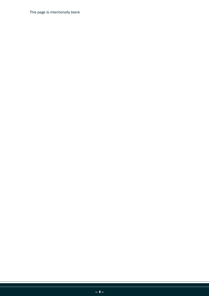This page is intentionally blank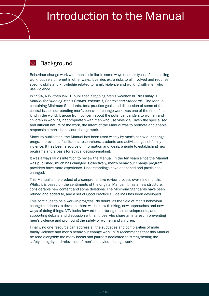**Background** ∞

Behaviour change work with men is similar in some ways to other types of counselling work, but very different in other ways. It carries extra risks to all involved and requires specific skills and knowledge related to family violence and working with men who use violence.

In 1994, NTV (then V-NET) published *'Stopping Men's Violence In The Family: A Manual for Running Men's Groups, Volume 1, Context and Standards'*. The Manual, containing Minimum Standards, best practice goals and discussion of some of the central issues surrounding men's behaviour change work, was one of the first of its kind in the world. It arose from concern about the potential dangers to women and children in working inappropriately with men who use violence. Given the specialised and difficult nature of the work, the intent of the Manual was to promote and enable responsible men's behaviour change work.

Since its publication, the Manual has been used widely by men's behaviour change program providers, facilitators, researchers, students and activists against family violence. It has been a source of information and ideas, a guide to establishing new programs and a basis for ethical decision-making.

It was always NTV's intention to review the Manual. In the ten years since the Manual was published, much has changed. Collectively, men's behaviour change program providers have more experience. Understandings have deepened and praxis has changed.

This Manual is the product of a comprehensive review process over nine months. Whilst it is based on the sentiments of the original Manual, it has a new structure, considerable new content and some deletions. The Minimum Standards have been refined and added to, and a set of Good Practice Guidelines has been developed.

This continues to be a work-in-progress. No doubt, as the field of men's behaviour change continues to develop, there will be new thinking, new approaches and new ways of doing things. NTV looks forward to nurturing these developments, and supporting debate and discussion with all those who share an interest in preventing men's violence and promoting the safety of women and children.

Finally, no one resource can address all the subtleties and complexities of male family violence and men's behaviour change work. NTV recommends that this Manual be read alongside the many books and journals dedicated to strengthening the safety, integrity and relevance of men's behaviour change work.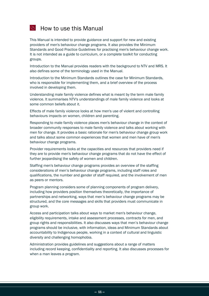#### $\circledcirc$ How to use this Manual

This Manual is intended to provide guidance and support for new and existing providers of men's behaviour change programs. It also provides the Minimum Standards and Good Practice Guidelines for practising men's behaviour change work. It is not intended as a guide to curriculum, or a complete toolkit for conducting groups.

Introduction to the Manual provides readers with the background to NTV and MRS. It also defines some of the terminology used in the Manual.

Introduction to the Minimum Standards outlines the case for Minimum Standards, who is responsible for implementing them, and a brief overview of the process involved in developing them.

Understanding male family violence defines what is meant by the term male family violence. It summarises NTV's understandings of male family violence and looks at some common beliefs about it.

Effects of male family violence looks at how men's use of violent and controlling behaviours impacts on women, children and parenting.

Responding to male family violence places men's behaviour change in the context of broader community responses to male family violence and talks about working with men for change. It provides a basic rationale for men's behaviour change group work and talks about some common experiences that women and men have of men's behaviour change programs.

Provider requirements looks at the capacities and resources that providers need if they are to provide men's behaviour change programs that do not have the effect of further jeopardising the safety of women and children.

Staffing men's behaviour change programs provides an overview of the staffing considerations of men's behaviour change programs, including staff roles and qualifications, the number and gender of staff required, and the involvement of men as peers or mentors.

Program planning considers some of planning components of program delivery, including how providers position themselves theoretically, the importance of partnerships and networking, ways that men's behaviour change programs may be structured, and the core messages and skills that providers must communicate in group work.

Access and participation talks about ways to market men's behaviour change, eligibility requirements, intake and assessment processes, contracts for men, and group rights and responsibilities. It also discusses ways that men's behaviour change programs should be inclusive, with information, ideas and Minimum Standards about accountability to Indigenous people, working in a context of cultural and linguistic diversity and challenging homophobia.

Administration provides guidelines and suggestions about a range of matters including record keeping, confidentiality and reporting. It also discusses processes for when a man leaves a program.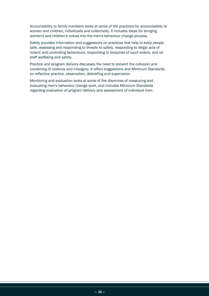Accountability to family members looks at some of the practices for accountability to women and children, individually and collectively. It includes ideas for bringing women's and children's voices into the men's behaviour change process.

Safety provides information and suggestions on practices that help to keep people safe, assessing and responding to threats to safety, responding to illegal acts of violent and controlling behaviours, responding to breaches of court orders, and on staff wellbeing and safety.

Practice and program delivery discusses the need to prevent the collusion and condoning of violence and misogyny. It offers suggestions and Minimum Standards on reflective practice, observation, debriefing and supervision.

Monitoring and evaluation looks at some of the dilemmas of measuring and evaluating men's behaviour change work, and includes Minimum Standards regarding evaluation of program delivery and assessment of individual men.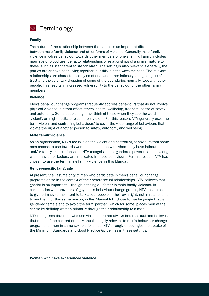### <sup>©</sup> Terminology

#### Family

The nature of the relationship between the parties is an important difference between male family violence and other forms of violence. Generally male family violence involves behaviour towards other members of one's family. Family includes marriage or blood ties, de facto relationships or relationships of a similar nature to these, such as stepparent to stepchildren. The setting is also relevant. Generally, the parties are or have been living together, but this is not always the case. The relevant relationships are characterised by emotional and other intimacy, a high degree of trust and the voluntary dropping of some of the boundaries normally kept with other people. This results in increased vulnerability to the behaviour of the other family members.

#### Violence

Men's behaviour change programs frequently address behaviours that do not involve physical violence, but that affect others' health, wellbeing, freedom, sense of safety and autonomy. Some people might not think of these when they see the word 'violent', or might hesitate to call them violent. For this reason, NTV generally uses the term 'violent and controlling behaviours' to cover the wide range of behaviours that violate the right of another person to safety, autonomy and wellbeing.

#### Male family violence

As an organisation, NTV's focus is on the violent and controlling behaviours that some men choose to use towards women and children with whom they have intimate and/or family-like relationships. NTV recognises that gendered power relations, along with many other factors, are implicated in these behaviours. For this reason, NTV has chosen to use the term 'male family violence' in this Manual.

#### Gender-specific language

At present, the vast majority of men who participate in men's behaviour change programs do so in the context of their heterosexual relationships. NTV believes that gender is an important – though not single – factor in male family violence. In consultation with providers of gay men's behaviour change groups, NTV has decided to give primacy to the intent to talk about people in their own right, not in relationship to another. For this same reason, in this Manual NTV chose to use language that is gendered female and to avoid the term 'partner', which for some, places men at the centre by defining women primarily through their relationship to a man.

NTV recognises that men who use violence are not always heterosexual and believes that much of the content of the Manual is highly relevant to men's behaviour change programs for men in same-sex relationships. NTV strongly encourages the uptake of the Minimum Standards and Good Practice Guidelines in these settings.

Women who have experienced violence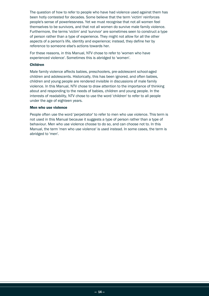The question of how to refer to people who have had violence used against them has been hotly contested for decades. Some believe that the term 'victim' reinforces people's sense of powerlessness. Yet we must recognise that not all women feel themselves to be survivors, and that not all women do survive male family violence. Furthermore, the terms 'victim' and 'survivor' are sometimes seen to construct a type of person rather than a type of experience. They might not allow for all the other aspects of a person's life, identity and experience; instead, they define her by reference to someone else's actions towards her.

For these reasons, in this Manual, NTV chose to refer to 'women who have experienced violence'. Sometimes this is abridged to 'women'.

#### Children

Male family violence affects babies, preschoolers, pre-adolescent school-aged children and adolescents. Historically, this has been ignored, and often babies, children and young people are rendered invisible in discussions of male family violence. In this Manual, NTV chose to draw attention to the importance of thinking about and responding to the needs of babies, children and young people. In the interests of readability, NTV chose to use the word 'children' to refer to all people under the age of eighteen years.

#### Men who use violence

People often use the word 'perpetrator' to refer to men who use violence. This term is not used in this Manual because it suggests a type of person rather than a type of behaviour. Men who use violence choose to do so, and can choose not to. In this Manual, the term 'men who use violence' is used instead. In some cases, the term is abridged to 'men'.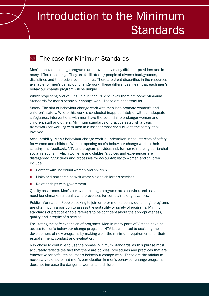## Introduction to the Minimum **Standards**

#### À The case for Minimum Standards

Men's behaviour change programs are provided by many different providers and in many different settings. They are facilitated by people of diverse backgrounds, disciplines and theoretical posititionings. There are great disparities in the resources available for men's behaviour change work. These differences mean that each men's behaviour change program will be unique.

Whilst respecting and valuing uniqueness, NTV believes there are some Minimum Standards for men's behaviour change work. These are necessary for:

Safety. The aim of behaviour change work with men is to promote women's and children's safety. Where this work is conducted inappropriately or without adequate safeguards, interventions with men have the potential to endanger women and children, staff and others. Minimum standards of practice establish a basic framework for working with men in a manner most conducive to the safety of all involved.

Accountability. Men's behaviour change work is undertaken in the interests of safety for women and children. Without opening men's behaviour change work to their scrutiny and feedback, NTV and program providers risk further reinforcing patriarchal social relations in which women's and children's voices and experiences are disregarded. Structures and processes for accountability to women and children include:

- Contact with individual women and children.
- Links and partnerships with women's and children's services.
- Relationships with government.

Quality assurance. Men's behaviour change programs are a service, and as such need benchmarks for quality and processes for complaints or grievances.

Public information. People seeking to join or refer men to behaviour change programs are often not in a position to assess the suitability or safety of programs. Minimum standards of practice enable referrers to be confident about the appropriateness, quality and integrity of a service.

Facilitating the safe expansion of programs. Men in many parts of Victoria have no access to men's behaviour change programs. NTV is committed to assisting the development of new programs by making clear the minimum requirements for their establishment, conduct and evaluation.

NTV chose to continue to use the phrase 'Minimum Standards' as this phrase most accurately reflects the fact that there are policies, procedures and practices that are *imperative* for safe, ethical men's behaviour change work. These are the minimum necessary to ensure that men's participation in men's behaviour change programs does not increase the danger to women and children.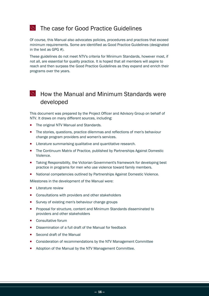#### $\circledcirc$ The case for Good Practice Guidelines

Of course, this Manual also advocates policies, procedures and practices that exceed minimum requirements. Some are identified as Good Practice Guidelines (designated in the text as GPG #).

These guidelines do not meet NTV's criteria for Minimum Standards, however most, if not all, are essential for quality practice. It is hoped that all members will aspire to reach and then surpass the Good Practice Guidelines as they expand and enrich their programs over the years.

#### ⊚ How the Manual and Minimum Standards were developed

This document was prepared by the Project Officer and Advisory Group on behalf of NTV. It draws on many different sources, including:

- The original NTV Manual and Standards.
- **The stories, questions, practice dilemmas and reflections of men's behaviour** change program providers and women's services.
- **EXECTE:** Literature summarising qualitative and quantitative research.
- ° The Continuum Matrix of Practice, published by Partnerships Against Domestic Violence.
- ° Taking Responsibility, the Victorian Government's framework for developing best practice in programs for men who use violence toward family members.
- ° National competencies outlined by Partnerships Against Domestic Violence.

Milestones in the development of the Manual were:

- **E** Literature review
- Consultations with providers and other stakeholders
- **Survey of existing men's behaviour change groups**
- ° Proposal for structure, content and Minimum Standards disseminated to providers and other stakeholders
- Consultative forum
- ° Dissemination of a full draft of the Manual for feedback
- Second draft of the Manual
- Consideration of recommendations by the NTV Management Committee
- Adoption of the Manual by the NTV Management Committee.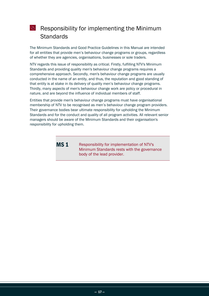#### $^{\circ}$ Responsibility for implementing the Minimum **Standards**

The Minimum Standards and Good Practice Guidelines in this Manual are intended for all entities that provide men's behaviour change programs or groups, regardless of whether they are agencies, organisations, businesses or sole traders.

NTV regards this issue of responsibility as critical. Firstly, fulfilling NTV's Minimum Standards and providing quality men's behaviour change programs requires a comprehensive approach. Secondly, men's behaviour change programs are usually conducted in the name of an entity, and thus, the reputation and good standing of that entity is at stake in its delivery of quality men's behaviour change programs. Thirdly, many aspects of men's behaviour change work are policy or procedural in nature, and are beyond the influence of individual members of staff.

Entities that provide men's behaviour change programs must have organisational membership of NTV to be recognised as men's behaviour change program providers. Their governance bodies bear ultimate responsibility for upholding the Minimum Standards and for the conduct and quality of all program activities. All relevant senior managers should be aware of the Minimum Standards and their organisation's responsibility for upholding them.

MS 1 Responsibility for implementation of NTV's Minimum Standards rests with the governance body of the lead provider.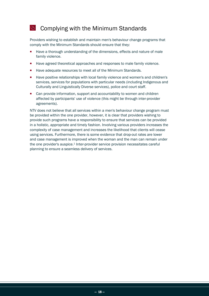#### ◈ Complying with the Minimum Standards

Providers wishing to establish and maintain men's behaviour change programs that comply with the Minimum Standards should ensure that they:

- Have a thorough understanding of the dimensions, effects and nature of male family violence.
- Have agreed theoretical approaches and responses to male family violence.
- Have adequate resources to meet all of the Minimum Standards.
- ° Have positive relationships with local family violence and women's and children's services, services for populations with particular needs (including Indigenous and Culturally and Linguistically Diverse services), police and court staff.
- Can provide information, support and accountability to women and children affected by participants' use of violence (this might be through inter-provider agreements).

NTV does not believe that all services within a men's behaviour change program must be provided within the one provider, however, it is clear that providers wishing to provide such programs have a responsibility to ensure that services can be provided in a holistic, appropriate and timely fashion. Involving various providers increases the complexity of case management and increases the likelihood that clients will cease using services. Furthermore, there is some evidence that drop-out rates are lower and case management is improved when the woman and the man can remain under the one provider's auspice.<sup>1</sup> Inter-provider service provision necessitates careful planning to ensure a seamless delivery of services.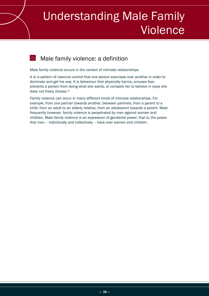### Male family violence: a definition

Ø

Male family violence occurs in the context of intimate relationships.

It is 'a pattern of coercive control that one person exercises over another in order to dominate and get his way. It is behaviour that physically harms, arouses fear, prevents a person from doing what she wants, or compels her to behave in ways she does not freely choose.'<sup>2</sup>

Family violence can occur in many different kinds of intimate relationships. For example, from one partner towards another, between partners, from a parent to a child, from an adult to an elderly relative, from an adolescent towards a parent. Most frequently however, family violence is perpetrated by men against women and children. Male family violence is an expression of gendered power; that is, the power that men – individually and collectively – have over women and children.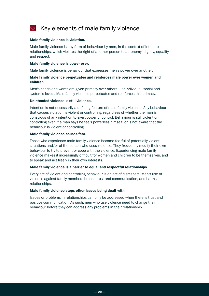#### $\circledcirc$ Key elements of male family violence

#### Male family violence is violation.

Male family violence is any form of behaviour by men, in the context of intimate relationships, which violates the right of another person to autonomy, dignity, equality and respect.

#### Male family violence is power over.

Male family violence is behaviour that expresses men's power over another.

#### Male family violence perpetuates and reinforces male power over women and children.

Men's needs and wants are given primacy over others – at individual, social and systemic levels. Male family violence perpetuates and reinforces this primacy.

#### Unintended violence is still violence.

Intention is not necessarily a defining feature of male family violence. Any behaviour that causes violation is violent or controlling, regardless of whether the man is conscious of any intention to exert power or control. Behaviour is still violent or controlling even if a man says he feels powerless himself, or is not aware that the behaviour is violent or controlling.

#### Male family violence causes fear.

Those who experience male family violence become fearful of potentially violent situations and/or of the person who uses violence. They frequently modify their own behaviour to try to prevent or cope with the violence. Experiencing male family violence makes it increasingly difficult for women and children to be themselves, and to speak and act freely in their own interests.

#### Male family violence is a barrier to equal and respectful relationships.

Every act of violent and controlling behaviour is an act of disrespect. Men's use of violence against family members breaks trust and communication, and harms relationships.

#### Male family violence stops other issues being dealt with.

Issues or problems in relationships can only be addressed when there is trust and positive communication. As such, men who use violence need to change their behaviour before they can address any problems in their relationship.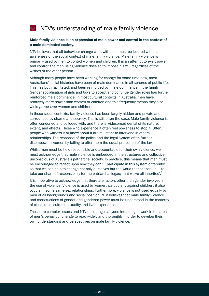### NTV's understanding of male family violence

#### Male family violence is an expression of male power and control in the context of a male dominated society.

NTV believes that all behaviour change work with men must be located within an awareness of the social context of male family violence. Male family violence is primarily used by men to control women and children. It is an attempt to exert power and control: the man using violence does so to impose his will regardless of the wishes of the other person.

Although many people have been working for change for some time now, most Australians' social histories have been of male dominance in all spheres of public life. This has both facilitated, and been reinforced by, male dominance in the family. Gender socialisation of girls and boys to accept and continue gender roles has further reinforced male dominance. In most cultural contexts in Australia, men have relatively *more power* than women or children and this frequently means they also wield *power over* women and children.

In these social contexts, family violence has been largely hidden and private and surrounded by shame and secrecy. This is still often the case. Male family violence is often condoned and colluded with, and there is widespread denial of its nature, extent, and effects. Those who experience it often feel powerless to stop it. Often, people who witness it or know about it are reluctant to intervene in others' relationships. The response of the police and the legal system often further disempowers women by failing to offer them the equal protection of the law.

Whilst men must be held responsible and accountable for their own violence, we must acknowledge that male violence is embedded in the structures and collective unconscious of Australia's patriarchal society. In practice, this means that men must be encouraged to reflect upon how they can '… participate in this system differently so that we can help to change not only ourselves but the world that shapes us … to take our share of responsibility for the patriarchal legacy that we've all inherited'.<sup>3</sup>

It is imperative to acknowledge that there are factors other than gender involved in the use of violence. Violence is used by women, particularly against children; it also occurs in some same-sex relationships. Furthermore, violence is not used equally by men of all backgrounds and social position. NTV believes that male family violence and constructions of gender and gendered power must be understood in the contexts of class, race, culture, sexuality and lived experience.

These are complex issues and NTV encourages anyone intending to work in the area of men's behaviour change to read widely and thoroughly in order to develop their own understanding and perspectives on male family violence.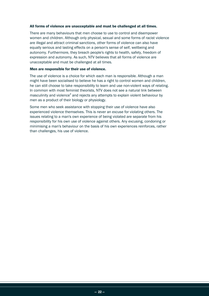#### All forms of violence are unacceptable and must be challenged at all times.

There are many behaviours that men choose to use to control and disempower women and children. Although only physical, sexual and some forms of racist violence are illegal and attract criminal sanctions, other forms of violence can also have equally serious and lasting effects on a person's sense of self, wellbeing and autonomy. Furthermore, they breach people's rights to health, safety, freedom of expression and autonomy. As such, NTV believes that all forms of violence are unacceptable and must be challenged at all times.

#### Men are responsible for their use of violence.

The use of violence is a choice for which each man is responsible. Although a man might have been socialised to believe he has a right to control women and children, he can still choose to take responsibility to learn and use non-violent ways of relating. In common with most feminist theorists, NTV does not see a natural link between masculinity and violence<sup>4</sup> and rejects any attempts to explain violent behaviour by men as a product of their biology or physiology.

Some men who seek assistance with stopping their use of violence have also experienced violence themselves. This is never an excuse for violating others. The issues relating to a man's own experience of being violated are separate from his responsibility for his own use of violence against others. Any excusing, condoning or minimising a man's behaviour on the basis of his own experiences reinforces, rather than challenges, his use of violence.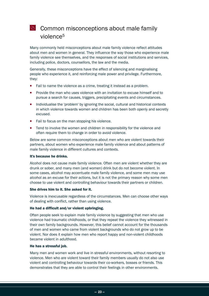Common misconceptions about male family violence<sup>5</sup>

Many commonly held misconceptions about male family violence reflect attitudes about men and women in general. They influence the way those who experience male family violence see themselves, and the responses of social institutions and services, including police, doctors, counsellors, the law and the media.

Generally, these misconceptions have the effect of silencing and marginalising people who experience it, and reinforcing male power and privilege. Furthermore, they:

- Fail to name the violence as a crime, treating it instead as a problem.
- ° Provide the man who uses violence with an invitation to excuse himself and to pursue a search for causes, triggers, precipitating events and circumstances.
- Individualise the 'problem' by ignoring the social, cultural and historical contexts in which violence towards women and children has been both openly and secretly excused.
- Fail to focus on the man stopping his violence.
- Tend to involve the women and children in responsibility for the violence and often require them to change in order to avoid violence.

Below are some common misconceptions about men who are violent towards their partners, about women who experience male family violence and about patterns of male family violence in different cultures and contexts.

#### It's because he drinks.

Alcohol does not cause male family violence. Often men are violent whether they are drunk or sober, and many men (and women) drink but do not become violent. In some cases, alcohol may accentuate male family violence, and some men may use alcohol as an excuse for their actions, but it is not the primary reason why some men choose to use violent and controlling behaviour towards their partners or children.

#### She drives him to it. She asked for it.

Violence is inexcusable regardless of the circumstances. Men can choose other ways of dealing with conflict, rather than using violence.

#### He had a difficult and/or violent upbringing.

Often people seek to explain male family violence by suggesting that men who use violence had traumatic childhoods, or that they repeat the violence they witnessed in their own family backgrounds. However, this belief cannot account for the thousands of men and women who came from violent backgrounds who do not grow up to be violent. Nor does it explain how men who report happy and non-violent childhoods became violent in adulthood.

#### He has a stressful job.

Many men and women work and live in stressful environments, without resorting to violence. Men who are violent toward their family members usually do not also use violent and controlling behaviour towards their co-workers, bosses or friends. This demonstrates that they are able to control their feelings in other environments.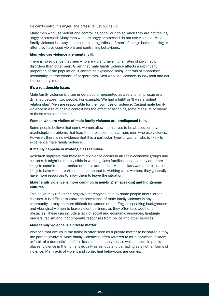He can't control his anger. The pressure just builds up.

Many men who use violent and controlling behaviour do so when they are not feeling angry or stressed. Many men who are angry or stressed do not use violence. Male family violence is always unacceptable, regardless of men's feelings before, during or after they have used violent and controlling behaviours.

#### Men who use violence are mentally ill.

There is no evidence that men who are violent have higher rates of psychiatric disorders than other men. Given that male family violence affects a significant proportion of the population, it cannot be explained solely in terms of 'abnormal' personality characteristics of perpetrators. Men who use violence usually look and act like 'ordinary' men.

#### It's a relationship issue.

Male family violence is often understood or presented as a relationship issue or a dynamic between two people. For example, 'We had a fight' or 'It was a violent relationship'. Men are responsible for their own use of violence. Casting male family violence in a relationship context has the effect of ascribing some measure of blame to those who experience it.

#### Women who are victims of male family violence are predisposed to it.

Some people believe that some women allow themselves to be abused, or have psychological problems that lead them to choose as partners men who use violence. However, there is no evidence that it is a particular 'type' of woman who is likely to experience male family violence.

#### It mainly happens in working class families.

Research suggests that male family violence occurs in all socio-economic groups and cultures. It might be more visible in working class families, because they are more likely to come to the attention of public authorities. Middle class women are just as likely to have violent partners, but compared to working class women, they generally have more resources to allow them to leave the situation.

#### Male family violence is more common in non-English speaking and Indigenous cultures.

This belief may reflect the negative stereotypes held by some people about 'other' cultures. It is difficult to know the prevalence of male family violence in any community. It may be more difficult for women of non-English speaking backgrounds and Aboriginal women to leave violent partners, as they often face additional obstacles. These can include a lack of social and economic resources, language barriers, racism and inappropriate responses from police and other services.

#### Male family violence is a private matter.

Violence that occurs in the home is often seen as a private matter to be sorted out by the parties involved. Male family violence is often referred to as 'a domestic incident' or 'a bit of a domestic', as if it is less serious than violence which occurs in public places. Violence in the home is equally as serious and damaging as all other forms of violence. Many acts of violent and controlling behaviours are crimes.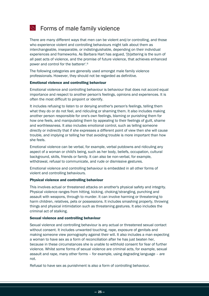### **The Forms of male family violence**

There are many different ways that men can be violent and/or controlling, and those who experience violent and controlling behaviours might talk about them as interchangeable, inseparable, or indistinguishable, depending on their individual experiences and frameworks. As Barbara Hart has argued, '[b]attering is the sum of all past acts of violence, and the promise of future violence, that achieves enhanced power and control for the batterer'.<sup>'6</sup>

The following categories are generally used amongst male family violence professionals. However, they should not be regarded as definitive.

#### Emotional violence and controlling behaviour

Emotional violence and controlling behaviour is behaviour that does not accord equal importance and respect to another person's feelings, opinions and experiences. It is often the most difficult to pinpoint or identify.

It includes refusing to listen to or denying another's person's feelings, telling them what they do or do not feel, and ridiculing or shaming them. It also includes making another person responsible for one's own feelings, blaming or punishing them for how one feels, and manipulating them by appealing to their feelings of guilt, shame and worthlessness. It also includes emotional control, such as telling someone directly or indirectly that if she expresses a different point of view then she will cause trouble, and implying or telling her that avoiding trouble is more important than how she feels.

Emotional violence can be verbal, for example, verbal putdowns and ridiculing any aspect of a woman or child's being, such as her body, beliefs, occupation, cultural background, skills, friends or family. It can also be non-verbal, for example, withdrawal, refusal to communicate, and rude or dismissive gestures.

Emotional violence and controlling behaviour is embedded in all other forms of violent and controlling behaviours.

#### Physical violence and controlling behaviour

This involves actual or threatened attacks on another's physical safety and integrity. Physical violence ranges from hitting, kicking, choking/strangling, punching and assault with weapons, through to murder. It can involve harming or threatening to harm children, relatives, pets or possessions. It includes smashing property, throwing things and physical intimidation such as threatening gestures. It also includes the criminal act of stalking.

#### Sexual violence and controlling behaviour

Sexual violence and controlling behaviour is any actual or threatened sexual contact without consent. It includes unwanted touching, rape, exposure of genitals and making someone view pornography against their will. It also includes a man expecting a woman to have sex as a form of reconciliation after he has just beaten her, because in these circumstances she is unable to withhold consent for fear of further violence. Whilst some forms of sexual violence are criminal acts, for example, sexual assault and rape, many other forms – for example, using degrading language – are not.

Refusal to have sex as punishment is also a form of controlling behaviour.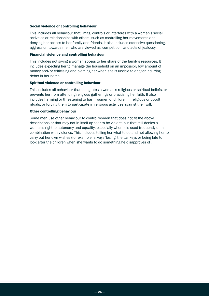#### Social violence or controlling behaviour

This includes all behaviour that limits, controls or interferes with a woman's social activities or relationships with others, such as controlling her movements and denying her access to her family and friends. It also includes excessive questioning, aggression towards men who are viewed as 'competition' and acts of jealousy.

#### Financial violence and controlling behaviour

This includes not giving a woman access to her share of the family's resources. It includes expecting her to manage the household on an impossibly low amount of money and/or criticising and blaming her when she is unable to and/or incurring debts in her name.

#### Spiritual violence or controlling behaviour

This includes all behaviour that denigrates a woman's religious or spiritual beliefs, or prevents her from attending religious gatherings or practising her faith. It also includes harming or threatening to harm women or children in religious or occult rituals, or forcing them to participate in religious activities against their will.

#### Other controlling behaviour

Some men use other behaviour to control women that does not fit the above descriptions or that may not in itself appear to be violent, but that still denies a woman's right to autonomy and equality, especially when it is used frequently or in combination with violence. This includes telling her what to do and not allowing her to carry out her own wishes (for example, always 'losing' the car keys or being late to look after the children when she wants to do something he disapproves of).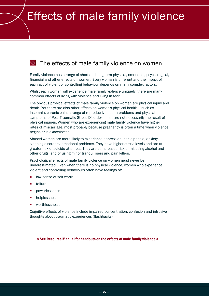## Effects of male family violence

#### The effects of male family violence on women

Family violence has a range of short and long-term physical, emotional, psychological, financial and other effects on women. Every woman is different and the impact of each act of violent or controlling behaviour depends on many complex factors.

Whilst each woman will experience male family violence uniquely, there are many common effects of living with violence and living in fear.

The obvious physical effects of male family violence on women are physical injury and death. Yet there are also other effects on women's physical health – such as insomnia, chronic pain, a range of reproductive health problems and physical symptoms of Post Traumatic Stress Disorder – that are not necessarily the result of physical injuries. Women who are experiencing male family violence have higher rates of miscarriage, most probably because pregnancy is often a time when violence begins or is exacerbated.

Abused women are more likely to experience depression, panic phobia, anxiety, sleeping disorders, emotional problems. They have higher stress levels and are at greater risk of suicide attempts. They are at increased risk of misusing alcohol and other drugs, and of using minor tranquillisers and pain killers.

Psychological effects of male family violence on women must never be underestimated. Even when there is no physical violence, women who experience violent and controlling behaviours often have feelings of:

- low sense of self-worth
- ° failure
- ° powerlessness
- helplessness
- worthlessness.

Cognitive effects of violence include impaired concentration, confusion and intrusive thoughts about traumatic experiences (flashbacks).

< See Resource Manual for handouts on the effects of male family violence >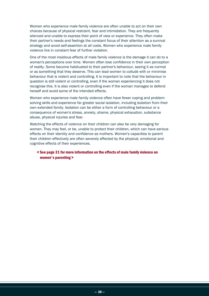Women who experience male family violence are often unable to act on their own choices because of physical restraint, fear and intimidation. They are frequently silenced and unable to express their point of view or experience. They often make their partner's needs and feelings the constant focus of their attention as a survival strategy and avoid self-assertion at all costs. Women who experience male family violence live in constant fear of further violation.

One of the most insidious effects of male family violence is the damage it can do to a woman's perceptions over time. Women often lose confidence in their own perception of reality. Some become habituated to their partner's behaviour, seeing it as normal or as something that they deserve. This can lead women to collude with or minimise behaviour that is violent and controlling. It is important to note that the behaviour in question is still violent or controlling, even if the woman experiencing it does not recognise this. It is also violent or controlling even if the woman manages to defend herself and avoid some of the intended effects.

Women who experience male family violence often have fewer coping and problemsolving skills and experience far greater social isolation, including isolation from their own extended family. Isolation can be either a form of controlling behaviour or a consequence of women's stress, anxiety, shame, physical exhaustion, substance abuse, physical injuries and fear.

Watching the effects of violence on their children can also be very damaging for women. They may feel, or be, unable to protect their children, which can have serious effects on their identity and confidence as mothers. Women's capacities to parent their children effectively are often severely affected by the physical, emotional and cognitive effects of their experiences.

#### < See page 31 for more information on the effects of male family violence on women's parenting >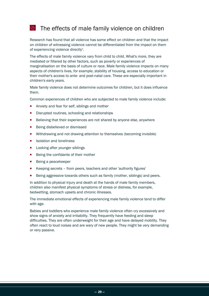#### ⊙ The effects of male family violence on children

Research has found that all violence has some effect on children and that the impact on children of witnessing violence cannot be differentiated from the impact on them of experiencing violence directly7.

The effects of male family violence vary from child to child. What's more, they are mediated or filtered by other factors, such as poverty or experiences of marginalisation on the basis of culture or race. Male family violence impacts on many aspects of children's lives, for example, stability of housing, access to education or their mother's access to ante- and post-natal care. These are especially important in children's early years.

Male family violence does not determine outcomes for children, but it does influence them.

Common experiences of children who are subjected to male family violence include:

- Anxiety and fear for self, siblings and mother
- **•** Disrupted routines, schooling and relationships
- **•** Believing that their experiences are not shared by anyone else, anywhere
- **•** Being disbelieved or dismissed
- ° Withdrawing and not drawing attention to themselves (becoming invisible)
- **E** Isolation and loneliness
- Looking after younger siblings
- Being the confidante of their mother
- Being a peacekeeper
- ° Keeping secrets from peers, teachers and other 'authority figures'
- Being aggressive towards others such as family (mother, siblings) and peers.

In addition to physical injury and death at the hands of male family members, children also manifest physical symptoms of stress or distress, for example, bedwetting, stomach upsets and chronic illnesses.

The immediate emotional effects of experiencing male family violence tend to differ with age.

Babies and toddlers who experience male family violence often cry excessively and show signs of anxiety and irritability. They frequently have feeding and sleep difficulties. They are often underweight for their age and have delayed mobility. They often react to loud noises and are wary of new people. They might be very demanding or very passive.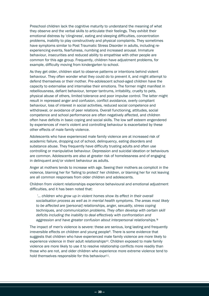Preschool children lack the cognitive maturity to understand the meaning of what they observe and the verbal skills to articulate their feelings. They exhibit their emotional distress by 'clinginess', eating and sleeping difficulties, concentration problems, inability to play constructively and physical complaints. They sometimes have symptoms similar to Post Traumatic Stress Disorder in adults, including reexperiencing events, fearfulness, numbing and increased arousal. Immature behaviour, insecurities and reduced ability to empathise with other people are common for this age group. Frequently, children have adjustment problems, for example, difficulty moving from kindergarten to school.

As they get older, children start to observe patterns or intentions behind violent behaviour. They often wonder what they could do to prevent it, and might attempt to defend themselves or their mother. Pre-adolescent school-aged children have the capacity to externalise and internalise their emotions. The former might manifest in rebelliousness, defiant behaviour, temper tantrums, irritability, cruelty to pets, physical abuse of others, limited tolerance and poor impulse control. The latter might result in repressed anger and confusion, conflict avoidance, overly compliant behaviour, loss of interest in social activities, reduced social competence and withdrawal, or avoidance of peer relations. Overall functioning, attitudes, social competence and school performance are often negatively affected, and children often have deficits in basic coping and social skills. The low self esteem engendered by experiences of men's violent and controlling behaviour is exacerbated by these other effects of male family violence.

Adolescents who have experienced male family violence are at increased risk of academic failure, dropping out of school, delinquency, eating disorders and substance abuse. They frequently have difficulty trusting adults and often use controlling or manipulative behaviour. Depression and suicidal ideation or behaviours are common. Adolescents are also at greater risk of homelessness and of engaging in delinquent and/or violent behaviour as adults.

Anger at mothers tends to increase with age. Seeing their mothers as complicit in the violence, blaming her for 'failing to protect' her children, or blaming her for not leaving are all common responses from older children and adolescents.

Children from violent relationships experience behavioural and emotional adjustment difficulties, and it has been noted that:

 *'… children who grow up in violent homes show its effect in their overall socialisation process as well as in mental health symptoms. The areas most likely to be affected are [personal] relationships, anger, sexuality, stress coping techniques, and communication problems. They often develop with certain skill deficits including the inability to deal effectively with confrontation and aggression and have greater confusion about interpersonal relationships.'<sup>8</sup>*

The impact of men's violence is severe: these are serious, long lasting and frequently irreversible effects on children and young people9. There is some evidence that suggests that children who have experienced male family violence are more likely to experience violence in their adult relationships<sup>10</sup>. Children exposed to male family violence are more likely to use it to resolve relationship conflicts more readily than those who are not, and older children who experience more extreme violence tend to hold themselves responsible for this behaviour $11$ .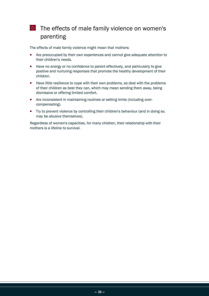#### $\circledcirc$ The effects of male family violence on women's parenting

The effects of male family violence might mean that mothers:

- ° Are preoccupied by their own experiences and cannot give adequate attention to their children's needs.
- ° Have no energy or no confidence to parent effectively, and particularly to give positive and nurturing responses that promote the healthy development of their children.
- **•** Have little resilience to cope with their own problems, so deal with the problems of their children as best they can, which may mean sending them away, being dismissive or offering limited comfort.
- ° Are inconsistent in maintaining routines or setting limits (including overcompensating).
- ° Try to prevent violence by controlling their children's behaviour (and in doing so, may be abusive themselves).

Regardless of women's capacities, for many children, their relationship with their mothers is a lifeline to survival.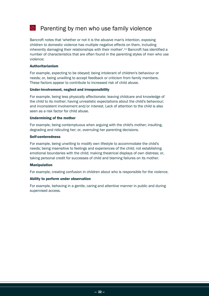#### $\circledcirc$ Parenting by men who use family violence

Bancroft notes that 'whether or not it is the abusive man's intention, exposing children to domestic violence has multiple negative effects on them, including inherently damaging their relationships with their mother'.<sup>12</sup> Bancroft has identified a number of characteristics that are often found in the parenting styles of men who use violence:

#### Authoritarianism

For example, expecting to be obeyed; being intolerant of children's behaviour or needs; or, being unwilling to accept feedback or criticism from family members. These factors appear to contribute to increased risk of child abuse.

#### Under-involvement, neglect and irresponsibility

For example, being less physically affectionate; leaving childcare and knowledge of the child to its mother; having unrealistic expectations about the child's behaviour; and inconsistent involvement and/or interest. Lack of attention to the child is also seen as a risk factor for child abuse.

#### Undermining of the mother

For example, being contemptuous when arguing with the child's mother; insulting, degrading and ridiculing her; or, overruling her parenting decisions.

#### Self-centeredness

For example, being unwilling to modify own lifestyle to accommodate the child's needs; being insensitive to feelings and experiences of the child; not establishing emotional boundaries with the child; making theatrical displays of own distress; or, taking personal credit for successes of child and blaming failures on its mother.

#### Manipulation

For example, creating confusion in children about who is responsible for the violence.

#### Ability to perform under observation

For example, behaving in a gentle, caring and attentive manner in public and during supervised access.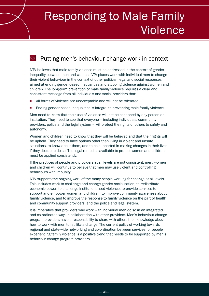## Responding to Male Family Violence

### Putting men's behaviour change work in context

NTV believes that male family violence must be addressed in the context of gender inequality between men and women. NTV places work with individual men to change their violent behaviour in the context of other political, legal and social responses aimed at ending gender-based inequalities and stopping violence against women and children. The long-term prevention of male family violence requires a clear and consistent message from all individuals and social providers that:

- All forms of violence are unacceptable and will not be tolerated.
- Ending gender-based inequalities is integral to preventing male family violence.

Men need to know that their use of violence will not be condoned by any person or institution. They need to see that everyone – including individuals, community providers, police and the legal system – will protect the rights of others to safety and autonomy.

Women and children need to know that they will be believed and that their rights will be upheld. They need to have options other than living in violent and unsafe situations, to know about them, and to be supported in making changes in their lives if they decide to do so. The legal remedies available to protect women and children must be applied consistently.

If the practices of people and providers at all levels are not consistent, men, women and children will continue to believe that men may use violent and controlling behaviours with impunity.

NTV supports the ongoing work of the many people working for change at all levels. This includes work to challenge and change gender socialisation, to redistribute economic power, to challenge institutionalised violence, to provide services to support and empower women and children, to improve community awareness about family violence, and to improve the response to family violence on the part of health and community support providers, and the police and legal system.

It is imperative that providers who work with individual men do so in an integrated and co-ordinated way, in collaboration with other providers. Men's behaviour change program providers have a responsibility to share with others their knowledge about how to work with men to facilitate change. The current policy of working towards regional and state-wide networking and co-ordination between services for people experiencing family violence is a positive trend that needs to be supported by men's behaviour change program providers.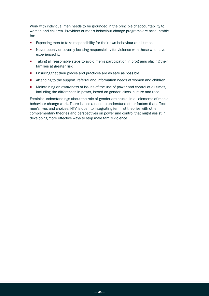Work with individual men needs to be grounded in the principle of accountability to women and children. Providers of men's behaviour change programs are accountable for:

- **Expecting men to take responsibility for their own behaviour at all times.**
- Never openly or covertly locating responsibility for violence with those who have experienced it.
- Taking all reasonable steps to avoid men's participation in programs placing their families at greater risk.
- **Ensuring that their places and practices are as safe as possible.**
- Attending to the support, referral and information needs of women and children.
- Maintaining an awareness of issues of the use of power and control at all times, including the differences in power, based on gender, class, culture and race.

Feminist understandings about the role of gender are crucial in all elements of men's behaviour change work. There is also a need to understand other factors that affect men's lives and choices. NTV is open to integrating feminist theories with other complementary theories and perspectives on power and control that might assist in developing more effective ways to stop male family violence.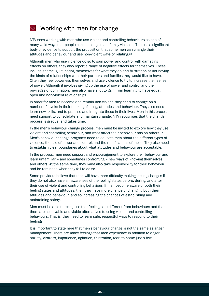### **Working with men for change**

NTV sees working with men who use violent and controlling behaviours as one of many valid ways that people can challenge male family violence. There is a significant body of evidence to support the proposition that some men can change their attitudes and behaviour and use non-violent ways of relating.<sup>13</sup>

Although men who use violence do so to gain power and control with damaging effects on others, they also report a range of negative effects for themselves. These include shame, guilt, hating themselves for what they do and frustration at not having the kinds of relationships with their partners and families they would like to have. Often they feel powerless themselves and use violence to try to increase their sense of power. Although it involves giving up the use of power and control and the privileges of domination, men also have a lot to gain from learning to have equal, open and non-violent relationships.

In order for men to become and remain non-violent, they need to change on a number of levels: in their thinking, feeling, attitudes and behaviour. They also need to learn new skills, and to practise and integrate these in their lives. Men in this process need support to consolidate and maintain change. NTV recognises that the change process is gradual and takes time.

In the men's behaviour change process, men must be invited to explore how they use violent and controlling behaviour, and what affect their behaviour has on others.<sup>14</sup> Men's behaviour change programs need to educate men about the different types of violence, the use of power and control, and the ramifications of these. They also need to establish clear boundaries about what attitudes and behaviour are acceptable.

In the process, men need support and encouragement to explore their behaviour and learn unfamiliar – and sometimes confronting – new ways of knowing themselves and others. At the same time, they must also take responsibility for their behaviour and be reminded when they fail to do so.

Some providers believe that men will have more difficulty making lasting changes if they do not also have an awareness of the feeling states before, during, and after their use of violent and controlling behaviour. If men become aware of both their feeling states and attitudes, then they have more chance of changing both their attitudes and behaviour, and so increasing the chances of establishing and maintaining safety.

Men must be able to recognise that feelings are different from behaviours and that there are achievable and viable alternatives to using violent and controlling behaviours. That is, they need to learn safe, respectful ways to respond to their feelings.

It is important to state here that men's behaviour change is not the same as anger management. There are many feelings that men experience in addition to anger: anxiety, distress, impatience, agitation, frustration, fear, to name just a few.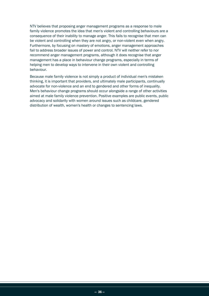NTV believes that proposing anger management programs as a response to male family violence promotes the idea that men's violent and controlling behaviours are a consequence of their inability to manage anger. This fails to recognise that men can be violent and controlling when they are not angry, or non-violent even when angry. Furthermore, by focusing on mastery of emotions, anger management approaches fail to address broader issues of power and control. NTV will neither refer to nor recommend anger management programs, although it does recognise that anger management has a place in behaviour change programs, especially in terms of helping men to develop ways to intervene in their own violent and controlling behaviour.

Because male family violence is not simply a product of individual men's mistaken thinking, it is important that providers, and ultimately male participants, continually advocate for non-violence and an end to gendered and other forms of inequality. Men's behaviour change programs should occur alongside a range of other activities aimed at male family violence prevention. Positive examples are public events, public advocacy and solidarity with women around issues such as childcare, gendered distribution of wealth, women's health or changes to sentencing laws.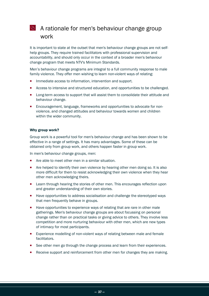## **A** rationale for men's behaviour change group work

It is important to state at the outset that men's behaviour change groups are not selfhelp groups. They require trained facilitators with professional supervision and accountability, and should only occur in the context of a broader men's behaviour change program that meets NTV's Minimum Standards.

Men's behaviour change programs are integral to a full community response to male family violence. They offer men wishing to learn non-violent ways of relating:

- Immediate access to information, intervention and support.
- ° Access to intensive and structured education, and opportunities to be challenged.
- ° Long-term access to support that will assist them to consolidate their attitude and behaviour change.
- ° Encouragement, language, frameworks and opportunities to advocate for nonviolence, and changed attitudes and behaviour towards women and children within the wider community.

### Why group work?

Group work is a powerful tool for men's behaviour change and has been shown to be effective in a range of settings. It has many advantages. Some of these can be obtained only from group work, and others happen faster in group work.

In men's behaviour change groups, men:

- Are able to meet other men in a similar situation.
- ° Are helped to identify their own violence by hearing other men doing so. It is also more difficult for them to resist acknowledging their own violence when they hear other men acknowledging theirs.
- ° Learn through hearing the stories of other men. This encourages reflection upon and greater understanding of their own stories.
- ° Have opportunities to address socialisation and challenge the stereotyped ways that men frequently behave in groups.
- ° Have opportunities to experience ways of relating that are rare in other male gatherings. Men's behaviour change groups are about focussing on personal change rather than on practical tasks or giving advice to others. They involve less competition and more nurturing behaviour with other men, which are new types of intimacy for most participants.
- ° Experience modelling of non-violent ways of relating between male and female facilitators.
- See other men go through the change process and learn from their experiences.
- Receive support and reinforcement from other men for changes they are making.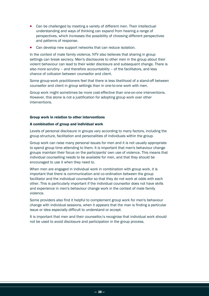- Can be challenged by meeting a variety of different men. Their intellectual understanding and ways of thinking can expand from hearing a range of perspectives, which increases the possibility of choosing different perspectives and patterns of response.
- Can develop new support networks that can reduce isolation.

In the context of male family violence, NTV also believes that sharing in group settings can break secrecy. Men's disclosures to other men in the group about their violent behaviour can lead to their wider disclosure and subsequent change. There is also more scrutiny – and therefore accountability – of the facilitators, and less chance of collusion between counsellor and client.

Some group-work practitioners feel that there is less likelihood of a stand-off between counsellor and client in group settings than in one-to-one work with men.

Group work might sometimes be more cost-effective than one-on-one interventions. However, this alone is not a justification for adopting group work over other interventions.

### Group work in relation to other interventions

### A combination of group and individual work

Levels of personal disclosure in groups vary according to many factors, including the group structure, facilitation and personalities of individuals within the group.

Group work can raise many personal issues for men and it is not usually appropriate to spend group time attending to them. It is important that men's behaviour change groups maintain their focus on the participants' own use of violence. This means that individual counselling needs to be available for men, and that they should be encouraged to use it when they need to.

When men are engaged in individual work in combination with group work, it is important that there is communication and co-ordination between the group facilitator and the individual counsellor so that they do not work at odds with each other. This is particularly important if the individual counsellor does not have skills and experience in men's behaviour change work in the context of male family violence.

Some providers also find it helpful to complement group work for men's behaviour change with individual sessions, when it appears that the man is finding a particular issue or idea especially difficult to understand or accept.

It is important that men and their counsellor/s recognise that individual work should not be used to avoid disclosure and participation in the group process.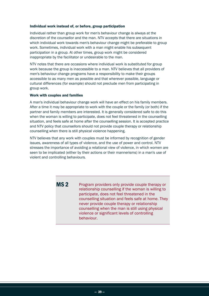### Individual work instead of, or before, group participation

Individual rather than group work for men's behaviour change is always at the discretion of the counsellor and the man. NTV accepts that there are situations in which individual work towards men's behaviour change might be preferable to group work. Sometimes, individual work with a man might enable his subsequent participation in a group. At other times, group work might be considered inappropriate by the facilitator or undesirable to the man.

NTV notes that there are occasions where individual work is substituted for group work because the group is inaccessible to a man. NTV believes that all providers of men's behaviour change programs have a responsibility to make their groups accessible to as many men as possible and that wherever possible, language or cultural differences (for example) should not preclude men from participating in group work.

### Work with couples and families

A man's individual behaviour change work will have an effect on his family members. After a time it may be appropriate to work with the couple or the family (or both) if the partner and family members are interested. It is generally considered safe to do this when the woman is willing to participate, does not feel threatened in the counselling situation, and feels safe at home after the counselling session. It is accepted practice and NTV policy that counsellors should not provide couple therapy or relationship counselling when there is still physical violence happening.

NTV believes that any work with couples must be informed by recognition of gender issues, awareness of all types of violence, and the use of power and control. NTV stresses the importance of avoiding a relational view of violence, in which women are seen to be implicated (either by their actions or their mannerisms) in a man's use of violent and controlling behaviours.

> MS 2 Program providers only provide couple therapy or relationship counselling if the woman is willing to participate, does not feel threatened in the counselling situation and feels safe at home. They never provide couple therapy or relationship counselling when the man is still using physical violence or significant levels of controlling behaviour.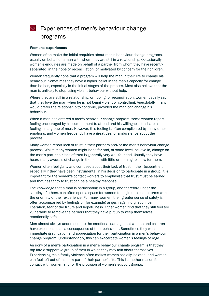## Experiences of men's behaviour change programs

### Women's experiences

Women often make the initial enquiries about men's behaviour change programs, usually on behalf of a man with whom they are still in a relationship. Occasionally, women's enquiries are made on behalf of a partner from whom they have recently separated, in the hope of reconciliation, or motivated by concern for their children.

Women frequently hope that a program will help the man in their life to change his behaviour. Sometimes they have a higher belief in the man's capacity for change than he has, especially in the initial stages of the process. Most also believe that the man is unlikely to stop using violent behaviour without help.

Where they are still in a relationship, or hoping for reconciliation, women usually say that they love the man when he is not being violent or controlling. Anecdotally, many would prefer the relationship to continue, provided the man can change his behaviour.

When a man has entered a men's behaviour change program, some women report feeling encouraged by his commitment to attend and his willingness to share his feelings in a group of men. However, this feeling is often complicated by many other emotions, and women frequently have a great deal of ambivalence about the process.

Many women report lack of trust in their partners and/or the men's behaviour change process. Whilst many women might hope for and, at some level, believe in, change on the man's part, their lack of trust is generally very well-founded. Usually they have heard many avowals of change in the past, with little or nothing to show for them.

Women often feel guilty and confused about their lack of trust in their (ex)partner, especially if they have been instrumental in his decision to participate in a group. It is important for the women's contact workers to emphasise that trust must be earned, and that hesitancy to trust can be a healthy response.

The knowledge that a man is participating in a group, and therefore under the scrutiny of others, can often open a space for women to begin to come to terms with the enormity of their experience. For many women, their greater sense of safety is often accompanied by feelings of (for example) anger, rage, indignation, pain, liberation, fear of the future and hopefulness. Other women find that they still feel too vulnerable to remove the barriers that they have put up to keep themselves emotionally safe.

Men almost always underestimate the emotional damage that women and children have experienced as a consequence of their behaviour. Sometimes they want immediate gratification and appreciation for their participation in a men's behaviour change program. Understandably, this can exacerbate women's feelings of rage.

An irony of a men's participation in a men's behaviour change program is that they tap into a supportive group of men in which they may talk about themselves. Experiencing male family violence often makes women socially isolated, and women can feel left out of this new part of their partner's life. This is another reason for contact with women and for the provision of women's support groups.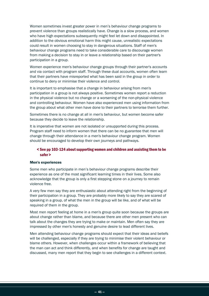Women sometimes invest greater power in men's behaviour change programs to prevent violence than groups realistically have. Change is a slow process, and women who have high expectations subsequently might feel let down and disappointed. In addition to the obvious emotional harm this might cause, unrealistic expectations could result in women choosing to stay in dangerous situations. Staff of men's behaviour change programs need to take considerable care to discourage women from making a decision to stay in or leave a relationship based on their partner's participation in a group.

Women experience men's behaviour change groups through their partner's accounts and via contact with program staff. Through these dual accounts, women often learn that their partners have misreported what has been said in the group in order to continue to deny or minimise their violence and control.

It is important to emphasise that a change in behaviour arising from men's participation in a group is not always positive. Sometimes women report a reduction in the physical violence but no change or a worsening of the non-physical violence and controlling behaviour. Women have also experienced men using information from the group about what other men have done to their partners to terrorise them further.

Sometimes there is no change at all in men's behaviour, but women become safer because they decide to leave the relationship.

It is imperative that women are not isolated or unsupported during this process. Program staff need to inform women that there can be no guarantee that men will change through their attendance in a men's behaviour change program. Women should be encouraged to develop their own journeys and pathways.

### < See pp 103-124 about supporting women and children and assisting them to be safer >

### Men's experiences

Some men who participate in men's behaviour change programs describe their experience as one of the most significant learning times in their lives. Some also acknowledge that the group is only a first stepping stone on a journey to remain violence free.

A very few men say they are enthusiastic about attending right from the beginning of their participation in a group. They are probably more likely to say they are scared of speaking in a group, of what the men in the group will be like, and of what will be required of them in the group.

Most men report feeling at home in a men's group quite soon because the groups are about change rather than blame, and because there are other men present who can talk about the changes they are trying to make or maintain. Men often say they are impressed by other men's honesty and genuine desire to lead different lives.

Men attending behaviour change programs should expect that their ideas and beliefs will be challenged, especially if they are trying to minimise their violent behaviour or blame others. However, when challenges occur within a framework of believing that the man can act and think differently, and when benefits for change are taught and discussed, many men report that they begin to see challenges in a different context.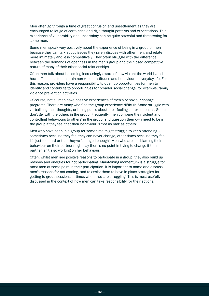Men often go through a time of great confusion and unsettlement as they are encouraged to let go of certainties and rigid thought patterns and expectations. This experience of vulnerability and uncertainty can be quite stressful and threatening for some men.

Some men speak very positively about the experience of being in a group of men because they can talk about issues they rarely discuss with other men, and relate more intimately and less competitively. They often struggle with the difference between the demands of openness in the men's group and the closed competitive nature of many of their other social relationships.

Often men talk about becoming increasingly aware of how violent the world is and how difficult it is to maintain non-violent attitudes and behaviour in everyday life. For this reason, providers have a responsibility to open up opportunities for men to identify and contribute to opportunities for broader social change, for example, family violence prevention activities.

Of course, not all men have positive experiences of men's behaviour change programs. There are many who find the group experience difficult. Some struggle with verbalising their thoughts, or being public about their feelings or experiences. Some don't gel with the others in the group. Frequently, men compare their violent and controlling behaviours to others' in the group, and question their own need to be in the group if they feel that their behaviour is 'not as bad' as others'.

Men who have been in a group for some time might struggle to keep attending – sometimes because they feel they can never change, other times because they feel it's just too hard or that they've 'changed enough'. Men who are still blaming their behaviour on their partner might say there's no point in trying to change if their partner isn't also working on her behaviour.

Often, whilst men see positive reasons to participate in a group, they also build up reasons and energies for not participating. Maintaining momentum is a struggle for most men at some point in their participation. It is important to name and discuss men's reasons for not coming, and to assist them to have in place strategies for getting to group sessions at times when they are struggling. This is most usefully discussed in the context of how men can take responsibility for their actions.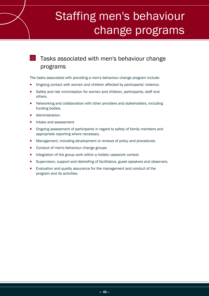# Staffing men's behaviour change programs

Ø

## Tasks associated with men's behaviour change programs

The tasks associated with providing a men's behaviour change program include:

- ° Ongoing contact with women and children affected by participants' violence.
- Safety and risk minimisation for women and children, participants, staff and others.
- ° Networking and collaboration with other providers and stakeholders, including funding bodies.
- **•** Administration.
- Intake and assessment.
- ° Ongoing assessment of participants in regard to safety of family members and appropriate reporting where necessary.
- ° Management, including development or reviews of policy and procedures.
- Conduct of men's behaviour change groups.
- **•** Integration of the group work within a holistic casework context.
- ° Supervision, support and debriefing of facilitators, guest speakers and observers.
- Evaluation and quality assurance for the management and conduct of the program and its activities.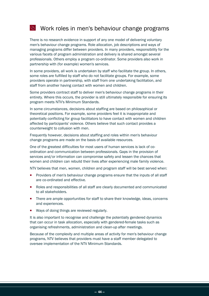### **Work roles in men's behaviour change programs**

There is no research evidence in support of any one model of delivering voluntary men's behaviour change programs. Role allocation, job descriptions and ways of managing programs differ between providers. In many providers, responsibility for the various facets of program administration and delivery is shared amongst several professionals. Others employ a program co-ordinator. Some providers also work in partnership with (for example) women's services.

In some providers, all work is undertaken by staff who facilitate the group. In others, some roles are fulfilled by staff who do not facilitate groups. For example, some providers operate in partnership, with staff from one undertaking facilitation, and staff from another having contact with women and children.

Some providers contract staff to deliver men's behaviour change programs in their entirety. Where this occurs, the provider is still ultimately responsible for ensuring its program meets NTV's Minimum Standards.

In some circumstances, decisions about staffing are based on philosophical or theoretical positions. For example, some providers feel it is inappropriate and potentially conflicting for group facilitators to have contact with women and children affected by participants' violence. Others believe that such contact provides a counterweight to collusion with men.

Frequently however, decisions about staffing and roles within men's behaviour change programs are made on the basis of available resources.

One of the greatest difficulties for most users of human services is lack of coordination and communication between professionals. Gaps in the provision of services and/or information can compromise safety and lessen the chances that women and children can rebuild their lives after experiencing male family violence.

NTV believes that men, women, children and program staff will be best served when:

- Providers of men's behaviour change programs ensure that the inputs of all staff are co-ordinated and effective.
- ° Roles and responsibilities of all staff are clearly documented and communicated to all stakeholders.
- ° There are ample opportunities for staff to share their knowledge, ideas, concerns and experiences.
- **•** Ways of doing things are reviewed regularly.

It is also important to recognise and challenge the potentially gendered dynamics that can occur in task allocation, especially with gendered-female tasks such as organising refreshments, administration and clean-up after meetings.

Because of the complexity and multiple areas of activity for men's behaviour change programs, NTV believes that providers must have a staff member delegated to oversee implementation of the NTV Minimum Standards.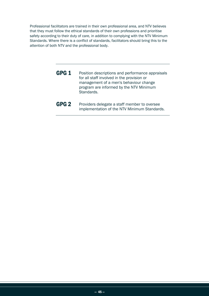Professional facilitators are trained in their own professional area, and NTV believes that they must follow the ethical standards of their own professions and prioritise safety according to their duty of care, in addition to complying with the NTV Minimum Standards. Where there is a conflict of standards, facilitators should bring this to the attention of both NTV and the professional body.

| GPG 1            | Position descriptions and performance appraisals<br>for all staff involved in the provision or<br>management of a men's behaviour change<br>program are informed by the NTV Minimum<br>Standards. |  |  |  |
|------------------|---------------------------------------------------------------------------------------------------------------------------------------------------------------------------------------------------|--|--|--|
| GPG <sub>2</sub> | Providers delegate a staff member to oversee<br>implementation of the NTV Minimum Standards.                                                                                                      |  |  |  |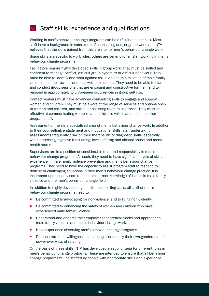### ∞ Staff skills, experience and qualifications

Working in men's behaviour change programs can be difficult and complex. Most staff have a background in some form of counselling and/or group work, and NTV believes that the skills gained from this are vital for men's behaviour change work.

Some skills are specific to work roles, others are generic for all staff working in men's behaviour change programs.

Facilitators require highly developed skills in group work. They must be skilled and confident to manage conflict, difficult group dynamics or difficult behaviour. They must be able to identify and work against collusion and minimisation of male family violence – in their own practice, as well as in others'. They need to be able to plan and conduct group sessions that are engaging and constructive for men, and to respond in appropriately to unforeseen occurrences in group settings.

Contact workers must have advanced counselling skills to engage and support women and children. They must be aware of the range of services and options open to women and children, and skilled at assisting them to use these. They must be effective at communicating women's and children's voices and needs to other program staff.

Assessment of men is a specialised area of men's behaviour change work. In addition to their counselling, engagement and motivational skills, staff undertaking assessments frequently draw on their therapeutic or diagnostic skills, especially when assessing cognitive functioning, levels of drug and alcohol abuse and mental health status.

Supervisors are in a position of considerable trust and responsibility in men's behaviour change programs. As such, they need to have significant levels of skill and experience in male family violence prevention and men's behaviour change programs. They need to have the capacity to assist program staff to respond to difficult or challenging situations in their men's behaviour change practice. It is incumbent upon supervisors to maintain current knowledge of issues in male family violence and the men's behaviour change field

In addition to highly developed generalist counselling skills, all staff of men's behaviour change programs need to:

- Be committed to advocating for non-violence, and to living non-violently.
- Be committed to enhancing the safety of women and children who have experienced male family violence.
- ° Understand and endorse their employer's theoretical model and approach to male family violence and men's behaviour change work.
- Have experience observing men's behaviour change programs.
- ° Demonstrate their willingness to challenge continually their own gendered and power-over ways of relating.

On the basis of these skills, NTV has developed a set of criteria for different roles in men's behaviour change programs. These are intended to ensure that all behaviour change programs will be staffed by people with appropriate skills and experience.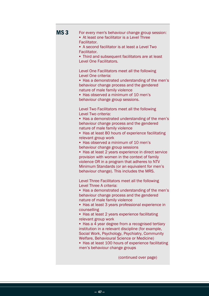| MS 3 | For every men's behaviour change group session:<br>• At least one facilitator is a Level Three<br>Facilitator.<br>• A second facilitator is at least a Level Two<br>Facilitator.<br>• Third and subsequent facilitators are at least<br><b>Level One Facilitators.</b>                                                                                                                                                                                                                                                                                                                                                                               |  |  |  |  |  |
|------|------------------------------------------------------------------------------------------------------------------------------------------------------------------------------------------------------------------------------------------------------------------------------------------------------------------------------------------------------------------------------------------------------------------------------------------------------------------------------------------------------------------------------------------------------------------------------------------------------------------------------------------------------|--|--|--|--|--|
|      | Level One Facilitators meet all the following<br>Level One criteria:<br>• Has a demonstrated understanding of the men's<br>behaviour change process and the gendered<br>nature of male family violence<br>- Has observed a minimum of 10 men's<br>behaviour change group sessions.                                                                                                                                                                                                                                                                                                                                                                   |  |  |  |  |  |
|      | Level Two Facilitators meet all the following<br>Level Two criteria:<br>• Has a demonstrated understanding of the men's<br>behaviour change process and the gendered<br>nature of male family violence<br>• Has at least 80 hours of experience facilitating<br>relevant group work<br>• Has observed a minimum of 10 men's<br>behaviour change group sessions<br>- Has at least 2 years experience in direct service<br>provision with women in the context of family<br>violence OR in a program that adheres to NTV<br>Minimum Standards (or an equivalent for men's<br>behaviour change). This includes the MRS.                                 |  |  |  |  |  |
|      | Level Three Facilitators meet all the following<br>Level Three A criteria:<br>• Has a demonstrated understanding of the men's<br>behaviour change process and the gendered<br>nature of male family violence<br>Has at least 3 years professional experience in<br>counselling<br>• Has at least 2 years experience facilitating<br>relevant group work<br>Has a 4 year degree from a recognised tertiary<br>institution in a relevant discipline (for example,<br>Social Work, Psychology, Psychiatry, Community<br>Welfare, Behavioural Science or Medicine)<br>Has at least 100 hours of experience facilitating<br>men's behaviour change groups |  |  |  |  |  |
|      | (continued over page)                                                                                                                                                                                                                                                                                                                                                                                                                                                                                                                                                                                                                                |  |  |  |  |  |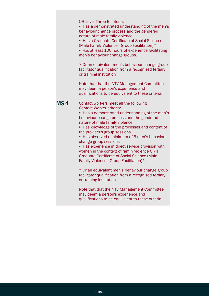OR Level Three B criteria:

**Has a demonstrated understanding of the men's** behaviour change process and the gendered nature of male family violence

**Has a Graduate Certificate of Social Science** (Male Family Violence - Group Facilitation)\*

Has at least 100 hours of experience facilitating men's behaviour change groups.

\* Or an equivalent men's behaviour change group facilitator qualification from a recognised tertiary or training institution

Note that that the NTV Management Committee may deem a person's experience and qualifications to be equivalent to these criteria.

### MS 4 Contact workers meet all the following Contact Worker criteria:

• Has a demonstrated understanding of the men's behaviour change process and the gendered nature of male family violence

**Has knowledge of the processes and content of** the provider's group sessions

**Has observed a minimum of 6 men's behaviour** change group sessions

**Has experience in direct service provision with** women in the context of family violence OR a Graduate Certificate of Social Science (Male Family Violence - Group Facilitation)\*.

\* Or an equivalent men's behaviour change group facilitator qualification from a recognised tertiary or training institution

Note that that the NTV Management Committee may deem a person's experience and qualifications to be equivalent to these criteria.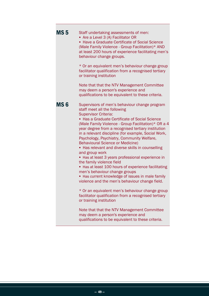| <b>MS5</b> | Staff undertaking assessments of men:<br>• Are a Level 3 (A) Facilitator OR<br>• Have a Graduate Certificate of Social Science<br>(Male Family Violence - Group Facilitation)* AND<br>at least 200 hours of experience facilitating men's<br>behaviour change groups.                                                                                                                                                                                                                                                                                                                                                                                                                                                                                                             |
|------------|-----------------------------------------------------------------------------------------------------------------------------------------------------------------------------------------------------------------------------------------------------------------------------------------------------------------------------------------------------------------------------------------------------------------------------------------------------------------------------------------------------------------------------------------------------------------------------------------------------------------------------------------------------------------------------------------------------------------------------------------------------------------------------------|
|            | * Or an equivalent men's behaviour change group<br>facilitator qualification from a recognised tertiary<br>or training institution                                                                                                                                                                                                                                                                                                                                                                                                                                                                                                                                                                                                                                                |
|            | Note that that the NTV Management Committee<br>may deem a person's experience and<br>qualifications to be equivalent to these criteria.                                                                                                                                                                                                                                                                                                                                                                                                                                                                                                                                                                                                                                           |
| MS 6       | Supervisors of men's behaviour change program<br>staff meet all the following<br><b>Supervisor Criteria:</b><br>• Has a Graduate Certificate of Social Science<br>(Male Family Violence - Group Facilitation)* OR a 4<br>year degree from a recognised tertiary institution<br>in a relevant discipline (for example, Social Work,<br>Psychology, Psychiatry, Community Welfare,<br><b>Behavioural Science or Medicine)</b><br>• Has relevant and diverse skills in counselling<br>and group work<br>• Has at least 3 years professional experience in<br>the family violence field<br>• Has at least 100 hours of experience facilitating<br>men's behaviour change groups<br>• Has current knowledge of issues in male family<br>violence and the men's behaviour change field. |
|            | * Or an equivalent men's behaviour change group<br>facilitator qualification from a recognised tertiary<br>or training institution                                                                                                                                                                                                                                                                                                                                                                                                                                                                                                                                                                                                                                                |
|            | Note that that the NTV Management Committee<br>may deem a person's experience and<br>qualifications to be equivalent to these criteria.                                                                                                                                                                                                                                                                                                                                                                                                                                                                                                                                                                                                                                           |

 $\overline{\phantom{a}}$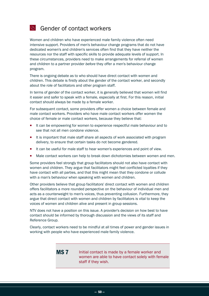### $\circledcirc$ Gender of contact workers

Women and children who have experienced male family violence often need intensive support. Providers of men's behaviour change programs that do not have dedicated women's and children's services often find that they have neither the resources nor the staff with specific skills to provide adequate levels of support. In these circumstances, providers need to make arrangements for referral of women and children to a partner provider *before* they offer a men's behaviour change program.

There is ongoing debate as to who should have direct contact with women and children. This debate is firstly about the gender of the contact worker, and secondly about the role of facilitators and other program staff.

In terms of gender of the contact worker, it is generally believed that women will find it easier and safer to speak with a female, especially at first. For this reason, initial contact should always be made by a female worker.

For subsequent contact, some providers offer women a choice between female and male contact workers. Providers who have male contact workers offer women the choice of female or male contact workers, because they believe that:

- ° It can be empowering for women to experience respectful male behaviour and to see that not all men condone violence.
- ° It is important that male staff share all aspects of work associated with program delivery, to ensure that certain tasks do not become gendered.
- It can be useful for male staff to hear women's experiences and point of view.
- ° Male contact workers can help to break down dichotomies between women and men.

Some providers feel strongly that group facilitators should not also have contact with women and children. They argue that facilitators might feel conflicted loyalties if they have contact with all parties, and that this might mean that they condone or collude with a man's behaviour when speaking with women and children.

Other providers believe that group facilitators' direct contact with women and children offers facilitators a more rounded perspective on the behaviour of individual men and acts as a counterweight to men's voices, thus preventing collusion. Furthermore, they argue that direct contact with women and children by facilitators is vital to keep the voices of women and children alive and present in group sessions.

NTV does not have a position on this issue. A provider's decision on how best to have contact should be informed by thorough discussion and the views of its staff and Reference Group.

Clearly, contact workers need to be mindful at all times of power and gender issues in working with people who have experienced male family violence.

**MS 7** Initial contact is made by a female worker and women are able to have contact solely with female staff if they wish.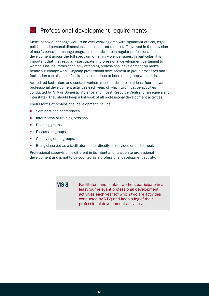### $\circledcirc$ Professional development requirements

Men's behaviour change work is an ever-evolving area with significant ethical, legal, political and personal dimensions. It is important for all staff involved in the provision of men's behaviour change programs to participate in regular professional development across the full spectrum of family violence issues. In particular, it is important that they regularly participate in professional development pertaining to women's issues, rather than only attending professional development on men's behaviour change work. Ongoing professional development in group processes and facilitation can also help facilitators to continue to hone their group-work skills.

Accredited facilitators and contact workers must participate in at least four relevant professional development activities each year, of which two must be activities conducted by NTV or Domestic Violence and Incest Resource Centre (or an equivalent interstate). They should keep a log book of all professional development activities.

Useful forms of professional development include:

- Seminars and conferences.
- Information or training sessions.
- Reading groups.
- Discussion groups.
- Observing other groups.
- ° Being observed as a facilitator (either directly or via video or audio tape).

Professional supervision is different in its intent and function to professional development and is not to be counted as a professional development activity.

> MS 8 Facilitators and contact workers participate in at least four relevant professional development activities each year (of which two are activities conducted by NTV) and keep a log of their professional development activities.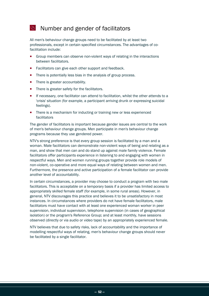#### $\circledcirc$ Number and gender of facilitators

All men's behaviour change groups need to be facilitated by at least two professionals, except in certain specified circumstances. The advantages of cofacilitation include:

- Group members can observe non-violent ways of relating in the interactions between facilitators.
- Facilitators can give each other support and feedback.
- There is potentially less bias in the analysis of group process.
- There is greater accountability.
- There is greater safety for the facilitators.
- If necessary, one facilitator can attend to facilitation, whilst the other attends to a 'crisis' situation (for example, a participant arriving drunk or expressing suicidal feelings).
- There is a mechanism for inducting or training new or less experienced facilitators

The gender of facilitators is important because gender issues are central to the work of men's behaviour change groups. Men participate in men's behaviour change programs because they use gendered power.

NTV's strong preference is that every group session is facilitated by a man and a woman. Male facilitators can demonstrate non-violent ways of being and relating as a man, and show that men can and do stand up against male family violence. Female facilitators offer participants experience in listening to and engaging with women in respectful ways. Men and women running groups together provide role models of non-violent, co-operative and more equal ways of relating between women and men. Furthermore, the presence and active participation of a female facilitator can provide another level of accountability.

In certain circumstances, a provider may choose to conduct a program with two male facilitators. This is acceptable on a temporary basis if a provider has limited access to appropriately skilled female staff (for example, in some rural areas). However, in general, NTV discourages this practice and believes it to be unsatisfactory in most instances. In circumstances where providers do not have female facilitators, male facilitators must have contact with at least one experienced woman worker in peer supervision, individual supervision, telephone supervision (in cases of geographical isolation) or the program's Reference Group; and at least monthly, have sessions observed (directly or via audio or video tape) by an appropriately experienced female.

NTV believes that due to safety risks, lack of accountability and the importance of modelling respectful ways of relating, men's behaviour change groups should never be facilitated by a single facilitator.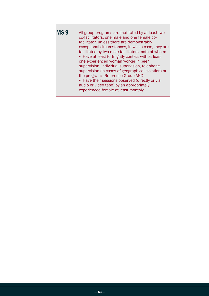| MS <sub>9</sub> | All group programs are facilitated by at least two<br>co-facilitators, one male and one female co-<br>facilitator, unless there are demonstrably<br>exceptional circumstances, in which case, they are<br>facilitated by two male facilitators, both of whom:<br>• Have at least fortnightly contact with at least<br>one experienced woman worker in peer<br>supervision, individual supervision, telephone<br>supervision (in cases of geographical isolation) or<br>the program's Reference Group AND<br>• Have their sessions observed (directly or via |
|-----------------|-------------------------------------------------------------------------------------------------------------------------------------------------------------------------------------------------------------------------------------------------------------------------------------------------------------------------------------------------------------------------------------------------------------------------------------------------------------------------------------------------------------------------------------------------------------|
|                 | audio or video tape) by an appropriately<br>experienced female at least monthly.                                                                                                                                                                                                                                                                                                                                                                                                                                                                            |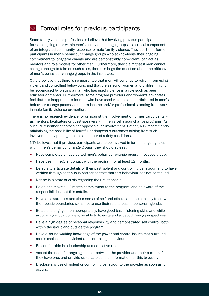### ⊙ Formal roles for previous participants

Some family violence professionals believe that involving previous participants in formal, ongoing roles within men's behaviour change groups is a critical component of an integrated community response to male family violence. They posit that former participants in men's behaviour change groups who acknowledge their ongoing commitment to long-term change and are demonstrably non-violent, can act as mentors and role models for other men. Furthermore, they claim that if men cannot change enough to take on such roles, then this begs the question about the efficacy of men's behaviour change groups in the first place.

Others believe that there is no guarantee that men will continue to refrain from using violent and controlling behaviours, and that the safety of women and children might be jeopardised by placing a man who has used violence in a role such as peer educator or mentor. Furthermore, some program providers and women's advocates feel that it is inappropriate for men who have used violence and participated in men's behaviour change processes to earn income and/or professional standing from work in male family violence prevention.

There is no research evidence for or against the involvement of former participants – as mentors, facilitators or guest speakers – in men's behaviour change programs. As such, NTV neither endorses nor opposes such involvement. Rather, NTV recommends minimising the possibility of harmful or dangerous outcomes arising from such involvement, by putting in place a number of safety conditions.

NTV believes that if previous participants are to be involved in formal, ongoing roles within men's behaviour change groups, they should at least:

- Have completed an accredited men's behaviour change program focused group.
- Have been in regular contact with the program for at least 12 months.
- ° Be able to articulate details of their past violent and controlling behaviour, and to have verified through continuous partner contact that this behaviour has not continued.
- Not be in a state of crisis regarding their relationship.
- ° Be able to make a 12-month commitment to the program, and be aware of the responsibilities that this entails.
- ° Have an awareness and clear sense of self and others, and the capacity to draw therapeutic boundaries so as not to use their role to push a personal agenda.
- ° Be able to engage men appropriately, have good basic listening skills and while articulating a point of view, be able to tolerate and accept differing perspectives.
- ° Have a high degree of personal responsibility and demonstrated self control, both within the group and outside the program.
- ° Have a sound working knowledge of the power and control issues that surround men's choices to use violent and controlling behaviours.
- Be comfortable in a leadership and educative role.
- Accept the need for ongoing contact between the provider and their partner, if they have one, and provide up-to-date contact information for this to occur.
- ° Disclose any use of violent or controlling behaviour to the provider as soon as it occurs.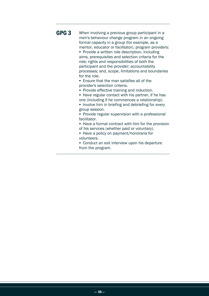| GPG <sub>3</sub> | When involving a previous group participant in a<br>men's behaviour change program in an ongoing<br>formal capacity in a group (for example, as a<br>mentor, educator or facilitator), program providers:<br>• Provide a written role description, including<br>aims, prerequisites and selection criteria for the<br>role; rights and responsibilities of both the<br>participant and the provider; accountability<br>processes; and, scope, limitations and boundaries<br>for the role. |
|------------------|-------------------------------------------------------------------------------------------------------------------------------------------------------------------------------------------------------------------------------------------------------------------------------------------------------------------------------------------------------------------------------------------------------------------------------------------------------------------------------------------|
|                  | • Ensure that the man satisfies all of the<br>provider's selection criteria.                                                                                                                                                                                                                                                                                                                                                                                                              |
|                  | • Provide effective training and induction.                                                                                                                                                                                                                                                                                                                                                                                                                                               |
|                  | ■ Have regular contact with his partner, if he has<br>one (including if he commences a relationship).<br>• Involve him in briefing and debriefing for every<br>group session.                                                                                                                                                                                                                                                                                                             |
|                  | • Provide regular supervision with a professional<br>facilitator.                                                                                                                                                                                                                                                                                                                                                                                                                         |
|                  | ■ Have a formal contract with him for the provision<br>of his services (whether paid or voluntary).<br>- Have a policy on payment/honoraria for                                                                                                                                                                                                                                                                                                                                           |
|                  | volunteers.<br>• Conduct an exit interview upon his departure<br>from the program.                                                                                                                                                                                                                                                                                                                                                                                                        |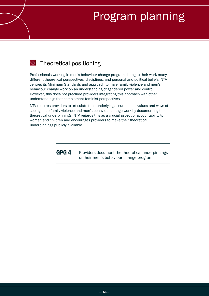## Program planning

### Theoretical positioning ⊙

Professionals working in men's behaviour change programs bring to their work many different theoretical perspectives, disciplines, and personal and political beliefs. NTV centres its Minimum Standards and approach to male family violence and men's behaviour change work on an understanding of gendered power and control. However, this does not preclude providers integrating this approach with other understandings that complement feminist perspectives.

NTV requires providers to articulate their underlying assumptions, values and ways of seeing male family violence and men's behaviour change work by documenting their theoretical underpinnings. NTV regards this as a crucial aspect of accountability to women and children and encourages providers to make their theoretical underpinnings publicly available.



GPG 4 Providers document the theoretical underpinnings of their men's behaviour change program.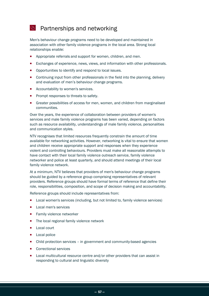### $\circledcirc$ Partnerships and networking

Men's behaviour change programs need to be developed and maintained in association with other family violence programs in the local area. Strong local relationships enable:

- Appropriate referrals and support for women, children, and men.
- ° Exchanges of experience, news, views, and information with other professionals.
- Opportunities to identify and respond to local issues.
- ° Continuing input from other professionals in the field into the planning, delivery and evaluation of men's behaviour change programs.
- **EXECOUNTER Accountability to women's services.**
- **•** Prompt responses to threats to safety.
- ° Greater possibilities of access for men, women, and children from marginalised communities.

Over the years, the experience of collaboration between providers of women's services and male family violence programs has been varied, depending on factors such as resource availability, understandings of male family violence, personalities and communication styles.

NTV recognises that limited resources frequently constrain the amount of time available for networking activities. However, networking is vital to ensure that women and children receive appropriate support and responses when they experience violent and controlling behaviours. Providers must make all reasonable attempts to have contact with their local family violence outreach service, family violence networker and police at least quarterly, and should attend meetings of their local family violence network.

At a minimum, NTV believes that providers of men's behaviour change programs should be guided by a reference group comprising representatives of relevant providers. Reference groups should have formal terms of reference that define their role, responsibilities, composition, and scope of decision making and accountability.

Reference groups should include representatives from:

- Local women's services (including, but not limited to, family violence services)
- Local men's services
- Family violence networker
- The local regional family violence network
- Local court
- Local police
- ° Child protection services in government and community-based agencies
- Correctional services
- Local multicultural resource centre and/or other providers that can assist in responding to cultural and linguistic diversity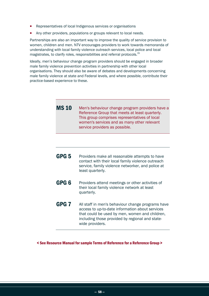- ° Representatives of local Indigenous services or organisations
- Any other providers, populations or groups relevant to local needs.

Partnerships are also an important way to improve the quality of service provision to women, children and men. NTV encourages providers to work towards memoranda of understanding with local family violence outreach services, local police and local magistrates, to clarify roles, responsibilities and referral protocols.<sup>15</sup>

Ideally, men's behaviour change program providers should be engaged in broader male family violence prevention activities in partnership with other local organisations. They should also be aware of debates and developments concerning male family violence at state and Federal levels, and where possible, contribute their practice-based experience to these.

- MS 10 Men's behaviour change program providers have a Reference Group that meets at least quarterly. This group comprises representatives of local women's services and as many other relevant service providers as possible.
- GPG 5 Providers make all reasonable attempts to have contact with their local family violence outreach service, family violence networker, and police at least quarterly.
- GPG 6 Providers attend meetings or other activities of their local family violence network at least quarterly.
- GPG 7 All staff in men's behaviour change programs have access to up-to-date information about services that could be used by men, women and children, including those provided by regional and statewide providers.

< See Resource Manual for sample Terms of Reference for a Reference Group >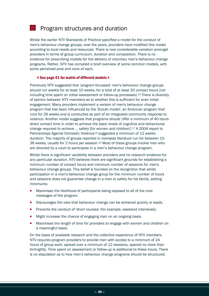### Program structures and duration

Whilst the earlier NTV Standards of Practice specified a model for the conduct of men's behaviour change groups, over the years, providers have modified this model according to local needs and resources. There is now considerable variation amongst providers in terms of group curriculum, duration and composition. There is no evidence for prescribing models for the delivery of voluntary men's behaviour change programs. Rather, NTV has compiled a brief overview of some common models, with some perceived pros and cons of each.

### < See page 61 for matrix of different models >

Previously NTV suggested that 'program-focussed' men's behaviour change groups should run weekly for at least 10 weeks, for a total of at least 20 contact hours (not including time spent on initial assessment or follow-up processes). <sup>16</sup> There is diversity of opinion between NTV members as to whether this is sufficient for even initial engagement. Many providers implement a version of men's behaviour change program that has been influenced by the 'Duluth model', an American program that runs for 26 weeks and is conducted as part of an integrated community response to violence. Another model suggests that programs should 'offer a minimum of 40 hours direct contact time in order to achieve the basic levels of cognitive and behavioural change required to achieve … safety [for women and children]'. <sup>17</sup> A 2004 report to Partnerships Against Domestic Violence<sup>18</sup> suggested a minimum of 12 weeks duration. The majority of groups reported in overseas literature run for between 10- 36 weeks, usually for 2 hours per session. <sup>19</sup> Most of these groups involve men who are directed by a court to participate in a men's behaviour change program.

Whilst there is significant variability between providers and no research evidence for *any particular duration*, NTV believes there are significant grounds for establishing a minimum number of contact hours and minimum number of sessions for men's behaviour change groups. This belief is founded on the recognition that whilst participation in a men's behaviour change group for the minimum number of hours and sessions does not guarantee change in a man or safety for his family, setting minimums:

- ° Maximises the likelihood of participants being exposed to all of the core messages of the program.
- Discourages the view that behaviour change can be achieved quickly or easily.
- **•** Prevents the conduct of 'short courses' (for example, weekend intensives).
- Might increase the chance of engaging men on an ongoing basis.
- ° Maximises the length of time for providers to engage with women and children on a meaningful basis.

On the basis of available research and the collective experience of NTV members, NTV requires program providers to provide men with access to a minimum of 24 hours of group work, spread over a minimum of 12 sessions, spaced no more than fortnightly. Time spent on assessment or follow-up is additional to these hours. There is no stipulation as to how men's behaviour change programs should be structured.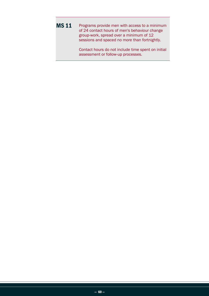MS 11 Programs provide men with access to a minimum of 24 contact hours of men's behaviour change group-work, spread over a minimum of 12 sessions and spaced no more than fortnightly.

> Contact hours do not include time spent on initial assessment or follow-up processes.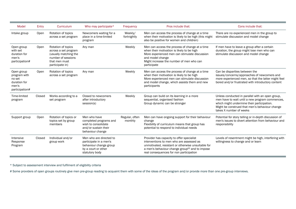| Model                                                                           | Entry  | Curriculum                                                                                                                    | Who may participate*                                                                                                 | Frequency                 | Pros include that:                                                                                                                                                                                                                                   | Cons include that:                                                                                                                                                                                                             |
|---------------------------------------------------------------------------------|--------|-------------------------------------------------------------------------------------------------------------------------------|----------------------------------------------------------------------------------------------------------------------|---------------------------|------------------------------------------------------------------------------------------------------------------------------------------------------------------------------------------------------------------------------------------------------|--------------------------------------------------------------------------------------------------------------------------------------------------------------------------------------------------------------------------------|
| Intake group                                                                    | Open   | Rotation of topics<br>across a set program                                                                                    | Newcomers waiting for a<br>place in a time-limited<br>program                                                        | Weekly/<br>fortnightly    | Men can access the process of change at a time<br>when their motivation is likely to be high (this might<br>also be positive for women and children)                                                                                                 | There are no experienced men in the group to<br>stimulate discussion and model change                                                                                                                                          |
| Open group<br>with set<br>duration for<br>men's<br>participation#               | Open   | Rotation of topics<br>across a set program<br>(usually matching the<br>number of sessions<br>that men must<br>participate in) | Any man                                                                                                              | Weekly                    | Men can access the process of change at a time<br>when their motivation is likely to be high<br>More experienced men can stimulate discussion<br>and model change<br>Might increase the number of men who can<br>participate                         | If men have to leave a group after a certain<br>duration, the group might lose men who can<br>stimulate discussion and model change                                                                                            |
| Open group<br>program with<br>no set<br>duration for<br>men's<br>participation# | Open   | Rotation of topics<br>across a set program                                                                                    | Any man                                                                                                              | Weekly                    | Men can access the process of change at a time<br>when their motivation is likely to be high<br>More experienced men can stimulate discussion<br>and model change, which assists them and new<br>participants                                        | Can be disparities between the<br>issues/concerns/approaches of newcomers and<br>more experienced men, so that the latter might feel<br>bored and/or frustrated with introductory content                                      |
| Time-limited<br>program                                                         | Closed | Works according to a<br>set program                                                                                           | Closed to newcomers<br>after introductory<br>session(s)                                                              | Weekly                    | Group can build on its learning in a more<br>sequential, organised fashion<br>Group dynamic can be stronger                                                                                                                                          | Unless conducted in parallel with an open group,<br>men have to wait until a new program commences,<br>which might undermine their participation.<br>Might be construed that men's behaviour change<br>takes X number of weeks |
| Support group                                                                   | Open   | Rotation of topics or<br>topics set by group<br>members                                                                       | Men who have<br>completed programs and<br>wish to consolidate<br>and/or sustain their<br>behaviour change            | Regular, often<br>monthly | Men can have ongoing support for their behaviour<br>change<br>Flexibility of curriculum means that group has<br>potential to respond to individual needs                                                                                             | Potential for story telling or in-depth discussion of<br>men's issues to divert attention from behaviour and<br>responsibility                                                                                                 |
| Intensive<br>Response<br>Program                                                | Closed | Individual and/or<br>group work                                                                                               | Men who are directed to<br>participate in a men's<br>behaviour change group<br>by a court or other<br>statutory body |                           | Provider has capacity to offer specialist<br>interventions to men who are assessed as<br>unmotivated, resistant or otherwise unsuitable for<br>a men's behaviour change group <sup>20</sup> and to impose<br>real consequences for non participation | Levels of resentment might be high, interfering with<br>willingness to change and or learn                                                                                                                                     |

\* Subject to assessment interview and fulfilment of eligibility criteria

# Some providers of open groups routinely give men pre-group reading to acquaint them with some of the ideas of the program and/or provide more than one pre-group interviews.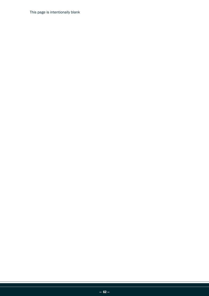This page is intentionally blank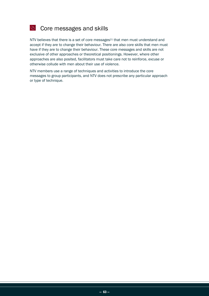### $\circledcirc$ Core messages and skills

NTV believes that there is a set of core messages<sup>21</sup> that men must understand and accept if they are to change their behaviour. There are also core skills that men must have if they are to change their behaviour. These core messages and skills are not exclusive of other approaches or theoretical positionings. However, where other approaches are also posited, facilitators must take care not to reinforce, excuse or otherwise collude with men about their use of violence.

NTV members use a range of techniques and activities to introduce the core messages to group participants, and NTV does not prescribe any particular approach or type of technique.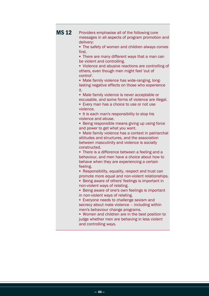| <b>MS 12</b> | Providers emphasise all of the following core<br>messages in all aspects of program promotion and                                                                                            |
|--------------|----------------------------------------------------------------------------------------------------------------------------------------------------------------------------------------------|
|              | delivery:<br>. The safety of women and children always comes<br>first.                                                                                                                       |
|              | • There are many different ways that a man can<br>be violent and controlling.                                                                                                                |
|              | • Violence and abusive reactions are controlling of<br>others, even though men might feel 'out of<br>control'.                                                                               |
|              | • Male family violence has wide-ranging, long-<br>lasting negative effects on those who experience<br>it.                                                                                    |
|              | • Male family violence is never acceptable or<br>excusable, and some forms of violence are illegal.<br>• Every man has a choice to use or not use<br>violence.                               |
|              | It is each man's responsibility to stop his<br>violence and abuse.                                                                                                                           |
|              | • Being responsible means giving up using force<br>and power to get what you want.                                                                                                           |
|              | • Male family violence has a context in patriarchal<br>attitudes and structures, and the association<br>between masculinity and violence is socially<br>constructed.                         |
|              | • There is a difference between a feeling and a<br>behaviour, and men have a choice about how to<br>behave when they are experiencing a certain<br>feeling.                                  |
|              | • Responsibility, equality, respect and trust can<br>promote more equal and non-violent relationships.<br>• Being aware of others' feelings is important in<br>non-violent ways of relating. |
|              | • Being aware of one's own feelings is important<br>in non-violent ways of relating.                                                                                                         |
|              | • Everyone needs to challenge sexism and<br>secrecy about male violence - including within<br>men's behaviour change programs.                                                               |
|              | • Women and children are in the best position to<br>judge whether men are behaving in less violent<br>and controlling ways.                                                                  |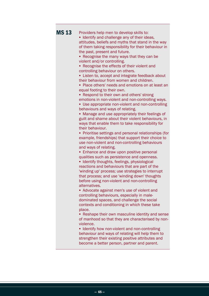| <b>MS13</b> | Providers help men to develop skills to:                                                             |
|-------------|------------------------------------------------------------------------------------------------------|
|             | • Identify and challenge any of their ideas,<br>attitudes, beliefs and myths that stand in the way   |
|             | of them taking responsibility for their behaviour in                                                 |
|             | the past, present and future.                                                                        |
|             | • Recognise the many ways that they can be                                                           |
|             | violent and/or controlling.<br>• Recognise the effects of their violent and                          |
|             | controlling behaviour on others.                                                                     |
|             | Listen to, accept and integrate feedback about<br>٠                                                  |
|             | their behaviour from women and children.                                                             |
|             | Place others' needs and emotions on at least an<br>equal footing to their own.                       |
|             | • Respond to their own and others' strong                                                            |
|             | emotions in non-violent and non-controlling ways.                                                    |
|             | • Use appropriate non-violent and non-controlling                                                    |
|             | behaviours and ways of relating.                                                                     |
|             | Manage and use appropriately their feelings of<br>guilt and shame about their violent behaviours, in |
|             | ways that enable them to take responsibility for                                                     |
|             | their behaviour.                                                                                     |
|             | • Prioritise settings and personal relationships (for                                                |
|             | example, friendships) that support their choice to                                                   |
|             | use non-violent and non-controlling behaviours<br>and ways of relating.                              |
|             | Enhance and draw upon positive personal                                                              |
|             | qualities such as persistence and openness.                                                          |
|             | • Identify thoughts, feelings, physiological                                                         |
|             | reactions and behaviours that are part of the                                                        |
|             | 'winding up' process; use strategies to interrupt<br>that process; and use 'winding down' thoughts   |
|             | before using non-violent and non-controlling                                                         |
|             | alternatives                                                                                         |
|             | • Advocate against men's use of violent and                                                          |
|             | controlling behaviours, especially in male-                                                          |
|             | dominated spaces, and challenge the social<br>contexts and conditioning in which these take          |
|             | place.                                                                                               |
|             | • Reshape their own masculine identity and sense                                                     |
|             | of manhood so that they are characterised by non-                                                    |
|             | violence.                                                                                            |
|             | • Identify how non-violent and non-controlling<br>behaviour and ways of relating will help them to   |
|             | strengthen their existing positive attributes and                                                    |
|             | become a better person, partner and parent.                                                          |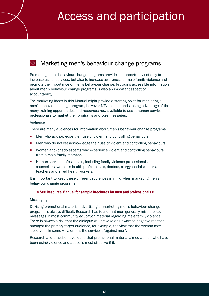## Access and participation

## Marketing men's behaviour change programs

Promoting men's behaviour change programs provides an opportunity not only to increase use of services, but also to increase awareness of male family violence and promote the importance of men's behaviour change. Providing accessible information about men's behaviour change programs is also an important aspect of accountability.

The marketing ideas in this Manual might provide a starting point for marketing a men's behaviour change program, however NTV recommends taking advantage of the many training opportunities and resources now available to assist human service professionals to market their programs and core messages.

### Audience

⊚

There are many audiences for information about men's behaviour change programs.

- Men who acknowledge their use of violent and controlling behaviours.
- Men who do not yet acknowledge their use of violent and controlling behaviours.
- ° Women and/or adolescents who experience violent and controlling behaviours from a male family member.
- ° Human service professionals, including family violence professionals, counsellors, women's health professionals, doctors, clergy, social workers, teachers and allied health workers.

It is important to keep these different audiences in mind when marketing men's behaviour change programs.

### < See Resource Manual for sample brochures for men and professionals >

### Messaging

Devising promotional material advertising or marketing men's behaviour change programs is always difficult. Research has found that men generally miss the key messages in most community education material regarding male family violence. There is always a risk that the dialogue will provoke an unwanted negative reaction amongst the primary target audience, for example, the view that the woman may 'deserve it' in some way, or that the service is 'against men'.

Research and practice have found that promotional material aimed at men who have been using violence and abuse is most effective if it: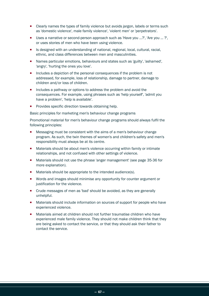- ° Clearly names the types of family violence but avoids jargon, labels or terms such as 'domestic violence', male family violence', 'violent men' or 'perpetrators'.
- Uses a narrative or second-person approach such as 'Have you ...?', 'Are you ...?'. or uses stories of men who have been using violence.
- ° Is designed with an understanding of national, regional, local, cultural, racial, ethnic, and class differences between men and masculinities.
- ° Names particular emotions, behaviours and states such as 'guilty', 'ashamed', 'angry', 'hurting the ones you love'.
- Includes a depiction of the personal consequences if the problem is not addressed, for example, loss of relationship, damage to partner, damage to children and/or loss of children.
- **•** Includes a pathway or options to address the problem and avoid the consequences. For example, using phrases such as 'help yourself', 'admit you have a problem', 'help is available'.
- **•** Provides specific direction towards obtaining help.

Basic principles for marketing men's behaviour change programs

Promotional material for men's behaviour change programs should always fulfil the following principles:

- ° Messaging must be consistent with the aims of a men's behaviour change program. As such, the twin themes of women's and children's safety and men's responsibility must always be at its centre.
- ° Materials should be about men's violence occurring within family or intimate relationships, and not confused with other settings of violence.
- ° Materials should not use the phrase 'anger management' (see page 35-36 for more explanation).
- Materials should be appropriate to the intended audience(s).
- ° Words and images should minimise any opportunity for counter argument or justification for the violence.
- Crude messages of men as 'bad' should be avoided, as they are generally unhelpful.
- ° Materials should include information on sources of support for people who have experienced violence.
- ° Materials aimed at children should not further traumatise children who have experienced male family violence. They should not make children think that they are being asked to contact the service, or that they should ask their father to contact the service.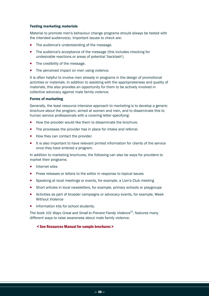### Testing marketing materials

Material to promote men's behaviour change programs should always be tested with the intended audience(s). Important issues to check are:

- The audience's understanding of the message.
- The audience's acceptance of the message (this includes checking for undesirable reactions or areas of potential 'backlash').
- The credibility of the message.
- The perceived impact on men using violence.

It is often helpful to involve men already in programs in the design of promotional activities or materials. In addition to assisting with the appropriateness and quality of materials, this also provides an opportunity for them to be actively involved in collective advocacy against male family violence.

### Forms of marketing

Generally, the least resource intensive approach to marketing is to develop a generic brochure about the program, aimed at women and men, and to disseminate this to human service professionals with a covering letter specifying:

- ° How the provider would like them to disseminate the brochure.
- The processes the provider has in place for intake and referral.
- How they can contact the provider.
- It is also important to have relevant printed information for clients of the service once they have entered a program.

In addition to marketing brochures, the following can also be ways for providers to market their programs:

- **•** Internet sites
- Press releases or letters to the editor in response to topical issues
- Speaking at local meetings or events, for example, a Lion's Club meeting
- Short articles in local newsletters, for example, primary schools or playgroups
- ° Activities as part of broader campaigns or advocacy events, for example, Week Without Violence
- Information kits for school students.

The book *101 Ways Great and Small to Prevent Family Violence<sup>22</sup>*, features many different ways to raise awareness about male family violence.

### < See Resources Manual for sample brochures >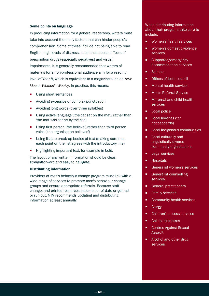### Some points on language

In producing information for a general readership, writers must take into account the many factors that can hinder people's comprehension. Some of these include not being able to read English, high levels of distress, substance abuse, effects of prescription drugs (especially sedatives) and visual impairments. It is generally recommended that writers of materials for a non-professional audience aim for a reading level of Year 8, which is equivalent to a magazine such as *New Idea* or *Women's Weekly*. In practice, this means:

- **Using short sentences**
- **•** Avoiding excessive or complex punctuation
- ° Avoiding long words (over three syllables)
- ° Using active language ('*the cat sat* on the mat', rather than 'the mat *was sat on* by the cat')
- Using first person ('we believe') rather than third person voice ('the organisation believes')
- **Using lists to break up bodies of text (making sure that** each point on the list agrees with the introductory line)
- Highlighting important text, for example in bold.

The layout of any written information should be clear, straightforward and easy to navigate.

### Distributing information

Providers of men's behaviour change program must link with a wide range of services to promote men's behaviour change groups and ensure appropriate referrals. Because staff change, and printed resources become out-of-date or get lost or run out, NTV recommends updating and distributing information at least annually.

When distributing information about their program, take care to include:

- **Women's health services**
- **Women's domestic violence** services
- Supported/emergency accommodation services
- Schools
- Offices of local council
- **Mental health services**
- **Referral Service**
- **•** Maternal and child health services
- **•** Local police
- **E** Local libraries (for noticeboards)
- **EXEC** Local Indigenous communities
- **E** Local culturally and linguistically diverse community organisations
- **Legal services**
- **•** Hospitals
- **•** Generalist women's services
- ° Generalist counselling services
- ° General practitioners
- Family services
- **Community health services**
- **•** Clergy
- Children's access services
- Childcare centres
- Centres Against Sexual **Assault**
- Alcohol and other drug services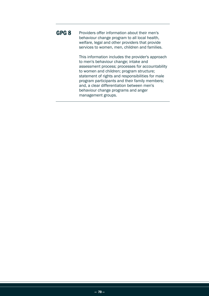| GPG <sub>8</sub> | Providers offer information about their men's<br>behaviour change program to all local health,<br>welfare, legal and other providers that provide<br>services to women, men, children and families.                                                                                                                                                                                                           |
|------------------|---------------------------------------------------------------------------------------------------------------------------------------------------------------------------------------------------------------------------------------------------------------------------------------------------------------------------------------------------------------------------------------------------------------|
|                  | This information includes the provider's approach<br>to men's behaviour change; intake and<br>assessment process; processes for accountability<br>to women and children; program structure;<br>statement of rights and responsibilities for male<br>program participants and their family members;<br>and, a clear differentiation between men's<br>behaviour change programs and anger<br>management groups. |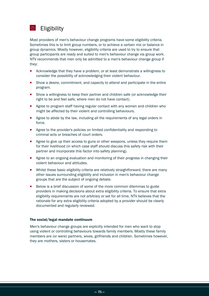### **Eligibility**

Most providers of men's behaviour change programs have some eligibility criteria. Sometimes this is to limit group numbers, or to achieve a certain mix or balance in group dynamics. Mostly however, eligibility criteria are used to try to ensure that group participants are ready and suited to men's behaviour change via group work. NTV recommends that men only be admitted to a men's behaviour change group if they:

- ° Acknowledge that they have a problem, or at least demonstrate a willingness to consider the possibility of acknowledging their violent behaviour.
- Show a desire, commitment, and capacity to attend and participate in the entire program.
- ° Show a willingness to keep their partner and children safe (or acknowledge their right to be and feel safe, where men do not have contact).
- ° Agree to program staff having regular contact with any women and children who might be affected by their violent and controlling behaviours.
- ° Agree to abide by the law, including all the requirements of any legal orders in force.
- ° Agree to the provider's policies on limited confidentiality and responding to criminal acts or breaches of court orders.
- ° Agree to give up their access to guns or other weapons, unless they require them for their livelihood (in which case staff should discuss this safety risk with their partner and incorporate this factor into safety planning).
- ° Agree to an ongoing evaluation and monitoring of their progress in changing their violent behaviour and attitudes.
- ° Whilst these basic eligibility criteria are relatively straightforward, there are many other issues surrounding eligibility and inclusion in men's behaviour change groups that are the subject of ongoing debate.
- Below is a brief discussion of some of the more common dilemmas to guide providers in making decisions about extra eligibility criteria. To ensure that extra eligibility requirements are not arbitrary or set for all time, NTV believes that the rationale for any extra eligibility criteria adopted by a provider should be clearly documented and regularly reviewed.

### The social/legal mandate continuum

Men's behaviour change groups are explicitly intended for men who want to stop using violent or controlling behaviours towards family members. Mostly these family members are (or were) partners, wives, girlfriends and children. Sometimes however, they are mothers, sisters or housemates.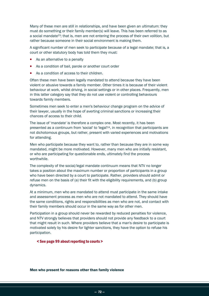Many of these men are still in relationships, and have been given an ultimatum: they must do something or their family member(s) will leave. This has been referred to as a social mandate<sup>23</sup>; that is, men are not entering the process of their own volition, but rather because someone in their social environment is making them.

A significant number of men seek to participate because of a legal mandate; that is, a court or other statutory body has told them they must:

- As an alternative to a penalty
- As a condition of bail, parole or another court order
- As a condition of access to their children.

Often these men have been legally mandated to attend because they have been violent or abusive towards a family member. Other times it is because of their violent behaviour at work, whilst driving, in social settings or in other places. Frequently, men in this latter category say that they do not use violent or controlling behaviours towards family members.

Sometimes men seek to enter a men's behaviour change program on the advice of their lawyer, usually in the hope of averting criminal sanctions or increasing their chances of access to their child.

The issue of 'mandate' is therefore a complex one. Most recently, it has been presented as a continuum from 'social' to 'legal'<sup>24</sup>, in recognition that participants are not dichotomous groups, but rather, present with varied experiences and motivations for attending.

Men who participate because they want to, rather than because they are in some way mandated, might be more motivated. However, many men who are initially resistant, or who are participating for questionable ends, ultimately find the process worthwhile.

The complexity of the social/legal mandate continuum means that NTV no longer takes a position about the maximum number or proportion of participants in a group who have been directed by a court to participate. Rather, providers should admit or refuse men on the basis of (a) their fit with the eligibility requirements, and (b) group dynamics.

At a minimum, men who are mandated to attend must participate in the same intake and assessment process as men who are not mandated to attend. They should have the same conditions, rights and responsibilities as men who are not, and contact with their family members should occur in the same way as for other men.

Participation in a group should never be rewarded by reduced penalties for violence, and NTV strongly believes that providers should not provide any feedback to a court that might result in such. Where providers believe that a man's desire to participate is motivated solely by his desire for lighter sanctions, they have the option to refuse his participation.

< See page 99 about reporting to courts >

Men who present for reasons other than family violence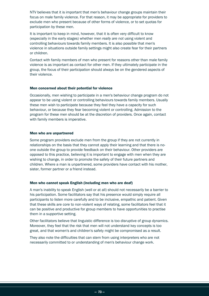NTV believes that it is important that men's behaviour change groups maintain their focus on male family violence. For that reason, it may be appropriate for providers to exclude men who present because of other forms of violence, or to set quotas for participation by these men.

It is important to keep in mind, however, that it is often very difficult to know (especially in the early stages) whether men *really are not* using violent and controlling behaviours towards family members. It is also possible that men's violence in situations outside family settings might also create fear for their partners or children.

Contact with family members of men who present for reasons other than male family violence is as important as contact for other men. If they ultimately participate in the group, the focus of their participation should always be on the gendered aspects of their violence.

### Men concerned about their potential for violence

Occasionally, men wishing to participate in a men's behaviour change program do not appear to be using violent or controlling behaviours towards family members. Usually these men wish to participate because they feel they have a capacity for such behaviour, or because they fear becoming violent or controlling. Admission to the program for these men should be at the discretion of providers. Once again, contact with family members is imperative.

### Men who are unpartnered

Some program providers exclude men from the group if they are not currently in relationships on the basis that they cannot apply their learning and that there is noone outside the group to provide feedback on their behaviour. Other providers are opposed to this practice, believing it is important to engage with men when they are wishing to change, in order to promote the safety of their future partners and children. Where a man is unpartnered, some providers have contact with his mother, sister, former partner or a friend instead.

## Men who cannot speak English (including men who are deaf)

A man's inability to speak English (well or at all) should not necessarily be a barrier to his participation. Some facilitators say that his presence would simply require all participants to listen more carefully and to be inclusive, empathic and patient. Given that these skills are core to non-violent ways of relating, some facilitators feel that it can be positive and productive for group members to have opportunities to practise them in a supportive setting.

Other facilitators believe that linguistic difference is too disruptive of group dynamics. Moreover, they feel that the risk that men will not understand key concepts is too great, and that women's and children's safety might be compromised as a result.

They also note the difficulties that can stem from using interpreters who are not necessarily committed to or understanding of men's behaviour change work.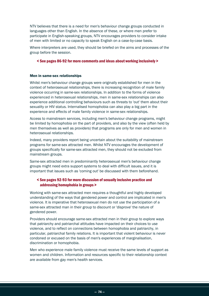NTV believes that there is a need for men's behaviour change groups conducted in languages other than English. In the absence of these, or where men prefer to participate in English-speaking groups, NTV encourages providers to consider intake of men with limited or no capacity to speak English on a case-by-case basis.

Where interpreters are used, they should be briefed on the aims and processes of the group before the session.

## < See pages 86-92 for more comments and ideas about working inclusively >

## Men in same-sex relationships

Whilst men's behaviour change groups were originally established for men in the context of heterosexual relationships, there is increasing recognition of male family violence occurring in same-sex relationships. In addition to the forms of violence experienced in heterosexual relationships, men in same-sex relationships can also experience additional controlling behaviours such as threats to 'out' them about their sexuality or HIV status. Internalised homophobia can also play a big part in the experience and effects of male family violence in same-sex relationships.

Access to mainstream services, including men's behaviour change programs, might be limited by homophobia on the part of providers, and also by the view (often held by men themselves as well as providers) that programs are only for men and women in heterosexual relationships.

Indeed, many providers report being uncertain about the suitability of mainstream programs for same-sex attracted men. Whilst NTV encourages the development of groups specifically for same-sex attracted men, they should not be excluded from mainstream groups.

Same-sex attracted men in predominantly heterosexual men's behaviour change groups might need extra support systems to deal with difficult issues, and it is important that issues such as 'coming out' be discussed with them beforehand.

## < See pages 92-93 for more discussion of sexually inclusive practice and addressing homophobia in groups >

Working with same-sex attracted men requires a thoughtful and highly developed understanding of the ways that gendered power and control are implicated in men's violence. It is imperative that heterosexual men do not use the participation of a same-sex attracted man in their group to discount or 'disprove' the nature of gendered power.

Providers should encourage same-sex attracted men in their group to explore ways that patriarchy and patriarchal attitudes have impacted on their choices to use violence, and to reflect on connections between homophobia and patriarchy, in particular, patriarchal family relations. It is important that violent behaviour is never condoned or excused on the basis of men's experiences of marginalisation, discrimination or homophobia.

Men who experience male family violence must receive the same levels of support as women and children. Information and resources specific to their relationship context are available from gay men's health services.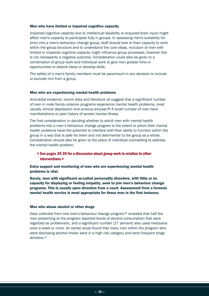## Men who have limited or impaired cognitive capacity

Impaired cognitive capacity due to intellectual disability or acquired brain injury might affect men's capacity to participate fully in groups. In assessing men's suitability for entry into a men's behaviour change group, staff should look at their capacity to work within the group structure and to understand the core ideas. Inclusion of men with limited or impaired cognitive capacity might influence group processes, however this is not necessarily a negative outcome. Consideration could also be given to a combination of group work and individual work to give men greater time or opportunities to absorb ideas or develop skills.

The safety of a man's family members must be paramount in any decision to include or exclude him from a group.

### Men who are experiencing mental health problems

Anecdotal evidence, recent data and literature all suggest that a significant number of men in male family violence programs experience mental health problems, most usually clinical depression and anxious arousal.25 A small number of men have manifestations or past history of severe mental illness.

The first consideration in deciding whether to admit men with mental health problems into a men's behaviour change program is the extent to which their mental health problems have the potential to interfere with their ability to function within the group in a way that is safe for them and not detrimental to the group as a whole. Consideration should also be given to the place of individual counselling to address the mental health problem.

## < See pages 39-39 for a discussion about group work in relation to other interventions >

Extra support and monitoring of men who are experiencing mental health problems is vital.

Rarely, men with significant so-called personality disorders, with little or no capacity for displaying or feeling empathy, seek to join men's behaviour change programs. This is usually upon direction from a court. Assessment from a forensic mental health service is most appropriate for these men in the first instance.

#### Men who abuse alcohol or other drugs

Data collected from one men's behaviour change program<sup>26</sup> revealed that half the men presenting at the program reported levels of alcohol consumption that were regarded as problematic, and a significant number (27 percent) also used marijuana once a week or more. An earlier study found that many men within the program who were disclosing alcohol intake were in a high risk category and were frequent binge drinkers. 27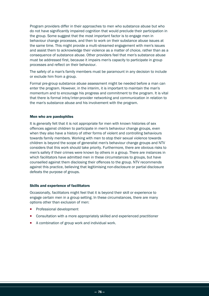Program providers differ in their approaches to men who substance abuse but who do not have significantly impaired cognition that would preclude their participation in the group. Some suggest that the most important factor is to engage men in behaviour change processes, and then to work on their substance abuse issues at the same time. This might provide a multi-streamed engagement with men's issues and assist them to acknowledge their violence as a matter of choice, rather than as a consequence of substance abuse. Other providers feel that men's substance abuse must be addressed first, because it impairs men's capacity to participate in group processes and reflect on their behaviour.

The safety of a man's family members must be paramount in any decision to include or exclude him from a group.

Formal pre-group substance abuse assessment might be needed before a man can enter the program. However, in the interim, it is important to maintain the man's momentum and to encourage his progress and commitment to the program. It is vital that there is formal intra/inter-provider networking and communication in relation to the man's substance abuse and his involvement with the program.

### Men who are paedophiles

It is generally felt that it is not appropriate for men with known histories of sex offences against children to participate in men's behaviour change groups, even when they also have a history of other forms of violent and controlling behaviours towards family members. Working with men to stop their sexual violence towards children is beyond the scope of generalist men's behaviour change groups and NTV considers that this work should take priority. Furthermore, there are obvious risks to men's safety if their crimes were known by others in a group. There are instances in which facilitators have admitted men in these circumstances to groups, but have counselled against them disclosing their offences to the group. NTV recommends against this practice, believing that legitimising non-disclosure or partial disclosure defeats the purpose of groups.

#### Skills and experience of facilitators

Occasionally, facilitators might feel that it is beyond their skill or experience to engage certain men in a group setting. In these circumstances, there are many options other than exclusion of men:

- Professional development
- ° Consultation with a more appropriately skilled and experienced practitioner
- ° A combination of group work and individual work.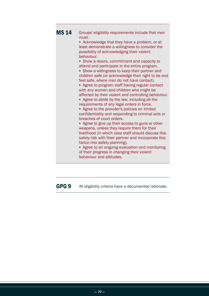| MS 14 | Groups' eligibility requirements include that men<br>must:                                                                                                   |
|-------|--------------------------------------------------------------------------------------------------------------------------------------------------------------|
|       | • Acknowledge that they have a problem, or at<br>least demonstrate a willingness to consider the<br>possibility of acknowledging their violent<br>behaviour. |
|       | Show a desire, commitment and capacity to<br>attend and participate in the entire program.<br>• Show a willingness to keep their partner and                 |
|       | children safe (or acknowledge their right to be and<br>feel safe, where men do not have contact).                                                            |
|       | " Agree to program staff having regular contact<br>with any women and children who might be<br>affected by their violent and controlling behaviour.          |
|       | • Agree to abide by the law, including all the<br>requirements of any legal orders in force.                                                                 |
|       | Agree to the provider's policies on limited<br>confidentiality and responding to criminal acts or<br>breaches of court orders.                               |
|       | ■ Agree to give up their access to guns or other<br>weapons, unless they require them for their                                                              |
|       | livelihood (in which case staff should discuss this<br>safety risk with their partner and incorporate this                                                   |
|       | factor into safety planning).<br>• Agree to an ongoing evaluation and monitoring<br>of their progress in changing their violent                              |
|       | behaviour and attitudes.                                                                                                                                     |

GPG 9 All eligibility criteria have a documented rationale.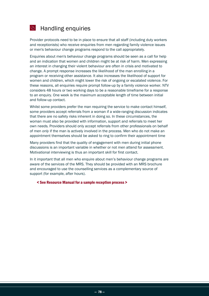#### $\circledcirc$ Handling enquiries

Provider protocols need to be in place to ensure that all staff (including duty workers and receptionists) who receive enquiries from men regarding family violence issues or men's behaviour change programs respond to the call appropriately.

Enquiries about men's behaviour change programs should be seen as a call for help and an indication that women and children might be at risk of harm. Men expressing an interest in changing their violent behaviour are often in crisis and motivated to change. A prompt response increases the likelihood of the man enrolling in a program or receiving other assistance. It also increases the likelihood of support for women and children, which might lower the risk of ongoing or escalated violence. For these reasons, all enquiries require prompt follow-up by a family violence worker. NTV considers 48 hours or two working days to be a reasonable timeframe for a response to an enquiry. One week is the maximum acceptable length of time between initial and follow-up contact.

Whilst some providers prefer the man requiring the service to make contact himself, some providers accept referrals from a woman if a wide-ranging discussion indicates that there are no safety risks inherent in doing so. In these circumstances, the woman must also be provided with information, support and referrals to meet her own needs. Providers should only accept referrals from other professionals on behalf of men *only* if the man is actively involved in the process. Men who do not make an appointment themselves should be asked to ring to confirm their appointment time

Many providers find that the quality of engagement with men during initial phone discussions is an important variable in whether or not men attend for assessment. Motivational interviewing is thus an important skill for first contact.

In it important that all men who enquire about men's behaviour change programs are aware of the services of the MRS. They should be provided with an MRS brochure and encouraged to use the counselling services as a complementary source of support (for example, after hours).

< See Resource Manual for a sample reception process >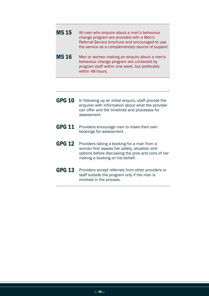| <b>MS 15</b> | All men who enquire about a men's behaviour       |
|--------------|---------------------------------------------------|
|              | change program are provided with a Men's          |
|              | Referral Service brochure and encouraged to use   |
|              | the service as a complementary source of support. |

- MS 16 Men or women making an enquiry about a men's behaviour change program are contacted by program staff within one week, but preferably within 48 hours.
- GPG 10 In following up an initial enquiry, staff provide the enquirer with information about what the provider can offer and the timelines and processes for assessment.
- **GPG 11** Providers encourage men to make their own bookings for assessment.
- **GPG 12** Providers taking a booking for a man from a woman first assess her safety, situation and options before discussing the pros and cons of her making a booking on his behalf.
- GPG 13 Providers accept referrals from other providers or staff outside the program only if the man is involved in the process.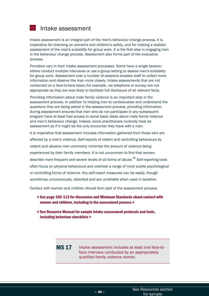#### $\circledcirc$ Intake assessment

Intake assessment is an integral part of the men's behaviour change process. It is imperative for checking on women's and children's safety, and for making a realistic assessment of the man's suitability for group work. It is the first step in engaging men in the behaviour change process. Assessment also forms part of the evaluative process.

Providers vary in their intake assessment processes. Some have a single session; others conduct multiple interviews or use a group setting to assess men's suitability for group work. Assessment over a number of sessions enables staff to collect more information and observe the man more closely. Intake assessments that are not conducted on a face-to-face basis (for example, via telephone or survey) are not appropriate as they are less likely to facilitate full disclosure of all relevant facts.

Providing information about male family violence is an important step in the assessment process. In addition to helping men to contextualise and understand the questions they are being asked in the assessment process, providing information during assessment ensures that men who do not participate in any subsequent program have at least had access to some basic ideas about male family violence and men's behaviour change. Indeed, some practitioners routinely treat an assessment as if it might be the only encounter they have with a man.

It is imperative that assessment includes information gathered from those who are affected by a man's violence. Self-reports of violent and controlling behaviours by violent and abusive men commonly minimise the amount of violence being experienced by their family members. It is not uncommon to find that women describe more frequent and severe levels of all forms of abuse.<sup>28</sup> Self-reporting tools often focus on physical behaviours and overlook a range of more subtle psychological or controlling forms of violence. Any self-report measures can be easily, though sometimes unconsciously, distorted and are unreliable when used in isolation.

Contact with women and children should form part of the assessment process.

## < See page 103-113 for discussion and Minimum Standards about contact with women and children, including in the assessment process >

< See Resource Manual for sample intake assessment protocols and tools, including behaviour checklists >

> MS 17 Intake assessment includes at least one face-toface interview conducted by an appropriately qualified family violence worker.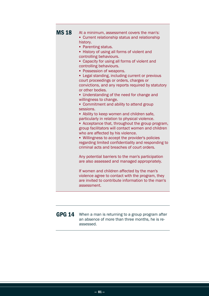| <b>MS18</b> | At a minimum, assessment covers the man's:<br>• Current relationship status and relationship<br>history.<br>• Parenting status.<br>- History of using all forms of violent and<br>controlling behaviours.<br>• Capacity for using all forms of violent and<br>controlling behaviours.<br>• Possession of weapons.<br>• Legal standing, including current or previous<br>court proceedings or orders, charges or<br>convictions, and any reports required by statutory<br>or other bodies.<br>• Understanding of the need for change and<br>willingness to change.<br>• Commitment and ability to attend group<br>sessions.<br>- Ability to keep women and children safe,<br>particularly in relation to physical violence.<br>• Acceptance that, throughout the group program,<br>group facilitators will contact women and children<br>who are affected by his violence.<br>. Willingness to accept the provider's policies<br>regarding limited confidentiality and responding to<br>criminal acts and breaches of court orders.<br>Any potential barriers to the man's participation<br>are also assessed and managed appropriately.<br>If women and children affected by the man's<br>violence agree to contact with the program, they<br>are invited to contribute information to the man's<br>assessment. |
|-------------|-----------------------------------------------------------------------------------------------------------------------------------------------------------------------------------------------------------------------------------------------------------------------------------------------------------------------------------------------------------------------------------------------------------------------------------------------------------------------------------------------------------------------------------------------------------------------------------------------------------------------------------------------------------------------------------------------------------------------------------------------------------------------------------------------------------------------------------------------------------------------------------------------------------------------------------------------------------------------------------------------------------------------------------------------------------------------------------------------------------------------------------------------------------------------------------------------------------------------------------------------------------------------------------------------------------------|
|             |                                                                                                                                                                                                                                                                                                                                                                                                                                                                                                                                                                                                                                                                                                                                                                                                                                                                                                                                                                                                                                                                                                                                                                                                                                                                                                                 |

**GPG 14** When a man is returning to a group program after an absence of more than three months, he is reassessed.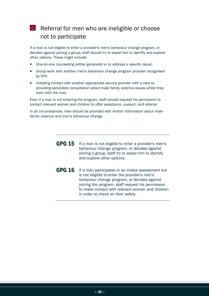## $\circledcirc$ Referral for men who are ineligible or choose not to participate

If a man is not eligible to enter a provider's men's behaviour change program, or decides against joining a group, staff should try to assist him to identify and explore other options. These might include:

- ° One-on-one counselling (either generalist or to address a specific issue)
- ° Group work with another men's behaviour change program provider recognised by NTV
- Initiating contact with another appropriate service provider with a view to providing secondary consultation about male family violence issues whilst they work with the man.

Even if a man is not entering the program, staff should request his permission to contact relevant women and children to offer assistance, support, and referral.

In all circumstances, men should be provided with written information about male family violence and men's behaviour change.

- **GPG 15** If a man is not eligible to enter a provider's men's behaviour change program, or decides against joining a group, staff try to assist him to identify and explore other options.
- GPG 16 If a man participates in an intake assessment but is not eligible to enter the provider's men's behaviour change program, or decides against joining the program, staff request his permission to make contact with relevant women and children in order to check on their safety.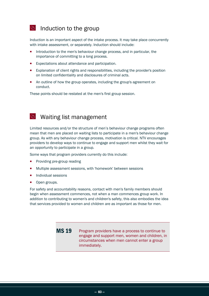#### ⊚ Induction to the group

Induction is an important aspect of the intake process. It may take place concurrently with intake assessment, or separately. Induction should include:

- **•** Introduction to the men's behaviour change process, and in particular, the importance of committing to a long process.
- **Expectations about attendance and participation.**
- ° Explanation of client rights and responsibilities, including the provider's position on limited confidentiality and disclosures of criminal acts.
- ° An outline of how the group operates, including the group's agreement on conduct.

These points should be restated at the men's first group session.

## Waiting list management

Limited resources and/or the structure of men's behaviour change programs often mean that men are placed on waiting lists to participate in a men's behaviour change group. As with any behaviour change process, motivation is critical. NTV encourages providers to develop ways to continue to engage and support men whilst they wait for an opportunity to participate in a group.

Some ways that program providers currently do this include:

- Providing pre-group reading
- ° Multiple assessment sessions, with 'homework' between sessions
- ° Individual sessions
- Open groups.

For safety and accountability reasons, contact with men's family members should begin when assessment commences, not when a man commences group work. In addition to contributing to women's and children's safety, this also embodies the idea that services provided to women and children are as important as those for men.

> MS 19 Program providers have a process to continue to engage and support men, women and children, in circumstances when men cannot enter a group immediately.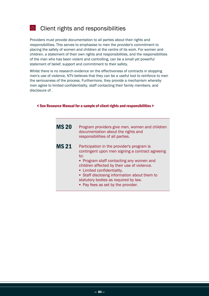#### ◈ Client rights and responsibilities

Providers must provide documentation to all parties about their rights and responsibilities. This serves to emphasise to men the provider's commitment to placing the safety of women and children at the centre of its work. For women and children, a statement of their own rights and responsibilities, and the responsibilities of the man who has been violent and controlling, can be a small yet powerful statement of belief, support and commitment to their safety.

Whilst there is no research evidence on the effectiveness of contracts in stopping men's use of violence, NTV believes that they can be a useful tool to reinforce to men the seriousness of the process. Furthermore, they provide a mechanism whereby men agree to limited confidentiality, staff contacting their family members, and disclosure of .

< See Resource Manual for a sample of client rights and responsibilities >

| <b>MS 20</b> | Program providers give men, women and children<br>documentation about the rights and<br>responsibilities of all parties.                                                                                                                                                                                                                                    |
|--------------|-------------------------------------------------------------------------------------------------------------------------------------------------------------------------------------------------------------------------------------------------------------------------------------------------------------------------------------------------------------|
| <b>MS 21</b> | Participation in the provider's program is<br>contingent upon men signing a contract agreeing<br>to:<br>• Program staff contacting any women and<br>children affected by their use of violence.<br>- Limited confidentiality.<br>• Staff disclosing information about them to<br>statutory bodies as required by law.<br>• Pay fees as set by the provider. |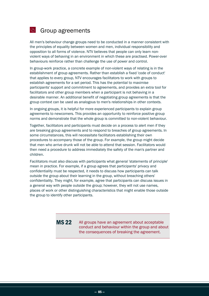# Group agreements

All men's behaviour change groups need to be conducted in a manner consistent with the principles of equality between women and men, individual responsibility and opposition to all forms of violence. NTV believes that people can only learn nonviolent ways of behaving in an environment in which these are practised. Power-over behaviours reinforce rather than challenge the use of power and control.

In group-work practice, a concrete example of non-violent ways of relating is in the establishment of group agreements. Rather than establish a fixed 'code of conduct' that applies to every group, NTV encourages facilitators to work with groups to establish agreements for a set period. This has the potential to maximise participants' support and commitment to agreements, and provides an extra tool for facilitators and other group members when a participant is not behaving in a desirable manner. An additional benefit of negotiating group agreements is that the group context can be used as analogous to men's relationships in other contexts.

In ongoing groups, it is helpful for more experienced participants to explain group agreements to newcomers. This provides an opportunity to reinforce positive group norms and demonstrate that the whole group is committed to non-violent behaviour.

Together, facilitators and participants must decide on a process to alert men if they are breaking group agreements and to respond to breaches of group agreements. In some circumstances, this will necessitate facilitators establishing their own procedures to accompany those of the group. For example, the group might decide that men who arrive drunk will not be able to attend that session. Facilitators would then need a procedure to address immediately the safety of the man's partner and children.

Facilitators must also discuss with participants what general 'statements of principle' mean in practice. For example, if a group agrees that participants' privacy and confidentiality must be respected, it needs to discuss how participants can talk outside the group about their learning in the group, without breaching others' confidentiality. They might, for example, agree that participants can discuss issues in a general way with people outside the group; however, they will not use names, places of work or other distinguishing characteristics that might enable those outside the group to identify other participants.

MS 22 All groups have an agreement about acceptable conduct and behaviour within the group and about the consequences of breaking the agreement.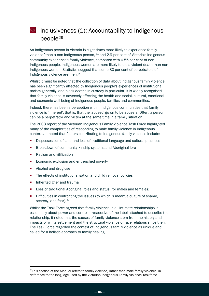## $^{\circ}$ Inclusiveness (1): Accountability to Indigenous people<sup>29</sup>

An Indigenous person in Victoria is eight times more likely to experience family violence<sup>\*</sup> than a non-Indigenous person, <sup>30</sup> and 2.9 per cent of Victoria's Indigenous community experienced family violence, compared with 0.55 per cent of non-Indigenous people. Indigenous women are more likely to die a violent death than non-Indigenous women. Statistics suggest that some 80 per cent of perpetrators of Indigenous violence are men.<sup>31</sup>

Whilst it must be noted that the collection of data about Indigenous family violence has been significantly affected by Indigenous people's experiences of institutional racism generally, and black deaths in custody in particular, it is widely recognised that family violence is adversely affecting the health and social, cultural, emotional and economic well-being of Indigenous people, families and communities.

Indeed, there has been a perception within Indigenous communities that family violence is 'inherent'; that is, that the 'abused' go on to be abusers. Often, a person can be a perpetrator and victim at the same time in a family situation.

The 2003 report of the Victorian Indigenous Family Violence Task Force highlighted many of the complexities of responding to male family violence in Indigenous contexts. It noted that factors contributing to Indigenous family violence include:

- ° Dispossession of land and loss of traditional language and cultural practices
- **Breakdown of community kinship systems and Aboriginal lore**
- Racism and vilification
- **Exercise** Economic exclusion and entrenched poverty
- Alcohol and drug use

 $\overline{a}$ 

- The effects of institutionalisation and child removal policies
- **•** Inherited grief and trauma
- Loss of traditional Aboriginal roles and status (for males and females)
- Difficulties in confronting the issues (by which is meant a culture of shame, secrecy, and fear),  $32$

Whilst the Task Force agreed that family violence in all intimate relationships is essentially about power and control, irrespective of the label attached to describe the relationship, it noted that the causes of family violence stem from the history and impacts of white settlement and the structural violence of race relations since then. The Task Force regarded the context of Indigenous family violence as unique and called for a holistic approach to family healing.

<sup>∗</sup> This section of the Manual refers to family violence, rather than male family violence, in deference to the language used by the Victorian Indigenous Family Violence Taskforce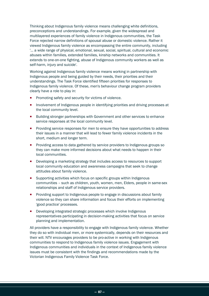Thinking about Indigenous family violence means challenging white definitions, preconceptions and understandings. For example, given the widespread and multilayered experiences of family violence in Indigenous communities, the Task Force rejected narrow definitions of spousal abuse or domestic violence. Rather it viewed Indigenous family violence as encompassing the entire community, including '… a wide range of physical, emotional, sexual, social, spiritual, cultural and economic abuses within families, extended families, kinship networks and communities. It extends to one-on-one fighting, abuse of Indigenous community workers as well as self-harm, injury and suicide'.

Working against Indigenous family violence means working in partnership with Indigenous people and being guided by their needs, their priorities and their understandings. The Task Force identified fifteen priorities for responses to Indigenous family violence. Of these, men's behaviour change program providers clearly have a role to play in:

- Promoting safety and security for victims of violence.
- ° Involvement of Indigenous people in identifying priorities and driving processes at the local community level.
- ° Building stronger partnerships with Government and other services to enhance service responses at the local community level.
- Providing service responses for men to ensure they have opportunities to address their issues in a manner that will lead to fewer family violence incidents in the short, medium and longer term.
- Providing access to data gathered by service providers to Indigenous groups so they can make more informed decisions about what needs to happen in their local communities.
- ° Developing a marketing strategy that includes access to resources to support local community education and awareness campaigns that seek to change attitudes about family violence.
- ° Supporting activities which focus on specific groups within Indigenous communities – such as children, youth, women, men, Elders, people in same-sex relationships and staff of Indigenous service providers.
- ° Providing support to Indigenous people to engage in discussions about family violence so they can share information and focus their efforts on implementing 'good practice' processes.
- ° Developing integrated strategic processes which involve Indigenous representatives participating in decision-making activities that focus on service planning and implementation.

All providers have a responsibility to engage with Indigenous family violence. Whether they do so with individual men, or more systemically, depends on their resources and their will. NTV encourages providers to be pro-active in working with Indigenous communities to respond to Indigenous family violence issues. Engagement with Indigenous communities and individuals in the context of Indigenous family violence issues must be consistent with the findings and recommendations made by the Victorian Indigenous Family Violence Task Force.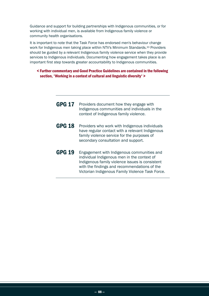Guidance and support for building partnerships with Indigenous communities, or for working with individual men, is available from Indigenous family violence or community health organisations.

It is important to note that the Task Force has endorsed men's behaviour change work for Indigenous men taking place within NTV's Minimum Standards.<sup>33</sup> Providers should be guided by a relevant Indigenous family violence service when they provide services to Indigenous individuals. Documenting how engagement takes place is an important first step towards greater accountability to Indigenous communities.

## < Further commentary and Good Practice Guidelines are contained in the following section, 'Working in a context of cultural and linguistic diversity' >

- **GPG 17** Providers document how they engage with Indigenous communities and individuals in the context of Indigenous family violence.
- GPG 18 Providers who work with Indigenous individuals have regular contact with a relevant Indigenous family violence service for the purposes of secondary consultation and support.
- GPG 19 Engagement with Indigenous communities and individual Indigenous men in the context of Indigenous family violence issues is consistent with the findings and recommendations of the Victorian Indigenous Family Violence Task Force.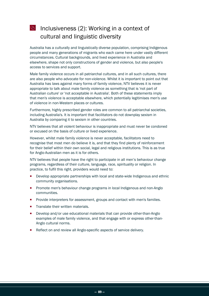## $^{\circ}$ Inclusiveness (2): Working in a context of cultural and linguistic diversity

Australia has a culturally and linguistically diverse population, comprising Indigenous people and many generations of migrants who each came here under vastly different circumstances. Cultural backgrounds, and lived experience in Australia and elsewhere, shape not only constructions of gender and violence, but also people's access to services and support.

Male family violence occurs in all patriarchal cultures, and in all such cultures, there are also people who advocate for non-violence. Whilst it is important to point out that Australia has laws against many forms of family violence, NTV believes it is never appropriate to talk about male family violence as something that is 'not part of Australian culture' or 'not acceptable in Australia'. Both of these statements imply that men's violence is acceptable elsewhere, which potentially legitimises men's use of violence in non-Western places or cultures.

Furthermore, highly prescribed gender roles are common to all patriarchal societies, including Australia's. It is important that facilitators do not downplay sexism in Australia by comparing it to sexism in other countries.

NTV believes that all violent behaviour is inappropriate and must never be condoned or excused on the basis of culture or lived experience.

However, whilst male family violence is never acceptable, facilitators need to recognise that most men do believe it is, and that they find plenty of reinforcement for their belief within their own social, legal and religious institutions. This is as true for Anglo-Australian men as it is for others.

NTV believes that people have the right to participate in all men's behaviour change programs, regardless of their culture, language, race, spirituality or religion. In practice, to fulfil this right, providers would need to:

- ° Develop appropriate partnerships with local and state-wide Indigenous and ethnic community organisations.
- Promote men's behaviour change programs in local Indigenous and non-Anglo communities.
- Provide interpreters for assessment, groups and contact with men's families.
- Translate their written materials.
- Develop and/or use educational materials that can provide other-than-Anglo examples of male family violence, and that engage with or express other-than-Anglo cultural norms.
- Reflect on and review all Anglo-specific aspects of service delivery.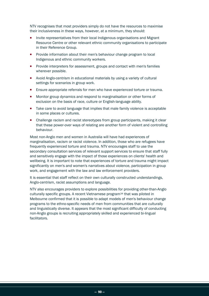NTV recognises that most providers simply do not have the resources to maximise their inclusiveness in these ways, however, at a minimum, they should:

- ° Invite representatives from their local Indigenous organisations and Migrant Resource Centre or other relevant ethnic community organisations to participate in their Reference Group.
- **•** Provide information about their men's behaviour change program to local Indigenous and ethnic community workers.
- **•** Provide interpreters for assessment, groups and contact with men's families wherever possible.
- ° Avoid Anglo-centrism in educational materials by using a variety of cultural settings for scenarios in group work.
- ° Ensure appropriate referrals for men who have experienced torture or trauma.
- ° Monitor group dynamics and respond to marginalisation or other forms of exclusion on the basis of race, culture or English-language ability.
- Take care to avoid language that implies that male family violence is acceptable in some places or cultures.
- ° Challenge racism and racist stereotypes from group participants, making it clear that these power-over ways of relating are another form of violent and controlling behaviour.

Most non-Anglo men and women in Australia will have had experiences of marginalisation, racism or racist violence. In addition, those who are refugees have frequently experienced torture and trauma. NTV encourages staff to use the secondary consultation services of relevant support services to ensure that staff fully and sensitively engage with the impact of those experiences on clients' health and wellbeing. It is important to note that experiences of torture and trauma might impact significantly on men's and women's narratives about violence, participation in group work, and engagement with the law and law enforcement providers.

It is essential that staff reflect on their own culturally constructed understandings, Anglo-centrism, racist assumptions and language.

NTV also encourages providers to explore possibilities for providing other-than-Anglo culturally specific groups. A recent Vietnamese program34 that was piloted in Melbourne confirmed that it is possible to adapt models of men's behaviour change programs to the ethno-specific needs of men from communities that are culturally and linguistically diverse. It appears that the most significant difficulty of conducting non-Anglo groups is recruiting appropriately skilled and experienced bi-lingual facilitators.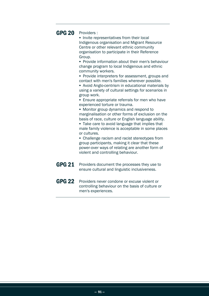## GPG 20 Providers :

**Invite representatives from their local** Indigenous organisation and Migrant Resource Centre or other relevant ethnic community organisation to participate in their Reference Group.

**Provide information about their men's behaviour** change program to local Indigenous and ethnic community workers.

**Provide interpreters for assessment, groups and** contact with men's families wherever possible.

• Avoid Anglo-centrism in educational materials by using a variety of cultural settings for scenarios in group work.

**Ensure appropriate referrals for men who have** experienced torture or trauma.

• Monitor group dynamics and respond to marginalisation or other forms of exclusion on the basis of race, culture or English language ability.

• Take care to avoid language that implies that male family violence is acceptable in some places or cultures.

• Challenge racism and racist stereotypes from group participants, making it clear that these power-over ways of relating are another form of violent and controlling behaviour.

- **GPG 21** Providers document the processes they use to ensure cultural and linguistic inclusiveness.
- GPG 22 Providers never condone or excuse violent or controlling behaviour on the basis of culture or men's experiences.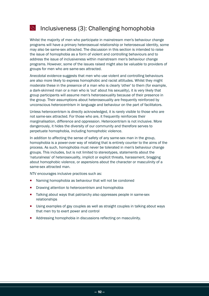## Inclusiveness (3): Challenging homophobia

Whilst the majority of men who participate in mainstream men's behaviour change programs will have a primary heterosexual relationship or heterosexual identity, some may also be same-sex attracted. The discussion in this section is intended to raise the issue of homophobia as a form of violent and controlling behaviours and to address the issue of inclusiveness within mainstream men's behaviour change programs. However, some of the issues raised might also be valuable to providers of groups for men who are same-sex attracted.

Anecdotal evidence suggests that men who use violent and controlling behaviours are also more likely to express homophobic and racist attitudes. Whilst they might moderate these in the presence of a man who is clearly 'other' to them (for example, a dark-skinned man or a man who is 'out' about his sexuality), it is very likely that group participants will assume men's heterosexuality because of their presence in the group. Their assumptions about heterosexuality are frequently reinforced by unconscious heterocentrism in language and behaviour on the part of facilitators.

Unless heterocentrism is directly acknowledged, it is rarely visible to those who are not same-sex attracted. For those who are, it frequently reinforces their marginalisation, difference and oppression. Heterocentrism is not inclusive. More dangerously, it hides the diversity of our community and therefore serves to perpetuate homophobia, including homophobic violence.

In addition to affecting the sense of safety of any same-sex man in the group, homophobia is a power-over way of relating that is entirely counter to the aims of the process. As such, homophobia must never be tolerated in men's behaviour change groups. This includes, but is not limited to stereotypes, statements about the 'naturalness' of heterosexuality, implicit or explicit threats, harassment, bragging about homophobic violence, or aspersions about the character or masculinity of a same-sex attracted man.

NTV encourages inclusive practices such as:

- Naming homophobia as behaviour that will not be condoned
- ° Drawing attention to heterocentrism and homophobia
- Talking about ways that patriarchy also oppresses people in same-sex relationships
- ° Using examples of gay couples as well as straight couples in talking about ways that men try to exert power and control
- **•** Addressing homophobia in discussions reflecting on masculinity.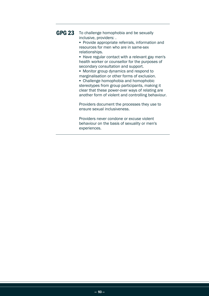## **GPG 23** To challenge homophobia and be sexually inclusive, providers: .

**Provide appropriate referrals, information and** resources for men who are in same-sex relationships.

**Have regular contact with a relevant gay men's** health worker or counsellor for the purposes of secondary consultation and support.

• Monitor group dynamics and respond to marginalisation or other forms of exclusion.

• Challenge homophobia and homophobic stereotypes from group participants, making it clear that these power-over ways of relating are another form of violent and controlling behaviour.

Providers document the processes they use to ensure sexual inclusiveness.

Providers never condone or excuse violent behaviour on the basis of sexuality or men's experiences.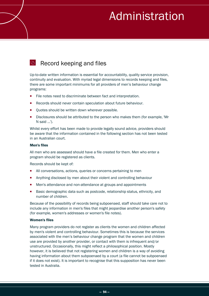# Administration

#### ◈ Record keeping and files

Up-to-date written information is essential for accountability, quality service provision, continuity and evaluation. With myriad legal dimensions to records keeping and files, there are some important minimums for all providers of men's behaviour change programs:

- File notes need to discriminate between fact and interpretation.
- **•** Records should never contain speculation about future behaviour.
- Ouotes should be written down wherever possible.
- ° Disclosures should be attributed to the person who makes them (for example, 'Mr N said …').

Whilst every effort has been made to provide legally sound advice, providers should be aware that the information contained in the following section has not been tested in an Australian court.

## Men's files

All men who are assessed should have a file created for them. Men who enter a program should be registered as clients.

Records should be kept of:

- All conversations, actions, queries or concerns pertaining to men
- ° Anything disclosed by men about their violent and controlling behaviour
- Men's attendance and non-attendance at groups and appointments
- Basic demographic data such as postcode, relationship status, ethnicity, and number of children.

Because of the possibility of records being subpoenaed, staff should take care not to include any information in men's files that might jeopardise another person's safety (for example, women's addresses or women's file notes).

### Women's files

Many program providers do not register as clients the women and children affected by men's violent and controlling behaviour. Sometimes this is because the services associated with the men's behaviour change program that the women and children use are provided by another provider, or contact with them is infrequent and/or unstructured. Occasionally, this might reflect a philosophical position. Mostly however, it is believed that not registering women and children is a way of avoiding having information about them subpoenaed by a court (a file cannot be subpoenaed if it does not exist). It is important to recognise that this supposition has never been tested in Australia.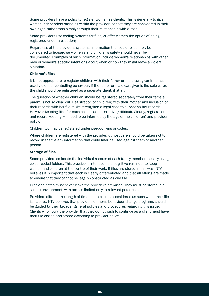Some providers have a policy to register women as clients. This is generally to give women independent standing within the provider, so that they are considered in their own right, rather than simply through their relationship with a man.

Some providers use coding systems for files, or offer women the option of being registered under a pseudonym.

Regardless of the provider's systems, information that could reasonably be considered to jeopardise women's and children's safety should never be documented. Examples of such information include women's relationships with other men or women's specific intentions about when or how they might leave a violent situation.

## Children's files

It is not appropriate to register children with their father or male caregiver if he has used violent or controlling behaviour. If the father or male caregiver is the sole carer, the child should be registered as a separate client, if at all.

The question of whether children should be registered separately from their female parent is not so clear cut. Registration of child(ren) with their mother and inclusion of their records with her file might strengthen a legal case to subpoena her records. However keeping files for each child is administratively difficult. Clearly, registration and record keeping will need to be informed by the age of the child(ren) and provider policy.

Children too may be registered under pseudonyms or codes.

Where children are registered with the provider, utmost care should be taken not to record in the file any information that could later be used against them or another person.

## Storage of files

Some providers co-locate the individual records of each family member, usually using colour-coded folders. This practice is intended as a cognitive reminder to keep women and children at the centre of their work. If files are stored in this way, NTV believes it is important that each is clearly differentiated and that all efforts are made to ensure that they cannot be legally constructed as one file.

Files and notes must never leave the provider's premises. They must be stored in a secure environment, with access limited only to relevant personnel.

Providers differ in the length of time that a client is considered as such when their file is inactive. NTV believes that providers of men's behaviour change programs should be guided by their broader general policies and procedures regarding this issue. Clients who notify the provider that they do not wish to continue as a client must have their file closed and stored according to provider policy.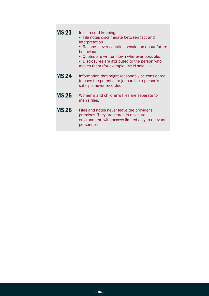| <b>MS 23</b> | In all record keeping:<br>· File notes discriminate between fact and<br>interpretation.<br>• Records never contain speculation about future<br>behaviour.<br>• Quotes are written down wherever possible.<br>• Disclosures are attributed to the person who<br>makes them (for example, 'Mr N said '). |
|--------------|--------------------------------------------------------------------------------------------------------------------------------------------------------------------------------------------------------------------------------------------------------------------------------------------------------|
| <b>MS 24</b> | Information that might reasonably be considered<br>to have the potential to jeopardise a person's<br>safety is never recorded.                                                                                                                                                                         |
| <b>MS 25</b> | Women's and children's files are separate to<br>men's files.                                                                                                                                                                                                                                           |
| <b>MS 26</b> | Files and notes never leave the provider's<br>premises. They are stored in a secure<br>environment, with access limited only to relevant<br>personnel.                                                                                                                                                 |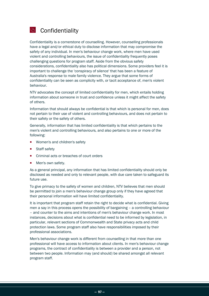#### $\circledcirc$ Confidentiality

Confidentiality is a cornerstone of counselling. However, counselling professionals have a legal and/or ethical duty to disclose information that may compromise the safety of any individual. In men's behaviour change work, where men have used violent and controlling behaviours, the issue of confidentiality frequently poses challenging questions for program staff. Aside from the obvious safety considerations, confidentiality also has political dimensions. Some providers feel it is important to challenge the 'conspiracy of silence' that has been a feature of Australia's response to male family violence. They argue that some forms of confidentiality can be seen as complicity with, or tacit acceptance of, men's violent behaviour.

NTV advocates the concept of limited confidentiality for men, which entails holding information about someone in trust and confidence unless it might affect the safety of others.

Information that should always be confidential is that which is personal for men, does not pertain to their use of violent and controlling behaviours, and does not pertain to their safety or the safety of others.

Generally, information that has limited confidentiality is that which pertains to the men's violent and controlling behaviours, and also pertains to one or more of the following:

- Women's and children's safety
- Staff safety
- Criminal acts or breaches of court orders
- Men's own safety.

As a general principal, any information that has limited confidentiality should only be disclosed as needed and only to relevant people, with due care taken to safeguard its future use.

To give primacy to the safety of women and children, NTV believes that men should be permitted to join a men's behaviour change group only if they have agreed that their personal information will have limited confidentiality.

It is important that program staff retain the right to decide what is confidential. Giving men a say in this process opens the possibility of bargaining – a controlling behaviour – and counter to the aims and intentions of men's behaviour change work. In most instances, decisions about what is confidential need to be informed by legislation, in particular, relevant sections of Commonwealth and State privacy acts and child protection laws. Some program staff also have responsibilities imposed by their professional associations.

Men's behaviour change work is different from counselling in that more than one professional will have access to information about clients. In men's behaviour change programs, the contract of confidentiality is between a provider and a person, not between two people. Information may (and should) be shared amongst all relevant program staff.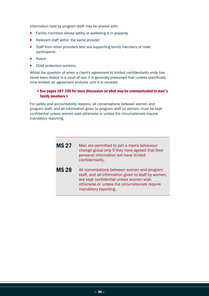Information held by program staff may be shared with:

- Family members whose safety or wellbeing is in jeopardy
- Relevant staff within the same provider
- Staff from other providers who are supporting family members of male participants
- **Police**
- Child protection workers.

Whilst the question of when a client's agreement to limited confidentiality ends has never been tested in a court of law, it is generally presumed that (unless specifically time-limited) an agreement endures until it is revoked.

## < See pages 107-109 for more discussion on what may be communicated to men's family members >

For safety and accountability reasons, all conversations between women and program staff, and all information given to program staff by women, must be kept confidential unless women wish otherwise or unless the circumstances require mandatory reporting.

- MS 27 Men are permitted to join a men's behaviour change group only if they have agreed that their personal information will have limited confidentiality.
- MS 28 All conversations between women and program staff, and all information given to staff by women, are kept confidential unless women wish otherwise or unless the circumstances require mandatory reporting.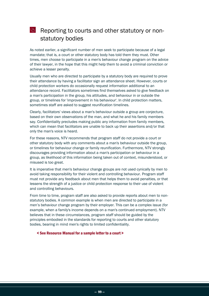## $^{\circ}$ Reporting to courts and other statutory or nonstatutory bodies

As noted earlier, a significant number of men seek to participate because of a legal mandate; that is, a court or other statutory body has told them they must. Other times, men choose to participate in a men's behaviour change program on the advice of their lawyer, in the hope that this might help them to avoid a criminal conviction or achieve a lesser penalty.

Usually men who are directed to participate by a statutory body are required to prove their attendance by having a facilitator sign an attendance sheet. However, courts or child protection workers do occasionally request information additional to an attendance record. Facilitators sometimes find themselves asked to give feedback on a man's participation in the group, his attitudes, and behaviour in or outside the group, or timelines for 'improvement in his behaviour'. In child protection matters, sometimes staff are asked to suggest reunification timelines.

Clearly, facilitators' views about a man's behaviour outside a group are conjecture, based on their own observations of the man, and what he and his family members say. Confidentiality precludes making public any information from family members, which can mean that facilitators are unable to back up their assertions and/or that only the man's voice is heard.

For these reasons, NTV recommends that program staff do not provide a court or other statutory body with any comments about a man's behaviour outside the group, or timelines for behaviour change or family reunification. Furthermore, NTV strongly discourages providing information about a man's participation or behaviour in a group, as likelihood of this information being taken out of context, misunderstood, or misused is too great.

It is imperative that men's behaviour change groups are not used cynically by men to avoid taking responsibility for their violent and controlling behaviour. Program staff must not provide any feedback about men that helps them to avoid penalties, or that lessens the strength of a justice or child protection response to their use of violent and controlling behaviours.

From time to time, program staff are also asked to provide reports about men to nonstatutory bodies. A common example is when men are directed to participate in a men's behaviour change program by their employer. This can be a complex issue (for example, when a family's income depends on a man's continued employment). NTV believes that in these circumstances, program staff should be guided by the principles embodied in the standards for reporting to courts and other statutory bodies, bearing in mind men's rights to limited confidentiality.

## < See Resource Manual for a sample letter to a court >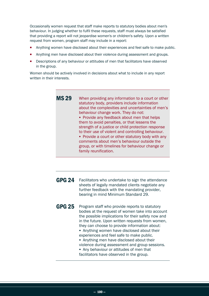Occasionally women request that staff make reports to statutory bodies about men's behaviour. In judging whether to fulfil these requests, staff must always be satisfied that providing a report will not jeopardise women's or children's safety. Upon a written request from women, program staff may include in a report:

- ° Anything women have disclosed about their experiences and feel safe to make public.
- Anything men have disclosed about their violence during assessment and groups.
- ° Descriptions of any behaviour or attitudes of men that facilitators have observed in the group.

Women should be actively involved in decisions about what to include in any report written in their interests.

| <b>MS 29</b> | When providing any information to a court or other<br>statutory body, providers include information<br>about the complexities and uncertainties of men's<br>behaviour change work. They do not:<br>• Provide any feedback about men that helps<br>them to avoid penalties, or that lessens the<br>strength of a justice or child protection response<br>to their use of violent and controlling behaviour.<br>• Provide a court or other statutory body with any<br>comments about men's behaviour outside the<br>group, or with timelines for behaviour change or<br>family reunification. |
|--------------|---------------------------------------------------------------------------------------------------------------------------------------------------------------------------------------------------------------------------------------------------------------------------------------------------------------------------------------------------------------------------------------------------------------------------------------------------------------------------------------------------------------------------------------------------------------------------------------------|
|              |                                                                                                                                                                                                                                                                                                                                                                                                                                                                                                                                                                                             |

- **GPG 24** Facilitators who undertake to sign the attendance sheets of legally mandated clients negotiate any further feedback with the mandating provider, bearing in mind Minimum Standard 29.
- GPG 25 Program staff who provide reports to statutory bodies at the request of women take into account the possible implications for their safety now and in the future. Upon written requests from women, they can choose to provide information about:
	- Anything women have disclosed about their experiences and feel safe to make public.
	- Anything men have disclosed about their
	- violence during assessment and group sessions.
	- Any behaviour or attitudes of men that facilitators have observed in the group.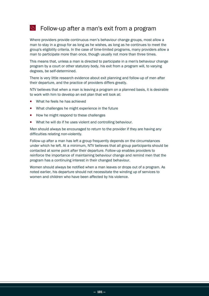#### ◈ Follow-up after a man's exit from a program

Where providers provide continuous men's behaviour change groups, most allow a man to stay in a group for as long as he wishes, as long as he continues to meet the group's eligibility criteria. In the case of time-limited programs, many providers allow a man to participate more than once, though usually not more than three times.

This means that, unless a man is directed to participate in a men's behaviour change program by a court or other statutory body, his exit from a program will, to varying degrees, be self-determined.

There is very little research evidence about exit planning and follow-up of men after their departure, and the practice of providers differs greatly.

NTV believes that when a man is leaving a program on a planned basis, it is desirable to work with him to develop an exit plan that will look at:

- What he feels he has achieved
- What challenges he might experience in the future
- How he might respond to these challenges
- What he will do if he uses violent and controlling behaviour.

Men should always be encouraged to return to the provider if they are having any difficulties relating non-violently.

Follow-up after a man has left a group frequently depends on the circumstances under which he left. At a minimum, NTV believes that all group participants should be contacted at some point after their departure. Follow-up enables providers to reinforce the importance of maintaining behaviour change and remind men that the program has a continuing interest in their changed behaviour.

Women should always be notified when a man leaves or drops out of a program. As noted earlier, his departure should not necessitate the winding up of services to women and children who have been affected by his violence.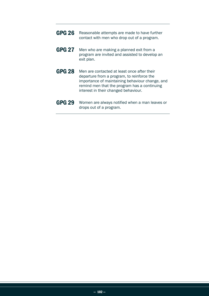- GPG 26 Reasonable attempts are made to have further contact with men who drop out of a program.
- **GPG 27** Men who are making a planned exit from a program are invited and assisted to develop an exit plan.
- GPG 28 Men are contacted at least once after their departure from a program, to reinforce the importance of maintaining behaviour change, and remind men that the program has a continuing interest in their changed behaviour.
- GPG 29 Women are always notified when a man leaves or drops out of a program.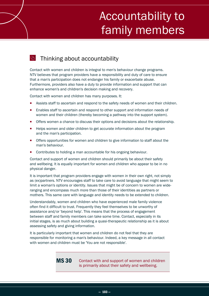# Accountability to family members

#### Ø Thinking about accountability

Contact with women and children is integral to men's behaviour change programs. NTV believes that program providers have a responsibility and duty of care to ensure that a man's participation does not endanger his family or exacerbate abuse. Furthermore, providers also have a duty to provide information and support that can enhance women's and children's decision making and recovery.

Contact with women and children has many purposes. It:

- Assists staff to ascertain and respond to the safety needs of women and their children.
- ° Enables staff to ascertain and respond to other support and information needs of women and their children (thereby becoming a pathway into the support system).
- Offers women a chance to discuss their options and decisions about the relationship.
- Helps women and older children to get accurate information about the program and the man's participation.
- Offers opportunities for women and children to give information to staff about the man's behaviour.
- Contributes to holding a man accountable for his ongoing behaviour.

Contact and support of women and children should primarily be about their safety and wellbeing. It is equally important for women and children who appear to be in no physical danger.

It is important that program providers engage with women in their own right, not simply as (ex)partners. NTV encourages staff to take care to avoid language that might seem to limit a woman's options or identity. Issues that might be of concern to women are wideranging and encompass much more than those of their identities as partners or mothers. This same care with language and identity needs to be extended to children.

Understandably, women and children who have experienced male family violence often find it difficult to trust. Frequently they feel themselves to be unworthy of assistance and/or 'beyond help'. This means that the process of engagement between staff and family members can take some time. Contact, especially in its initial stages, is as much about building a quasi-therapeutic relationship as it is about assessing safety and giving information.

It is particularly important that women and children do not feel that they are responsible for monitoring a man's behaviour. Indeed, a key message in all contact with women and children must be 'You are not responsible'.



MS 30 Contact with and support of women and children is primarily about their safety and wellbeing.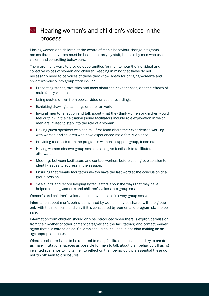## $\circledcirc$ Hearing women's and children's voices in the process

Placing women and children at the centre of men's behaviour change programs means that their voices must be heard, not only by staff, but also by men who use violent and controlling behaviours.

There are many ways to provide opportunities for men to hear the individual and collective voices of women and children, keeping in mind that these do not necessarily need to be voices of those they know. Ideas for bringing women's and children's voices into group work include:

- ° Presenting stories, statistics and facts about their experiences, and the effects of male family violence.
- Using quotes drawn from books, video or audio recordings.
- **Exhibiting drawings, paintings or other artwork.**
- ° Inviting men to reflect on and talk about what they think women or children would feel or think in their situation (some facilitators include role exploration in which men are invited to step into the role of a woman).
- ° Having guest speakers who can talk first hand about their experiences working with women and children who have experienced male family violence.
- Providing feedback from the program's women's support group, if one exists.
- ° Having women observe group sessions and give feedback to facilitators afterwards.
- ° Meetings between facilitators and contact workers before each group session to identify issues to address in the session.
- Ensuring that female facilitators always have the last word at the conclusion of a group session.
- ° Self-audits and record keeping by facilitators about the ways that they have helped to bring women's and children's voices into group sessions.

Women's and children's voices should have a place in every group session.

Information about men's behaviour shared by women may be shared with the group only with their consent, and only if it is considered by women and program staff to be safe.

Information from children should only be introduced when there is explicit permission from their mother or other primary caregiver and the facilitator(s) and contact worker agree that it is safe to do so. Children should be included in decision making on an age-appropriate basis.

Where disclosure is not to be reported to men, facilitators must instead try to create as many invitational spaces as possible for men to talk about their behaviour. If using invented scenarios to invite men to reflect on their behaviour, it is essential these do not 'tip off' men to disclosures.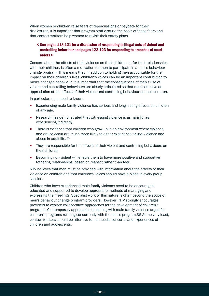When women or children raise fears of repercussions or payback for their disclosures, it is important that program staff discuss the basis of these fears and that contact workers help women to revisit their safety plans.

## < See pages 118-121 for a discussion of responding to illegal acts of violent and controlling behaviour and pages 122-123 for responding to breaches of court orders >

Concern about the effects of their violence on their children, or for their relationships with their children, is often a motivation for men to participate in a men's behaviour change program. This means that, in addition to holding men accountable for their impact on their children's lives, children's voices can be an important contribution to men's changed behaviour. It is important that the consequences of men's use of violent and controlling behaviours are clearly articulated so that men can have an appreciation of the effects of their violent and controlling behaviour on their children.

In particular, men need to know:

- Experiencing male family violence has serious and long-lasting effects on children of any age.
- Research has demonstrated that witnessing violence is as harmful as experiencing it directly.
- There is evidence that children who grow up in an environment where violence and abuse occur are much more likely to either experience or use violence and abuse in adult life. <sup>35</sup>
- They are responsible for the effects of their violent and controlling behaviours on their children.
- ° Becoming non-violent will enable them to have more positive and supportive fathering relationships, based on respect rather than fear.

NTV believes that men must be provided with information about the effects of their violence on children and that children's voices should have a place in every group session.

Children who have experienced male family violence need to be encouraged, educated and supported to develop appropriate methods of managing and expressing their feelings. Specialist work of this nature is often beyond the scope of men's behaviour change program providers. However, NTV strongly encourages providers to explore collaborative approaches for the development of children's programs. Contemporary approaches to dealing with male family violence argue for children's programs running concurrently with the men's program.36 At the very least, contact workers should be attentive to the needs, concerns and experiences of children and adolescents.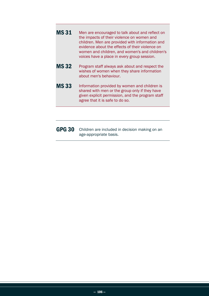- MS 31 Men are encouraged to talk about and reflect on the impacts of their violence on women and children. Men are provided with information and evidence about the effects of their violence on women and children, and women's and children's voices have a place in every group session.
- MS 32 Program staff always ask about and respect the wishes of women when they share information about men's behaviour.
- MS 33 Information provided by women and children is shared with men or the group only if they have given explicit permission, and the program staff agree that it is safe to do so.

GPG 30 Children are included in decision making on an age-appropriate basis.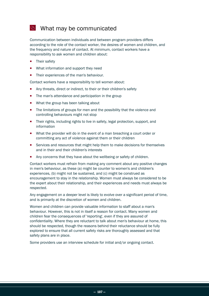# **What may be communicated**

Communication between individuals and between program providers differs according to the role of the contact worker, the desires of women and children, and the frequency and nature of contact. At minimum, contact workers have a responsibility to ask women and children about:

- Their safety
- ° What information and support they need
- Their experiences of the man's behaviour.

Contact workers have a responsibility to tell women about:

- ° Any threats, direct or indirect, to their or their children's safety
- The man's attendance and participation in the group
- What the group has been talking about
- The limitations of groups for men and the possibility that the violence and controlling behaviours might not stop
- Their rights, including rights to live in safety, legal protection, support, and information
- What the provider will do in the event of a man breaching a court order or committing any act of violence against them or their children
- ° Services and resources that might help them to make decisions for themselves and in their and their children's interests
- Any concerns that they have about the wellbeing or safety of children.

Contact workers must refrain from making any comment about any positive changes in men's behaviour, as these (a) might be counter to women's and children's experiences, (b) might not be sustained, and (c) might be construed as encouragement to stay in the relationship. Women must always be considered to be the expert about their relationship, and their experiences and needs must always be respected.

Any engagement on a deeper level is likely to evolve over a significant period of time, and is primarily at the discretion of women and children.

Women and children can provide valuable information to staff about a man's behaviour. However, this is not in itself a reason for contact. Many women and children fear the consequences of 'reporting', even if they are assured of confidentiality. Where they are reluctant to talk about men's behaviour at home, this should be respected, though the reasons behind their reluctance should be fully explored to ensure that all current safety risks are thoroughly assessed and that safety plans are in place.

Some providers use an interview schedule for initial and/or ongoing contact.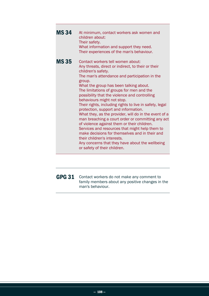| <b>MS 34</b> | At minimum, contact workers ask women and<br>children about:<br>Their safety.<br>What information and support they need.<br>Their experiences of the man's behaviour.                                                                                                                                                                                                                                                                                                                                                                                                                                                                                                                                                                                                                                                                |
|--------------|--------------------------------------------------------------------------------------------------------------------------------------------------------------------------------------------------------------------------------------------------------------------------------------------------------------------------------------------------------------------------------------------------------------------------------------------------------------------------------------------------------------------------------------------------------------------------------------------------------------------------------------------------------------------------------------------------------------------------------------------------------------------------------------------------------------------------------------|
| <b>MS 35</b> | Contact workers tell women about:<br>Any threats, direct or indirect, to their or their<br>children's safety.<br>The man's attendance and participation in the<br>group.<br>What the group has been talking about.<br>The limitations of groups for men and the<br>possibility that the violence and controlling<br>behaviours might not stop.<br>Their rights, including rights to live in safety, legal<br>protection, support and information.<br>What they, as the provider, will do in the event of a<br>man breaching a court order or committing any act<br>of violence against them or their children.<br>Services and resources that might help them to<br>make decisions for themselves and in their and<br>their children's interests.<br>Any concerns that they have about the wellbeing<br>or safety of their children. |

GPG 31 Contact workers do not make any comment to family members about any positive changes in the man's behaviour.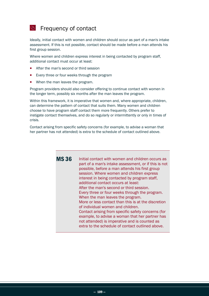#### $^{\circ}$ Frequency of contact

Ideally, initial contact with women and children should occur as part of a man's intake assessment. If this is not possible, contact should be made before a man attends his first group session.

Where women and children express interest in being contacted by program staff, additional contact must occur at least:

- After the man's second or third session
- **Exery three or four weeks through the program**
- When the man leaves the program.

Program providers should also consider offering to continue contact with women in the longer term, possibly six months after the man leaves the program.

Within this framework, it is imperative that women and, where appropriate, children, can determine the pattern of contact that suits them. Many women and children choose to have program staff contact them more frequently. Others prefer to instigate contact themselves, and do so regularly or intermittently or only in times of crisis.

Contact arising from specific safety concerns (for example, to advise a woman that her partner has not attended) is extra to the schedule of contact outlined above.

> MS 36 Initial contact with women and children occurs as part of a man's intake assessment, or if this is not possible, before a man attends his first group session. Where women and children express interest in being contacted by program staff, additional contact occurs at least: After the man's second or third session. Every three or four weeks through the program. When the man leaves the program. More or less contact than this is at the discretion of individual women and children. Contact arising from specific safety concerns (for example, to advise a woman that her partner has not attended) is imperative and is counted as extra to the schedule of contact outlined above.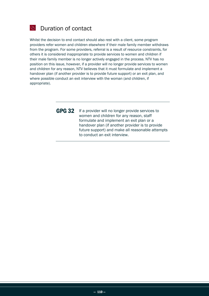### $\circledcirc$ Duration of contact

Whilst the decision to end contact should also rest with a client, some program providers refer women and children elsewhere if their male family member withdraws from the program. For some providers, referral is a result of resource constraints, for others it is considered inappropriate to provide services to women and children if their male family member is no longer actively engaged in the process. NTV has no position on this issue, however, if a provider will no longer provide services to women and children for any reason, NTV believes that it must formulate and implement a handover plan (if another provider is to provide future support) or an exit plan, and where possible conduct an exit interview with the woman (and children, if appropriate).

GPG 32 If a provider will no longer provide services to women and children for any reason, staff formulate and implement an exit plan or a handover plan (if another provider is to provide future support) and make all reasonable attempts to conduct an exit interview.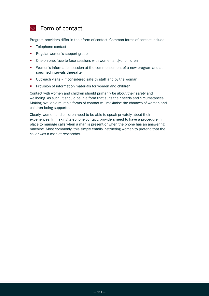# **Example 5 Form of contact**

Program providers differ in their form of contact. Common forms of contact include:

- Telephone contact
- Regular women's support group
- One-on-one, face-to-face sessions with women and/or children
- ° Women's information session at the commencement of a new program and at specified intervals thereafter
- ° Outreach visits if considered safe by staff and by the woman
- Provision of information materials for women and children.

Contact with women and children should primarily be about their safety and wellbeing. As such, it should be in a form that suits their needs and circumstances. Making available multiple forms of contact will maximise the chances of women and children being supported.

Clearly, women and children need to be able to speak privately about their experiences. In making telephone contact, providers need to have a procedure in place to manage calls when a man is present or when the phone has an answering machine. Most commonly, this simply entails instructing women to pretend that the caller was a market researcher.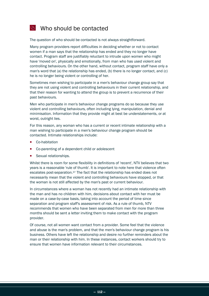# <sup>o</sup> Who should be contacted

The question of who should be contacted is not always straightforward.

Many program providers report difficulties in deciding whether or not to contact women if a man says that the relationship has ended and they no longer have contact. Program staff are justifiably reluctant to intrude upon women who might have 'moved on', physically and emotionally, from man who has used violent and controlling behaviours. On the other hand, without contact, program staff have only a man's word that (a) the relationship has ended, (b) there is no longer contact, and (c) he is no longer being violent or controlling of her.

Sometimes men wishing to participate in a men's behaviour change group say that they are not using violent and controlling behaviours in their current relationship, and that their reason for wanting to attend the group is to prevent a recurrence of their past behaviours.

Men who participate in men's behaviour change programs do so because they use violent and controlling behaviours, often including lying, manipulation, denial and minimisation. Information that they provide might at best be understatements, or at worst, outright lies.

For this reason, any woman who has a current or recent intimate relationship with a man wishing to participate in a men's behaviour change program should be contacted. Intimate relationships include:

- Co-habitation
- Co-parenting of a dependent child or adolescent
- Sexual relationships.

Whilst there is room for some flexibility in definitions of 'recent', NTV believes that two years is a reasonable 'rule of thumb'. It is important to note here that violence often escalates post-separation.37 The fact that the relationship has ended does not necessarily mean that the violent and controlling behaviours have stopped, or that the woman is not still affected by the man's past or current behaviour.

In circumstances where a woman has not recently had an intimate relationship with the man and has no children with him, decisions about contact with her must be made on a case-by-case basis, taking into account the period of time since separation and program staff's assessment of risk. As a rule of thumb, NTV recommends that women who have been separated from men for more than three months should be sent a letter inviting them to make contact with the program provider.

Of course, not all women want contact from a provider. Some feel that the violence and abuse is the man's problem, and that the men's behaviour change program is his business. Others have left the relationship and desire no further reminders about the man or their relationship with him. In these instances, contact workers should try to ensure that women have information relevant to their circumstances.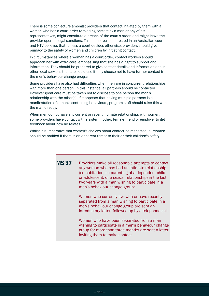There is some conjecture amongst providers that contact initiated by them with a woman who has a court order forbidding contact by a man or any of his representatives, might constitute a breach of the court's order, and might leave the provider open to legal sanctions. This has never been tested in an Australian court, and NTV believes that, unless a court decides otherwise, providers should give primacy to the safety of women and children by initiating contact.

In circumstances where a woman has a court order, contact workers should approach her with extra care, emphasising that she has a right to support and information. They should be prepared to give contact details and information about other local services that she could use if they choose not to have further contact from the men's behaviour change program.

Some providers have also had difficulties when men are in concurrent relationships with more than one person. In this instance, all partners should be contacted. However great care must be taken not to disclose to one person the man's relationship with the other(s). If it appears that having multiple partners is a manifestation of a man's controlling behaviours, program staff should raise this with the man directly.

When men do not have any current or recent intimate relationships with women, some providers have contact with a sister, mother, female friend or employer to get feedback about how he relates.

Whilst it is imperative that women's choices about contact be respected, all women should be notified if there is an apparent threat to their or their children's safety.

> MS 37 Providers make all reasonable attempts to contact any woman who has had an intimate relationship (co-habitation, co-parenting of a dependent child or adolescent, or a sexual relationship) in the last two years with a man wishing to participate in a men's behaviour change group:

> > Women who currently live with or have recently separated from a man wishing to participate in a men's behaviour change group are sent an introductory letter, followed up by a telephone call.

> > Women who have been separated from a man wishing to participate in a men's behaviour change group for more than three months are sent a letter inviting them to make contact.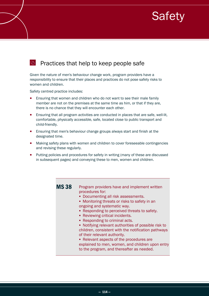# **Safety**

### Practices that help to keep people safe ⊚

Given the nature of men's behaviour change work, program providers have a responsibility to ensure that their places and practices do not pose safety risks to women and children.

Safety centred practice includes:

- ° Ensuring that women and children who do not want to see their male family member are not on the premises at the same time as him, or that if they are, there is no chance that they will encounter each other.
- ° Ensuring that all program activities are conducted in places that are safe, well-lit, comfortable, physically accessible, safe, located close to public transport and child-friendly.
- **Ensuring that men's behaviour change groups always start and finish at the** designated time.
- ° Making safety plans with women and children to cover foreseeable contingencies and revising these regularly.
- **•** Putting policies and procedures for safety in writing (many of these are discussed in subsequent pages) and conveying these to men, women and children.

| <b>MS38</b> | Program providers have and implement written |
|-------------|----------------------------------------------|
|             | procedures for:                              |

- **Documenting all risk assessments.**
- **Monitoring threats or risks to safety in an** ongoing and systematic way.
- Responding to perceived threats to safety.
- Reviewing critical incidents.
- Responding to criminal acts.
- Notifying relevant authorities of possible risk to children, consistent with the notification pathways of their relevant authority.
- Relevant aspects of the procedures are explained to men, women, and children upon entry to the program, and thereafter as needed.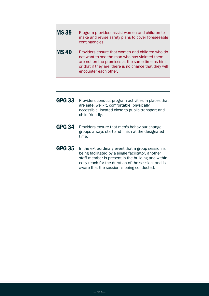- MS 39 Program providers assist women and children to make and revise safety plans to cover foreseeable contingencies.
- MS 40 Providers ensure that women and children who do not want to see the man who has violated them are not on the premises at the same time as him, or that if they are, there is no chance that they will encounter each other.
- GPG 33 Providers conduct program activities in places that are safe, well-lit, comfortable, physically accessible, located close to public transport and child-friendly.
- **GPG 34** Providers ensure that men's behaviour change groups always start and finish at the designated time.
- GPG 35 In the extraordinary event that a group session is being facilitated by a single facilitator, another staff member is present in the building and within easy reach for the duration of the session, and is aware that the session is being conducted.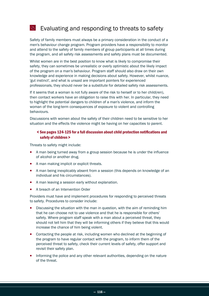# **O** Evaluating and responding to threats to safety

Safety of family members must always be a primary consideration in the conduct of a men's behaviour change program. Program providers have a responsibility to monitor and attend to the safety of family members of group participants at all times during the program, and all safety risk assessments and safety plans must be documented.

Whilst women are in the best position to know what is likely to compromise their safety, they can sometimes be unrealistic or overly optimistic about the likely impact of the program on a man's behaviour. Program staff should also draw on their own knowledge and experience in making decisions about safety. However, whilst nuance, 'gut instinct', and what is unsaid are important pointers for experienced professionals, they should never be a substitute for detailed safety risk assessments.

If it seems that a woman is not fully aware of the risk to herself or to her child(ren), then contact workers have an obligation to raise this with her. In particular, they need to highlight the potential dangers to children of a man's violence, and inform the woman of the long-term consequences of exposure to violent and controlling behaviours.

Discussions with women about the safety of their children need to be sensitive to her situation and the effects the violence might be having on her capacities to parent.

## < See pages 124-125 for a full discussion about child protection notifications and safety of children >

Threats to safety might include:

- ° A man being turned away from a group session because he is under the influence of alcohol or another drug.
- **•** A man making implicit or explicit threats.
- ° A man being inexplicably absent from a session (this depends on knowledge of an individual and his circumstances).
- **•** A man leaving a session early without explanation.
- A breach of an Intervention Order

Providers must have and implement procedures for responding to perceived threats to safety. Procedures to consider include:

- Discussing the situation with the man in question, with the aim of reminding him that he can choose not to use violence and that he is responsible for others' safety. Where program staff speak with a man about a perceived threat, they should not tell him that they will be informing others if they believe that this would increase the chance of him being violent.
- Contacting the people at risk, including women who declined at the beginning of the program to have regular contact with the program, to inform them of the perceived threat to safety, check their current levels of safety, offer support and revisit their safety plan.
- Informing the police and any other relevant authorities, depending on the nature of the threat.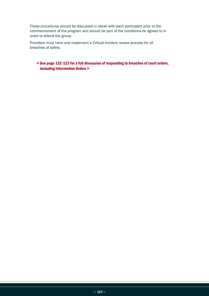These procedures should be discussed in detail with each participant prior to the commencement of the program and should be part of the conditions he agrees to in order to attend the group.

Providers must have and implement a Critical Incident review process for all breaches of safety.

< See page 122-123 for a full discussion of responding to breaches of court orders, including Intervention Orders >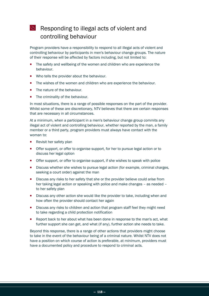# $\circledcirc$ Responding to illegal acts of violent and controlling behaviour

Program providers have a responsibility to respond to all illegal acts of violent and controlling behaviour by participants in men's behaviour change groups. The nature of their response will be affected by factors including, but not limited to:

- The safety and wellbeing of the women and children who are experience the behaviour.
- Who tells the provider about the behaviour.
- The wishes of the women and children who are experience the behaviour.
- The nature of the behaviour.
- The criminality of the behaviour.

In most situations, there is a range of possible responses on the part of the provider. Whilst some of these are discretionary, NTV believes that there are certain responses that are necessary in all circumstances.

At a minimum, when a participant in a men's behaviour change group commits any illegal act of violent and controlling behaviour, whether reported by the man, a family member or a third party, program providers must always have contact with the woman to:

- Revisit her safety plan
- ° Offer support, or offer to organise support, for her to pursue legal action or to discuss her legal option
- ° Offer support, or offer to organise support, if she wishes to speak with police
- Discuss whether she wishes to pursue legal action (for example, criminal charges, seeking a court order) against the man
- ° Discuss any risks to her safety that she or the provider believe could arise from her taking legal action or speaking with police and make changes – as needed – to her safety plan
- Discuss any other action she would like the provider to take, including when and how often the provider should contact her again
- Discuss any risks to children and action that program staff feel they might need to take regarding a child protection notification
- ° Report back to her about what has been done in response to the man's act, what further support she can get, and what (if any), further action she needs to take.

Beyond this response, there is a range of other actions that providers might choose to take in the event of the behaviour being of a criminal nature. Whilst NTV does not have a position on which course of action is preferable, at minimum, providers must have a documented policy and procedure to respond to criminal acts.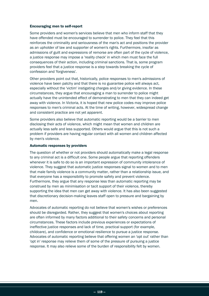## Encouraging men to self-report

Some providers and women's services believe that men who inform staff that they have offended must be encouraged to surrender to police. They feel that this reinforces the criminality and seriousness of the man's act and positions the provider as an upholder of law and supporter of women's rights. Furthermore, insofar as admissions of guilt and expressions of remorse are often part of the cycle of violence, a justice response may impose a 'reality check' in which men must face the full consequences of their action, including criminal sanctions. That is, some program providers feel that a justice response is a step towards breaking the cycle of confession and 'forgiveness'.

Other providers point out that, historically, police responses to men's admissions of violence have been patchy and that there is no guarantee police will always act, especially without the 'victim' instigating charges and/or giving evidence. In these circumstances, they argue that encouraging a man to surrender to police might actually have the unintended effect of demonstrating to men that they can indeed get away with violence. In Victoria, it is hoped that new police codes may improve police responses to men's criminal acts. At the time of writing, however, widespread change and consistent practice are not yet apparent.

Some providers also believe that automatic reporting would be a barrier to men disclosing their acts of violence, which might mean that women and children are actually less safe and less supported. Others would argue that this is not such a problem if providers are having regular contact with all women and children affected by men's violence.

## Automatic responses by providers

The question of whether or not providers should automatically make a legal response to any criminal act is a difficult one. Some people argue that reporting offenders whenever it is safe to do so is an important expression of community intolerance of violence. They suggest that automatic justice responses signal to women and to men that male family violence is a community matter, rather than a relationship issue, and that everyone has a responsibility to promote safety and prevent violence. Furthermore, they argue that any response less than automatic reporting may be construed by men as minimisation or tacit support of their violence, thereby supporting the idea that men can get away with violence. It has also been suggested that discretionary decision-making leaves staff open to pressure and bargaining by men.

Advocates of automatic reporting do not believe that women's wishes or preferences should be disregarded. Rather, they suggest that women's choices about reporting are often informed by many factors additional to their safety concerns and personal circumstances. These factors include previous experiences or expectations of ineffective justice responses and lack of time, practical support (for example, childcare), and confidence or emotional resilience to pursue a justice response. Advocates of automatic reporting believe that offering women an 'opt out' rather than 'opt in' response may relieve them of some of the pressure of pursuing a justice response. It may also relieve some of the burden of responsibility felt by women.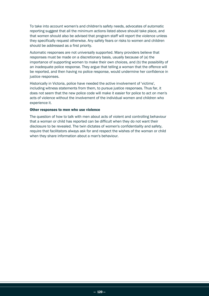To take into account women's and children's safety needs, advocates of automatic reporting suggest that all the minimum actions listed above should take place, and that women should also be advised that program staff will report the violence unless they specifically request otherwise. Any safety fears or risks to women and children should be addressed as a first priority.

Automatic responses are not universally supported. Many providers believe that responses must be made on a discretionary basis, usually because of (a) the importance of supporting women to make their own choices, and (b) the possibility of an inadequate police response. They argue that telling a woman that the offence will be reported, and then having no police response, would undermine her confidence in justice responses.

Historically in Victoria, police have needed the active involvement of 'victims', including witness statements from them, to pursue justice responses. Thus far, it does not seem that the new police code will make it easier for police to act on men's acts of violence without the involvement of the individual women and children who experience it.

### Other responses to men who use violence

The question of how to talk with men about acts of violent and controlling behaviour that a woman or child has reported can be difficult when they do not want their disclosure to be revealed. The twin dictates of women's confidentiality and safety, require that facilitators always ask for and respect the wishes of the woman or child when they share information about a man's behaviour.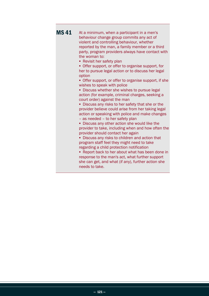MS 41 At a minimum, when a participant in a men's behaviour change group commits any act of violent and controlling behaviour, whether reported by the man, a family member or a third party, program providers always have contact with the woman to: • Revisit her safety plan • Offer support, or offer to organise support, for her to pursue legal action or to discuss her legal option **• Offer support, or offer to organise support, if she** wishes to speak with police **• Discuss whether she wishes to pursue legal** action (for example, criminal charges, seeking a court order) against the man **Discuss any risks to her safety that she or the** provider believe could arise from her taking legal action or speaking with police and make changes – as needed – to her safety plan **• Discuss any other action she would like the** provider to take, including when and how often the provider should contact her again **• Discuss any risks to children and action that** program staff feel they might need to take regarding a child protection notification Report back to her about what has been done in response to the man's act, what further support she can get, and what (if any), further action she needs to take.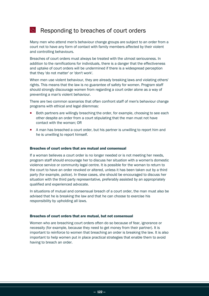### Responding to breaches of court orders  $\circledcirc$

Many men who attend men's behaviour change groups are subject to an order from a court not to have any form of contact with family members affected by their violent and controlling behaviours.

Breaches of court orders must always be treated with the utmost seriousness. In addition to the ramifications for individuals, there is a danger that the effectiveness and uptake of court orders will be undermined if there is a widespread perception that they 'do not matter' or 'don't work'.

When men use violent behaviour, they are already breaking laws and violating others' rights. This means that the law is no guarantee of safety for women. Program staff should strongly discourage women from regarding a court order alone as a way of preventing a man's violent behaviour.

There are two common scenarios that often confront staff of men's behaviour change programs with ethical and legal dilemmas:

- **•** Both partners are willingly breaching the order, for example, choosing to see each other despite an order from a court stipulating that the man must not have contact with the woman; OR
- ° A man has breached a court order, but his partner is unwilling to report him and he is unwilling to report himself.

## Breaches of court orders that are mutual and consensual

If a woman believes a court order is no longer needed or is not meeting her needs, program staff should encourage her to discuss her situation with a women's domestic violence service or community legal centre. It is possible for the woman to return to the court to have an order revoked or altered, unless it has been taken out by a third party (for example, police). In these cases, she should be encouraged to discuss her situation with the third party representative, preferably assisted by an appropriately qualified and experienced advocate.

In situations of mutual and consensual breach of a court order, the man must also be advised that he is breaking the law and that he can choose to exercise his responsibility by upholding all laws.

### Breaches of court orders that are mutual, but not consensual

Women who are breaching court orders often do so because of fear, ignorance or necessity (for example, because they need to get money from their partner). It is important to reinforce to women that breaching an order is breaking the law. It is also important to help women put in place practical strategies that enable them to avoid having to breach an order.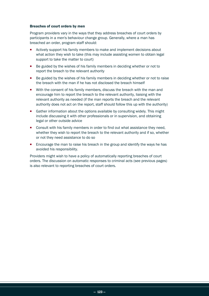## Breaches of court orders by men

Program providers vary in the ways that they address breaches of court orders by participants in a men's behaviour change group. Generally, where a man has breached an order, program staff should:

- Actively support his family members to make and implement decisions about what action they wish to take (this may include assisting women to obtain legal support to take the matter to court)
- Be guided by the wishes of his family members in deciding whether or not to report the breach to the relevant authority
- ° Be guided by the wishes of his family members in deciding whether or not to raise the breach with the man if he has not disclosed the breach himself
- With the consent of his family members, discuss the breach with the man and encourage him to report the breach to the relevant authority, liaising with the relevant authority as needed (if the man reports the breach and the relevant authority does not act on the report, staff should follow this up with the authority)
- ° Gather information about the options available by consulting widely. This might include discussing it with other professionals or in supervision, and obtaining legal or other outside advice
- ° Consult with his family members in order to find out what assistance they need, whether they wish to report the breach to the relevant authority and if so, whether or not they need assistance to do so
- Encourage the man to raise his breach in the group and identify the ways he has avoided his responsibility.

Providers might wish to have a policy of automatically reporting breaches of court orders. The discussion on automatic responses to criminal acts (see previous pages) is also relevant to reporting breaches of court orders.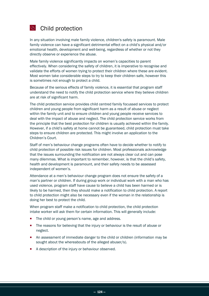### $\circledcirc$ Child protection

In any situation involving male family violence, children's safety is paramount. Male family violence can have a significant detrimental effect on a child's physical and/or emotional health, development and well-being, regardless of whether or not they directly observe or experience the abuse.

Male family violence significantly impacts on women's capacities to parent effectively. When considering the safety of children, it is imperative to recognise and validate the efforts of women trying to protect their children where these are evident. Most women take considerable steps to try to keep their children safe, however this is sometimes not enough to protect a child.

Because of the serious effects of family violence, it is essential that program staff understand the need to notify the child protection service where they believe children are at risk of significant harm.

The child protection service provides child centred family focussed services to protect children and young people from significant harm as a result of abuse or neglect within the family unit and to ensure children and young people receive services to deal with the impact of abuse and neglect. The child protection service works from the principle that the best protection for children is usually achieved within the family. However, if a child's safety at home cannot be guaranteed, child protection must take steps to ensure children are protected. This might involve an application to the Children's Court.

Staff of men's behaviour change programs often have to decide whether to notify to child protection of possible risk issues for children. Most professionals acknowledge that the issues surrounding the notification are not always clear cut and can pose many dilemmas. What is important to remember, however, is that the child's safety, health and development is paramount, and their safety needs to be assessed independent of women's.

Attendance at a men's behaviour change program does not ensure the safety of a man's partner or children. If during group work or individual work with a man who has used violence, program staff have cause to believe a child has been harmed or is likely to be harmed, then they should make a notification to child protection. A report to child protection might also be necessary even if the woman in the relationship is doing her best to protect the child.

When program staff make a notification to child protection, the child protection intake worker will ask them for certain information. This will generally include:

- The child or young person's name, age and address.
- The reasons for believing that the injury or behaviour is the result of abuse or neglect.
- ° An assessment of immediate danger to the child or children (information may be sought about the whereabouts of the alleged abuser/s).
- **•** A description of the injury or behaviour observed.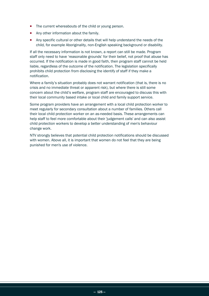- The current whereabouts of the child or young person.
- **•** Any other information about the family.
- ° Any specific cultural or other details that will help understand the needs of the child, for example Aboriginality, non-English speaking background or disability.

If all the necessary information is not known, a report can still be made. Program staff only need to have 'reasonable grounds' for their belief, not proof that abuse has occurred. If the notification is made in good faith, then program staff cannot be held liable, regardless of the outcome of the notification. The legislation specifically prohibits child protection from disclosing the identify of staff if they make a notification.

Where a family's situation probably does not warrant notification (that is, there is no crisis and no immediate threat or apparent risk), but where there is still some concern about the child's welfare, program staff are encouraged to discuss this with their local community based intake or local child and family support service.

Some program providers have an arrangement with a local child protection worker to meet regularly for secondary consultation about a number of families. Others call their local child protection worker on an as-needed basis. These arrangements can help staff to feel more comfortable about their 'judgement calls' and can also assist child protection workers to develop a better understanding of men's behaviour change work.

NTV strongly believes that potential child protection notifications should be discussed with women. Above all, it is important that women do not feel that they are being punished for men's use of violence.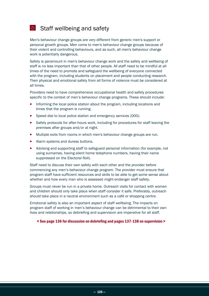### ⊙ Staff wellbeing and safety

Men's behaviour change groups are very different from generic men's support or personal growth groups. Men come to men's behaviour change groups because of their violent and controlling behaviours, and as such, all men's behaviour change work is potentially dangerous.

Safety is paramount in men's behaviour change work and the safety and wellbeing of staff is no less important than that of other people. All staff need to be mindful at all times of the need to promote and safeguard the wellbeing of everyone connected with the program, including students on placement and people conducting research. Their physical and emotional safety from all forms of violence must be considered at all times.

Providers need to have comprehensive occupational health and safety procedures specific to the context of men's behaviour change programs. These should include:

- Informing the local police station about the program, including locations and times that the program is running.
- Speed dial to local police station and emergency services (000).
- Safety protocols for after-hours work, including for procedures for staff leaving the premises after groups and/or at night.
- Multiple exits from rooms in which men's behaviour change groups are run.
- Alarm systems and duress buttons.
- ° Advising and supporting staff to safeguard personal information (for example, not using surnames, having silent home telephone numbers, having their name suppressed on the Electoral Roll).

Staff need to discuss their own safety with each other and the provider before commencing any men's behaviour change program. The provider must ensure that program staff have sufficient resources and skills to be able to get some sense about whether and how every man who is assessed might endanger staff safety.

Groups must never be run in a private home. Outreach visits for contact with women and children should only take place when staff consider it safe. Preferably, outreach should take place in a neutral environment such as a café or shopping centre.

Emotional safety is also an important aspect of staff wellbeing. The impacts on program staff of working in men's behaviour change can be detrimental to their own lives and relationships, so debriefing and supervision are imperative for all staff.

< See page 136 for discussion on debriefing and pages 137-138 on supervision >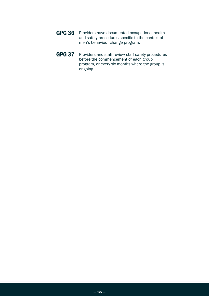- GPG 36 Providers have documented occupational health and safety procedures specific to the context of men's behaviour change program.
- GPG 37 Providers and staff review staff safety procedures before the commencement of each group program, or every six months where the group is ongoing.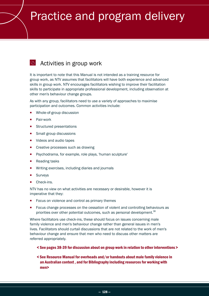# Practice and program delivery

# Activities in group work

It is important to note that this Manual is not intended as a training resource for group work, as NTV assumes that facilitators will have both experience and advanced skills in group work. NTV encourages facilitators wishing to improve their facilitation skills to participate in appropriate professional development, including observation at other men's behaviour change groups.

As with any group, facilitators need to use a variety of approaches to maximise participation and outcomes. Common activities include:

- Whole-of-group discussion
- Pair-work
- Structured presentations
- Small group discussions
- Videos and audio tapes
- Creative processes such as drawing
- ° Psychodrama, for example, role plays, 'human sculpture'
- Reading tasks
- Writing exercises, including diaries and journals
- **Surveys**
- Check-ins.

NTV has no view on what activities are necessary or desirable, however it is imperative that they:

- Focus on violence and control as primary themes
- Focus change processes on the cessation of violent and controlling behaviours as priorities over other potential outcomes, such as personal development.<sup>38</sup>

Where facilitators use check-ins, these should focus on issues concerning male family violence and men's behaviour change rather than general issues in men's lives. Facilitators should curtail discussions that are not related to the work of men's behaviour change and ensure that men who need to discuss other matters are referred appropriately.

< See pages 38-39 for discussion about on group work in relation to other interventions >

< See Resource Manual for overheads and/or handouts about male family violence in an Australian context , and for Bibliography including resources for working with men>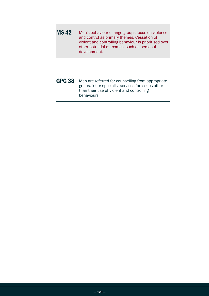MS 42 Men's behaviour change groups focus on violence and control as primary themes. Cessation of violent and controlling behaviour is prioritised over other potential outcomes, such as personal development.

GPG 38 Men are referred for counselling from appropriate generalist or specialist services for issues other than their use of violent and controlling behaviours.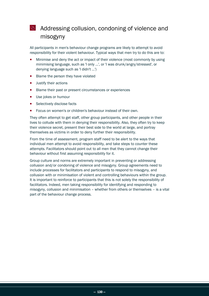# Addressing collusion, condoning of violence and misogyny

All participants in men's behaviour change programs are likely to attempt to avoid responsibility for their violent behaviour. Typical ways that men try to do this are to:

- ° Minimise and deny the act or impact of their violence (most commonly by using minimising language, such as 'I only …', or 'I was drunk/angry/stressed', or denying language such as 'I didn't …')
- Blame the person they have violated
- **U** Justify their actions
- **Blame their past or present circumstances or experiences**
- **Use jokes or humour**
- **•** Selectively disclose facts
- ° Focus on women's or children's behaviour instead of their own.

They often attempt to get staff, other group participants, and other people in their lives to collude with them in denying their responsibility. Also, they often try to keep their violence secret, present their best side to the world at large, and portray themselves as victims in order to deny further their responsibility.

From the time of assessment, program staff need to be alert to the ways that individual men attempt to avoid responsibility, and take steps to counter these attempts. Facilitators should point out to all men that they cannot change their behaviour without first assuming responsibility for it.

Group culture and norms are extremely important in preventing or addressing collusion and/or condoning of violence and misogyny. Group agreements need to include processes for facilitators and participants to respond to misogyny, and collusion with or minimisation of violent and controlling behaviours within the group. It is important to reinforce to participants that this is not solely the responsibility of facilitators. Indeed, men taking responsibility for identifying and responding to misogyny, collusion and minimisation – whether from others or themselves – is a vital part of the behaviour change process.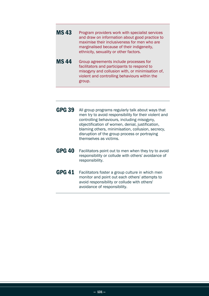| <b>MS 43</b> | Program providers work with specialist services<br>and draw on information about good practice to<br>maximise their inclusiveness for men who are<br>marginalised because of their indigeneity, |
|--------------|-------------------------------------------------------------------------------------------------------------------------------------------------------------------------------------------------|
|              | ethnicity, sexuality or other factors.                                                                                                                                                          |

**MS 44** Group agreements include processes for facilitators and participants to respond to misogyny and collusion with, or minimisation of, violent and controlling behaviours within the group.

| All group programs regularly talk about ways that<br>men try to avoid responsibility for their violent and<br>controlling behaviours, including misogyny,<br>objectification of women, denial, justification,<br>blaming others, minimisation, collusion, secrecy,<br>disruption of the group process or portraying<br>themselves as victims. |
|-----------------------------------------------------------------------------------------------------------------------------------------------------------------------------------------------------------------------------------------------------------------------------------------------------------------------------------------------|
|                                                                                                                                                                                                                                                                                                                                               |
|                                                                                                                                                                                                                                                                                                                                               |

- **GPG 40** Facilitators point out to men when they try to avoid responsibility or collude with others' avoidance of responsibility.
- GPG 41 Facilitators foster a group culture in which men monitor and point out each others' attempts to avoid responsibility or collude with others' avoidance of responsibility.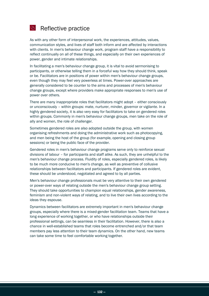#### $\circledcirc$ Reflective practice

As with any other form of interpersonal work, the experiences, attitudes, values, communication styles, and lives of staff both inform and are affected by interactions with clients. In men's behaviour change work, program staff have a responsibility to reflect continually on all of these things, and especially on their own experiences of power, gender and intimate relationships.

In facilitating a men's behaviour change group, it is vital to avoid sermonising to participants, or otherwise telling them in a forceful way how they should think, speak or be. Facilitators are in positions of power within men's behaviour change groups, even though they may feel very powerless at times. Power-over approaches are generally considered to be counter to the aims and processes of men's behaviour change groups, except where providers make appropriate responses to men's use of power over others.

There are many inappropriate roles that facilitators might adopt – either consciously or unconsciously – within groups: mate, nurturer, minder, governor or vigilante. In a highly gendered society, it is also very easy for facilitators to take on gendered roles within groups. Commonly in men's behaviour change groups, men take on the role of ally and women, the role of challenger.

Sometimes gendered roles are also adopted outside the group, with women organising refreshments and doing the administrative work such as photocopying, and men being the host of the group (for example, opening and closing group sessions) or being the public face of the provider.

Gendered roles in men's behaviour change programs serve only to reinforce sexual divisions of labour – for participants and staff alike. As such, they are unhelpful to the men's behaviour change process. Fluidity of roles, especially gendered roles, is likely to be much more conducive to men's change, as well as preventive of collusive relationships between facilitators and participants. If gendered roles are evident, these should be understood, negotiated and agreed to by all parties.

Men's behaviour change professionals must be very attentive to their own gendered or power-over ways of relating outside the men's behaviour change group setting. They should take opportunities to champion equal relationships, gender awareness, feminism and non-violent ways of relating, and to live their own lives according to the ideas they espouse.

Dynamics between facilitators are extremely important in men's behaviour change groups, especially where there is a mixed-gender facilitation team. Teams that have a long experience of working together, or who have relationships outside their professional settings, can be seamless in their facilitation. However, there is also a chance in well-established teams that roles become entrenched and/or that team members pay less attention to their team dynamics. On the other hand, new teams can take some time to feel comfortable working together.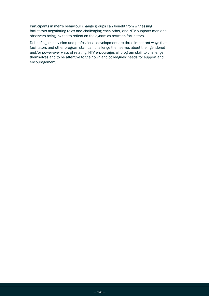Participants in men's behaviour change groups can benefit from witnessing facilitators negotiating roles and challenging each other, and NTV supports men and observers being invited to reflect on the dynamics between facilitators.

Debriefing, supervision and professional development are three important ways that facilitators and other program staff can challenge themselves about their gendered and/or power-over ways of relating. NTV encourages all program staff to challenge themselves and to be attentive to their own and colleagues' needs for support and encouragement.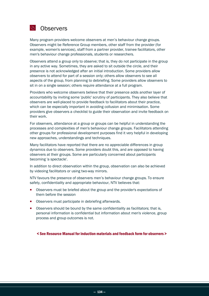#### $\circledcirc$ **Observers**

Many program providers welcome observers at men's behaviour change groups. Observers might be Reference Group members, other staff from the provider (for example, women's services), staff from a partner provider, trainee facilitators, other men's behaviour change professionals, students or researchers.

Observers attend a group only to observe; that is, they do not participate in the group in any active way. Sometimes, they are asked to sit outside the circle, and their presence is not acknowledged after an initial introduction. Some providers allow observers to attend for part of a session only; others allow observers to see all aspects of the group, from planning to debriefing. Some providers allow observers to sit in on a single session; others require attendance at a full program.

Providers who welcome observers believe that their presence adds another layer of accountability by inviting some 'public' scrutiny of participants. They also believe that observers are well-placed to provide feedback to facilitators about their practice, which can be especially important in avoiding collusion and minimisation. Some providers give observers a checklist to guide their observation and invite feedback on their work.

For observers, attendance at a group or groups can be helpful in understanding the processes and complexities of men's behaviour change groups. Facilitators attending other groups for professional development purposes find it very helpful in developing new approaches, understandings and techniques.

Many facilitators have reported that there are no appreciable differences in group dynamics due to observers. Some providers doubt this, and are opposed to having observers at their groups. Some are particularly concerned about participants becoming 'a spectacle'.

In addition to direct observation within the group, observation can also be achieved by videoing facilitators or using two-way mirrors.

NTV favours the presence of observers men's behaviour change groups. To ensure safety, confidentiality and appropriate behaviour, NTV believes that:

- Observers must be briefed about the group and the provider's expectations of them before the session
- Observers must participate in debriefing afterwards.
- Observers should be bound by the same confidentiality as facilitators; that is, personal information is confidential but information about men's violence, group process and group outcomes is not.

< See Resource Manual for induction materials and feedback form for observers >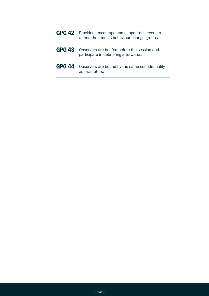| <b>GPG 42</b> | Providers encourage and support observers to<br>attend their men's behaviour change groups. |
|---------------|---------------------------------------------------------------------------------------------|
| <b>GPG 43</b> | Observers are briefed before the session and<br>participate in debriefing afterwards.       |
| <b>GPG 44</b> | Observers are bound by the same confidentiality<br>as facilitators.                         |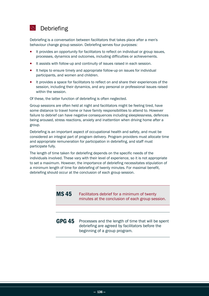### $\circledcirc$ Debriefing

Debriefing is a conversation between facilitators that takes place after a men's behaviour change group session. Debriefing serves four purposes:

- It provides an opportunity for facilitators to reflect on individual or group issues, processes, dynamics and outcomes, including difficulties or achievements.
- **EXTENDING** It assists with follow-up and continuity of issues raised in each session.
- It helps to ensure timely and appropriate follow-up on issues for individual participants, and women and children.
- It provides a space for facilitators to reflect on and share their experiences of the session, including their dynamics, and any personal or professional issues raised within the session.

Of these, the latter function of debriefing is often neglected.

Group sessions are often held at night and facilitators might be feeling tired, have some distance to travel home or have family responsibilities to attend to. However failure to debrief can have negative consequences including sleeplessness, defences being aroused, stress reactions, anxiety and inattention when driving home after a group.

Debriefing is an important aspect of occupational health and safety, and must be considered an integral part of program delivery. Program providers must allocate time and appropriate remuneration for participation in debriefing, and staff must participate fully.

The length of time taken for debriefing depends on the specific needs of the individuals involved. These vary with their level of experience, so it is not appropriate to set a maximum. However, the importance of debriefing necessitates stipulation of a minimum length of time for debriefing of twenty minutes. For maximal benefit, debriefing should occur at the conclusion of each group session.

| <b>MS 45</b>  | Facilitators debrief for a minimum of twenty<br>minutes at the conclusion of each group session.                                         |
|---------------|------------------------------------------------------------------------------------------------------------------------------------------|
|               |                                                                                                                                          |
| <b>GPG 45</b> | Processes and the length of time that will be spent<br>debriefing are agreed by facilitators before the<br>beginning of a group program. |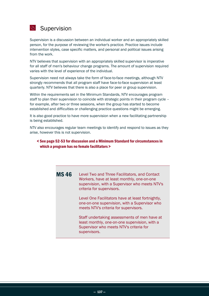### ◈ Supervision

Supervision is a discussion between an individual worker and an appropriately skilled person, for the purpose of reviewing the worker's practice. Practice issues include intervention styles, case specific matters, and personal and political issues arising from the work.

NTV believes that supervision with an appropriately skilled supervisor is imperative for all staff of men's behaviour change programs. The amount of supervision required varies with the level of experience of the individual.

Supervision need not always take the form of face-to-face meetings, although NTV strongly recommends that all program staff have face-to-face supervision at least quarterly. NTV believes that there is also a place for peer or group supervision.

Within the requirements set in the Minimum Standards, NTV encourages program staff to plan their supervision to coincide with strategic points in their program cycle – for example, after two or three sessions, when the group has started to become established and difficulties or challenging practice questions might be emerging.

It is also good practice to have more supervision when a new facilitating partnership is being established.

NTV also encourages regular team meetings to identify and respond to issues as they arise, however this is not supervision.

# < See page 52-53 for discussion and a Minimum Standard for circumstances in which a program has no female facilitators  $>$

MS 46 Level Two and Three Facilitators, and Contact Workers, have at least monthly, one-on-one supervision, with a Supervisor who meets NTV's criteria for supervisors.

> Level One Facilitators have at least fortnightly, one-on-one supervision, with a Supervisor who meets NTV's criteria for supervisors.

Staff undertaking assessments of men have at least monthly, one-on-one supervision, with a Supervisor who meets NTV's criteria for supervisors.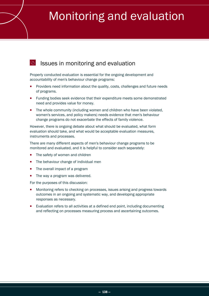# Monitoring and evaluation

# Issues in monitoring and evaluation

Properly conducted evaluation is essential for the ongoing development and accountability of men's behaviour change programs:

- **•** Providers need information about the quality, costs, challenges and future needs of programs.
- ° Funding bodies seek evidence that their expenditure meets some demonstrated need and provides value for money.
- ° The whole community (including women and children who have been violated, women's services, and policy makers) needs evidence that men's behaviour change programs do not exacerbate the effects of family violence.

However, there is ongoing debate about what should be evaluated, what form evaluation should take, and what would be acceptable evaluation measures, instruments and processes.

There are many different aspects of men's behaviour change programs to be monitored and evaluated, and it is helpful to consider each separately:

- The safety of women and children
- The behaviour change of individual men
- The overall impact of a program
- The way a program was delivered.

For the purposes of this discussion:

- ° Monitoring refers to checking on processes, issues arising and progress towards outcomes in an ongoing and systematic way, and developing appropriate responses as necessary.
- ° Evaluation refers to all activities at a defined end point, including documenting and reflecting on processes measuring process and ascertaining outcomes.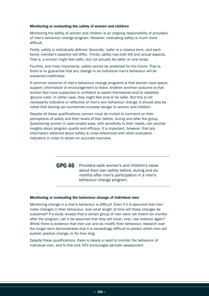## Monitoring or evaluating the safety of women and children

Monitoring the safety of women and children is an ongoing responsibility of providers of men's behaviour change program. However, evaluating safety is much more difficult.

Firstly, safety is individually defined. Secondly, 'safer' is a relative term, and each family member's baseline will differ. Thirdly, safety has both felt and actual aspects. That is, a woman might feel safer, but not actually be safer; or vice versa.

Fourthly, and most importantly, safety cannot be predicted for the future. That is, there is no guarantee that any change in an individual man's behaviour will be sustained indefinitely.

A common outcome of men's behaviour change programs is that women have space, support, information or encouragement to leave. Another common outcome is that women feel more supported or confident to assert themselves and/or establish 'ground rules'. In either case, they might feel and/or be safer. But this is not necessarily indicative or reflective of men's own behaviour change. It should also be noted that leaving can sometimes increase danger to women and children.

Despite all these qualifications, women must be invited to comment on their perceptions of safety and their levels of fear before, during and after the group. Questioning women in open-ended ways, with sensitivity to their needs, can provide insights about program quality and efficacy. It is important, however, that any information obtained about safety is cross-referenced with other evaluation indicators in order to obtain an accurate overview.

> GPG 46 Providers seek women's and children's views about their own safety before, during and six months after men's participation in a men's behaviour change program.

## Monitoring or evaluating the behaviour change of individual men

Monitoring change in a man's behaviour is difficult. Even if it is assumed that men make changes in their behaviour, over what length of time will these changes be sustained? If a study reveals that a certain group of men were not violent six months after the program, can it be assumed that they will never, ever, use violence again? Whilst there is evidence that men can and do modify their behaviour, research over the longer term demonstrates that it is exceedingly difficult to predict *which* men will sustain positive change, or *for how long*.

Despite these qualifications, there is clearly a need to monitor the behaviour of individual men, and to this end, NTV encourages periodic assessment.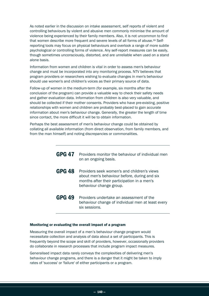As noted earlier in the discussion on intake assessment, self reports of violent and controlling behaviours by violent and abusive men commonly minimise the amount of violence being experienced by their family members. Also, it is not uncommon to find that women describe more frequent and severe levels of all forms of abuse. 39 Selfreporting tools may focus on physical behaviours and overlook a range of more subtle psychological or controlling forms of violence. Any self-report measures can be easily, though sometimes unconsciously, distorted, and are unreliable when used on a stand alone basis.

Information from women and children is vital in order to assess men's behaviour change and must be incorporated into any monitoring process. NTV believes that program providers or researchers wishing to evaluate changes in men's behaviour should use women's and children's voices as their primary source of data.

Follow-up of women in the medium-term (for example, six months after the conclusion of the program) can provide a valuable way to check their safety needs and gather evaluation data. Information from children is also very valuable, and should be collected if their mother consents. Providers who have pre-existing, positive relationships with women and children are probably best-placed to gain accurate information about men's behaviour change. Generally, the greater the length of time since contact, the more difficult it will be to obtain information.

Perhaps the best assessment of men's behaviour change could be obtained by collating all available information (from direct observation, from family members, and from the man himself) and noting discrepancies or commonalities.

> **GPG 47** Providers monitor the behaviour of individual men on an ongoing basis. GPG 48 Providers seek women's and children's views about men's behaviour before, during and six months after their participation in a men's behaviour change group. **GPG 49** Providers undertake an assessment of the behaviour change of individual men at least every six sessions.

### Monitoring or evaluating the overall impact of a program

Measuring the overall impact of a men's behaviour change program would necessitate collection and analysis of data about a set of participants. This is frequently beyond the scope and skill of providers, however, occasionally providers do collaborate in research processes that include program impact measures.

Generalised impact data rarely conveys the complexities of delivering men's behaviour change programs, and there is a danger that it might be taken to imply rates of 'success' or 'failure' of either participants or a program.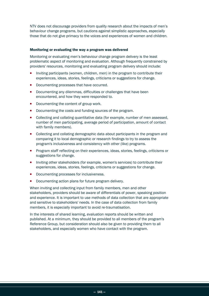NTV does not discourage providers from quality research about the impacts of men's behaviour change programs, but cautions against simplistic approaches, especially those that do not give primacy to the voices and experiences of women and children.

## Monitoring or evaluating the way a program was delivered

Monitoring or evaluating men's behaviour change program delivery is the least problematic aspect of monitoring and evaluation. Although frequently constrained by providers' resources, monitoring and evaluating program delivery should include:

- ° Inviting participants (women, children, men) in the program to contribute their experiences, ideas, stories, feelings, criticisms or suggestions for change.
- Documenting processes that have occurred.
- ° Documenting any dilemmas, difficulties or challenges that have been encountered, and how they were responded to.
- Documenting the content of group work.
- Documenting the costs and funding sources of the program.
- ° Collecting and collating quantitative data (for example, number of men assessed, number of men participating, average period of participation, amount of contact with family members).
- Collecting and collating demographic data about participants in the program and comparing it to local demographic or research findings to try to assess the program's inclusiveness and consistency with other (like) programs.
- ° Program staff reflecting on their experiences, ideas, stories, feelings, criticisms or suggestions for change.
- ° Inviting other stakeholders (for example, women's services) to contribute their experiences, ideas, stories, feelings, criticisms or suggestions for change.
- **•** Documenting processes for inclusiveness.
- Documenting action plans for future program delivery.

When inviting and collecting input from family members, men and other stakeholders, providers should be aware of differentials of power, speaking position and experience. It is important to use methods of data collection that are appropriate and sensitive to stakeholders' needs. In the case of data collection from family members, it is especially important to avoid re-traumatisation.

In the interests of shared learning, evaluation reports should be written and published. At a minimum, they should be provided to all members of the program's Reference Group, but consideration should also be given to providing them to all stakeholders, and especially women who have contact with the program.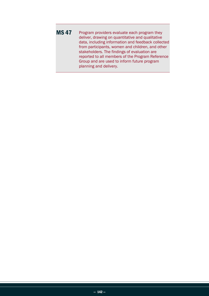MS 47 Program providers evaluate each program they deliver, drawing on quantitative and qualitative data, including information and feedback collected from participants, women and children, and other stakeholders. The findings of evaluation are reported to all members of the Program Reference Group and are used to inform future program planning and delivery.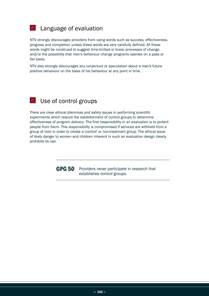### ⊚ Language of evaluation

NTV strongly discourages providers from using words such as success, effectiveness, progress and completion unless these words are very carefully defined. All these words might be construed to suggest time-limited or linear processes of change, and/or the possibility that men's behaviour change programs operate on a pass or fail basis.

NTV also strongly discourages any conjecture or speculation about a man's future positive behaviour on the basis of his behaviour at any point in time.



# Use of control groups

There are clear ethical dilemmas and safety issues in performing scientific experiments which require the establishment of control groups to determine effectiveness of program delivery. The first responsibility in an evaluation is to protect people from harm. This responsibility is compromised if services are withheld from a group of men in order to create a 'control' or non-treatment group. The ethical issue of likely danger to women and children inherent in such an evaluation design clearly prohibits its use.

**GPG 50** Providers never participate in research that establishes control groups.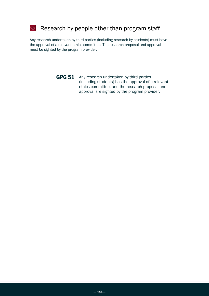#### $\circledcirc$ Research by people other than program staff

Any research undertaken by third parties (including research by students) must have the approval of a relevant ethics committee. The research proposal and approval must be sighted by the program provider.

> GPG 51 Any research undertaken by third parties (including students) has the approval of a relevant ethics committee, and the research proposal and approval are sighted by the program provider.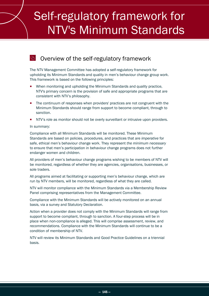# Self-regulatory framework for NTV's Minimum Standards

#### Ø) Overview of the self-regulatory framework

The NTV Management Committee has adopted a self-regulatory framework for upholding its Minimum Standards and quality in men's behaviour change group work. This framework is based on the following principles:

- ° When monitoring and upholding the Minimum Standards and quality practice, NTV's primary concern is the provision of safe and appropriate programs that are consistent with NTV's philosophy.
- The continuum of responses when providers' practices are not congruent with the Minimum Standards should range from support to become compliant, through to sanction.
- ° NTV's role as monitor should not be overly surveillant or intrusive upon providers.

## In summary:

Compliance with all Minimum Standards will be monitored. These Minimum Standards are based on policies, procedures, and practices that are *imperative* for safe, ethical men's behaviour change work. They represent *the minimum necessary* to ensure that men's participation in behaviour change programs does not further endanger women and children.

All providers of men's behaviour change programs wishing to be members of NTV will be monitored, regardless of whether they are agencies, organisations, businesses, or sole traders.

All programs aimed at facilitating or supporting men's behaviour change, which are run by NTV members, will be monitored, regardless of what they are called.

NTV will monitor compliance with the Minimum Standards via a Membership Review Panel comprising representatives from the Management Committee.

Compliance with the Minimum Standards will be actively monitored on an annual basis, via a survey and Statutory Declaration.

Action when a provider does not comply with the Minimum Standards will range from support to become compliant, through to sanction. A four-step process will be in place when non-compliance is alleged. This will comprise assessment, review, and recommendations. Compliance with the Minimum Standards will continue to be a condition of membership of NTV.

NTV will review its Minimum Standards and Good Practice Guidelines on a triennial basis.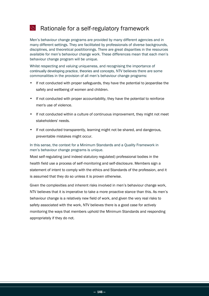#### ◈ Rationale for a self-regulatory framework

Men's behaviour change programs are provided by many different agencies and in many different settings. They are facilitated by professionals of diverse backgrounds, disciplines, and theoretical posititionings. There are great disparities in the resources available for men's behaviour change work. These differences mean that each men's behaviour change program will be unique.

Whilst respecting and valuing uniqueness, and recognising the importance of continually developing practice, theories and concepts, NTV believes there are some commonalities in the provision of all men's behaviour change programs:

- If not conducted with proper safeguards, they have the potential to jeopardise the safety and wellbeing of women and children.
- If not conducted with proper accountability, they have the potential to reinforce men's use of violence.
- If not conducted within a culture of continuous improvement, they might not meet stakeholders' needs.
- If not conducted transparently, learning might not be shared, and dangerous, preventable mistakes might occur.

In this sense, the context for a Minimum Standards and a Quality Framework in men's behaviour change programs is unique.

Most self-regulating (and indeed statutory regulated) professional bodies in the health field use a process of self-monitoring and self-disclosure. Members sign a statement of intent to comply with the ethics and Standards of the profession, and it is assumed that they do so unless it is proven otherwise.

Given the complexities and inherent risks involved in men's behaviour change work, NTV believes that it is imperative to take a more proactive stance than this. As men's behaviour change is a relatively new field of work, and given the very real risks to safety associated with the work, NTV believes there is a good case for actively monitoring the ways that members uphold the Minimum Standards and responding appropriately if they do not.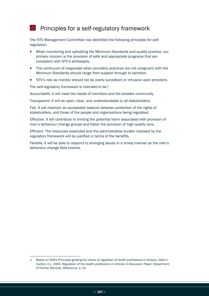#### Principles for a self-regulatory framework

The NTV Management Committee has identified the following principles for selfregulation:

- ° When monitoring and upholding the Minimum Standards and quality practice, our primary concern is the provision of safe and appropriate programs that are consistent with NTV's philosophy.
- The continuum of responses when providers practices are not congruent with the Minimum Standards should range from support through to sanction.
- ° NTV's role as monitor should not be overly surveillant or intrusive upon providers.

The self-regulatory framework is intended to be:<sup>1</sup>

Accountable. It will meet the needs of members and the broader community.

Transparent. It will be open, clear, and understandable to all stakeholders.

Fair. It will maintain an acceptable balance between protection of the rights of stakeholders, and those of the people and organisations being regulated.

Effective. It will contribute to limiting the potential harm associated with provision of men's behaviour change groups and foster the provision of high quality care.

Efficient. The resources expended and the administrative burden imposed by the regulatory framework will be justified in terms of the benefits.

Flexible. It will be able to respond to emerging issues in a timely manner as the men's behaviour change field evolves.

 $\overline{a}$ 1 Based on DHS's Principles guiding the review of regulation of health professions in Victoria, cited in Carlton, A L, 2003, *Regulation of the health professions in Victoria: A Discussion Paper*, Department of Human Services, Melbourne, p. 10.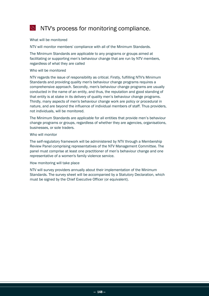#### $\circledcirc$ NTV's process for monitoring compliance.

#### What will be monitored

NTV will monitor members' compliance with all of the Minimum Standards.

The Minimum Standards are applicable to any programs or groups aimed at facilitating or supporting men's behaviour change that are run by NTV members, regardless of what they are called

#### Who will be monitored

NTV regards the issue of responsibility as critical. Firstly, fulfilling NTV's Minimum Standards and providing quality men's behaviour change programs requires a comprehensive approach. Secondly, men's behaviour change programs are usually conducted in the name of an entity, and thus, the reputation and good standing of that entity is at stake in its delivery of quality men's behaviour change programs. Thirdly, many aspects of men's behaviour change work are policy or procedural in nature, and are beyond the influence of individual members of staff. Thus providers, not individuals, will be monitored.

The Minimum Standards are applicable for all entities that provide men's behaviour change programs or groups, regardless of whether they are agencies, organisations, businesses, or sole traders.

#### Who will monitor

The self-regulatory framework will be administered by NTV through a Membership Review Panel comprising representatives of the NTV Management Committee. The panel must comprise at least one practitioner of men's behaviour change and one representative of a women's family violence service.

## How monitoring will take place

NTV will survey providers annually about their implementation of the Minimum Standards. The survey sheet will be accompanied by a Statutory Declaration, which must be signed by the Chief Executive Officer (or equivalent).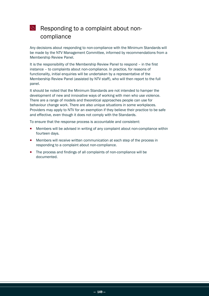## $\circledcirc$ Responding to a complaint about noncompliance

Any decisions about responding to non-compliance with the Minimum Standards will be made by the NTV Management Committee, informed by recommendations from a Membership Review Panel.

It is the responsibility of the Membership Review Panel to respond – in the first instance – to complaints about non-compliance. In practice, for reasons of functionality, initial enquiries will be undertaken by a representative of the Membership Review Panel (assisted by NTV staff), who will then report to the full panel.

It should be noted that the Minimum Standards are not intended to hamper the development of new and innovative ways of working with men who use violence. There are a range of models and theoretical approaches people can use for behaviour change work. There are also unique situations in some workplaces. Providers may apply to NTV for an exemption if they believe their practice to be safe and effective, even though it does not comply with the Standards.

To ensure that the response process is accountable and consistent:

- ° Members will be advised in writing of any complaint about non-compliance within fourteen days.
- ° Members will receive written communication at each step of the process in responding to a complaint about non-compliance.
- The process and findings of all complaints of non-compliance will be documented.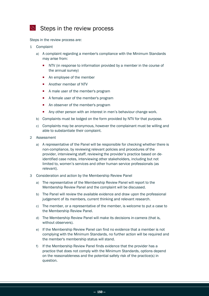## Steps in the review process

Steps in the review process are:

- 1 Complaint
	- a) A complaint regarding a member's compliance with the Minimum Standards may arise from:
		- ° NTV (in response to information provided by a member in the course of the annual survey)
		- An employee of the member
		- Another member of NTV
		- A male user of the member's program
		- ° A female user of the member's program
		- An observer of the member's program
		- **•** Any other person with an interest in men's behaviour change work.
	- b) Complaints must be lodged on the form provided by NTV for that purpose.
	- c) Complaints may be anonymous, however the complainant must be willing and able to substantiate their complaint.
- 2 Assessment
	- a) A representative of the Panel will be responsible for checking whether there is non-compliance, by reviewing relevant policies and procedures of the provider, interviewing staff, reviewing the provider's practice based on deidentified case notes, interviewing other stakeholders, including but not limited to, women's services and other human service professionals (as relevant).
- 3 Consideration and action by the Membership Review Panel
	- a) The representative of the Membership Review Panel will report to the Membership Review Panel and the complaint will be discussed.
	- b) The Panel will review the available evidence and draw upon the professional judgement of its members, current thinking and relevant research.
	- c) The member, or a representative of the member, is welcome to put a case to the Membership Review Panel.
	- d) The Membership Review Panel will make its decisions in-camera (that is, without observers).
	- e) If the Membership Review Panel can find no evidence that a member is not complying with the Minimum Standards, no further action will be required and the member's membership status will stand.
	- f) If the Membership Review Panel finds evidence that the provider has a practice that does not comply with the Minimum Standards, options depend on the reasonableness and the potential safety risk of the practice(s) in question.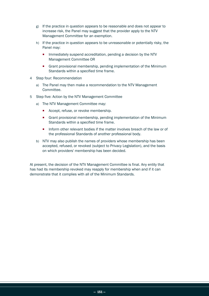- g) If the practice in question appears to be reasonable and does not appear to increase risk, the Panel may suggest that the provider apply to the NTV Management Committee for an exemption.
- h) If the practice in question appears to be unreasonable or potentially risky, the Panel may:
	- **•** Immediately suspend accreditation, pending a decision by the NTV Management Committee OR
	- ° Grant provisional membership, pending implementation of the Minimum Standards within a specified time frame.
- 4 Step four: Recommendation
	- a) The Panel may then make a recommendation to the NTV Management Committee.
- 5 Step five: Action by the NTV Management Committee
	- a) The NTV Management Committee may:
		- Accept, refuse, or revoke membership.
		- ° Grant provisional membership, pending implementation of the Minimum Standards within a specified time frame.
		- ° Inform other relevant bodies if the matter involves breach of the law or of the professional Standards of another professional body.
	- b) NTV may also publish the names of providers whose membership has been accepted, refused, or revoked (subject to Privacy Legislation), and the basis on which providers' membership has been decided.

At present, the decision of the NTV Management Committee is final. Any entity that has had its membership revoked may reapply for membership when and if it can demonstrate that it complies with all of the Minimum Standards.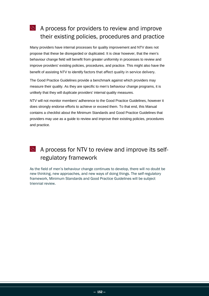## ∞ A process for providers to review and improve their existing policies, procedures and practice

Many providers have internal processes for quality improvement and NTV does not propose that these be disregarded or duplicated. It is clear however, that the men's behaviour change field will benefit from greater uniformity in processes to review and improve providers' existing policies, procedures, and practice. This might also have the benefit of assisting NTV to identify factors that affect quality in service delivery.

The Good Practice Guidelines provide a benchmark against which providers may measure their quality. As they are specific to men's behaviour change programs, it is unlikely that they will duplicate providers' internal quality measures.

NTV will not monitor members' adherence to the Good Practice Guidelines, however it does strongly endorse efforts to achieve or exceed them. To that end, this Manual contains a checklist about the Minimum Standards and Good Practice Guidelines that providers may use as a guide to review and improve their existing policies, procedures and practice.

## ∞ A process for NTV to review and improve its selfregulatory framework

As the field of men's behaviour change continues to develop, there will no doubt be new thinking, new approaches, and new ways of doing things. The self-regulatory framework, Minimum Standards and Good Practice Guidelines will be subject triennial review.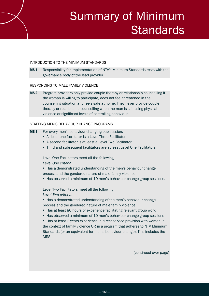# Summary of Minimum **Standards**

## INTRODUCTION TO THE MINIMUM STANDARDS

**MS 1** Responsibility for implementation of NTV's Minimum Standards rests with the governance body of the lead provider.

## RESPONDING TO MALE FAMILY VIOLENCE

MS 2 Program providers only provide couple therapy or relationship counselling if the woman is willing to participate, does not feel threatened in the counselling situation and feels safe at home. They never provide couple therapy or relationship counselling when the man is still using physical violence or significant levels of controlling behaviour.

## STAFFING MEN'S BEHAVIOUR CHANGE PROGRAMS

- MS 3 For every men's behaviour change group session:
	- At least one facilitator is a Level Three Facilitator.
	- A second facilitator is at least a Level Two Facilitator.
	- **Third and subsequent facilitators are at least Level One Facilitators.**

Level One Facilitators meet all the following *Level One criteria:* 

- Has a demonstrated understanding of the men's behaviour change
- process and the gendered nature of male family violence
- Has observed a minimum of 10 men's behaviour change group sessions.

Level Two Facilitators meet all the following *Level Two criteria:*

- Has a demonstrated understanding of the men's behaviour change process and the gendered nature of male family violence
- **Has at least 80 hours of experience facilitating relevant group work**
- Has observed a minimum of 10 men's behaviour change group sessions
- **Has at least 2 years experience in direct service provision with women in**

the context of family violence OR in a program that adheres to NTV Minimum Standards (or an equivalent for men's behaviour change). This includes the MRS.

(continued over page)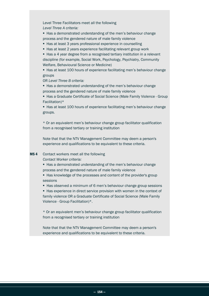Level Three Facilitators meet all the following *Level Three A criteria:*

■ Has a demonstrated understanding of the men's behaviour change process and the gendered nature of male family violence

Has at least 3 years professional experience in counselling

**Has at least 2 years experience facilitating relevant group work** 

■ Has a 4 year degree from a recognised tertiary institution in a relevant discipline (for example, Social Work, Psychology, Psychiatry, Community Welfare, Behavioural Science or Medicine)

■ Has at least 100 hours of experience facilitating men's behaviour change groups

OR *Level Three B criteria:* 

**Has a demonstrated understanding of the men's behaviour change** process and the gendered nature of male family violence

**Has a Graduate Certificate of Social Science (Male Family Violence - Group** Facilitation)\*

**Has at least 100 hours of experience facilitating men's behaviour change** groups.

\* Or an equivalent men's behaviour change group facilitator qualification from a recognised tertiary or training institution

Note that that the NTV Management Committee may deem a person's experience and qualifications to be equivalent to these criteria.

#### **MS 4** Contact workers meet all the following

*Contact Worker criteria:* 

■ Has a demonstrated understanding of the men's behaviour change process and the gendered nature of male family violence

Has knowledge of the processes and content of the provider's group sessions

■ Has observed a minimum of 6 men's behaviour change group sessions

■ Has experience in direct service provision with women in the context of family violence OR a Graduate Certificate of Social Science (Male Family Violence - Group Facilitation)\*.

\* Or an equivalent men's behaviour change group facilitator qualification from a recognised tertiary or training institution

Note that that the NTV Management Committee may deem a person's experience and qualifications to be equivalent to these criteria.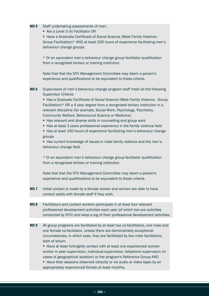- MS 5 Staff undertaking assessments of men:
	- Are a Level 3 (A) Facilitator OR

**Have a Graduate Certificate of Social Science (Male Family Violence -**Group Facilitation)\* AND at least 200 hours of experience facilitating men's behaviour change groups.

\* Or an equivalent men's behaviour change group facilitator qualification from a recognised tertiary or training institution

Note that that the NTV Management Committee may deem a person's experience and qualifications to be equivalent to these criteria.

**MS 6** Supervisors of men's behaviour change program staff meet all the following *Supervisor Criteria:*

**Has a Graduate Certificate of Social Science (Male Family Violence - Group** Facilitation)\* OR a 4 year degree from a recognised tertiary institution in a relevant discipline (for example, Social Work, Psychology, Psychiatry, Community Welfare, Behavioural Science or Medicine)

- **Has relevant and diverse skills in counselling and group work**
- Has at least 3 years professional experience in the family violence field

Has at least 100 hours of experience facilitating men's behaviour change groups

**Has current knowledge of issues in male family violence and the men's** behaviour change field.

\* Or an equivalent men's behaviour change group facilitator qualification from a recognised tertiary or training institution

Note that that the NTV Management Committee may deem a person's experience and qualifications to be equivalent to these criteria.

- **MS 7** Initial contact is made by a female worker and women are able to have contact solely with female staff if they wish.
- MS 8 Facilitators and contact workers participate in at least four relevant professional development activities each year (of which two are activities conducted by NTV) and keep a log of their professional development activities.
- MS 9 All group programs are facilitated by at least two co-facilitators, one male and one female co-facilitator, unless there are demonstrably exceptional circumstances, in which case, they are facilitated by two male facilitators, both of whom:

■ Have at least fortnightly contact with at least one experienced woman worker in peer supervision, individual supervision, telephone supervision (in cases of geographical isolation) or the program's Reference Group AND

ß Have their sessions observed (directly or via audio or video tape) by an appropriately experienced female at least monthly.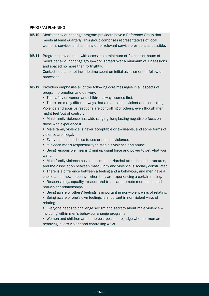#### PROGRAM PLANNING

- MS 10 Men's behaviour change program providers have a Reference Group that meets at least quarterly. This group comprises representatives of local women's services and as many other relevant service providers as possible.
- **MS 11** Programs provide men with access to a minimum of 24 contact hours of men's behaviour change group-work, spread over a minimum of 12 sessions and spaced no more than fortnightly. Contact hours do not include time spent on initial assessment or follow-up

processes.

- MS 12 Providers emphasise all of the following core messages in all aspects of program promotion and delivery:
	- The safety of women and children always comes first.
	- There are many different ways that a man can be violent and controlling. Violence and abusive reactions are controlling of others, even though men might feel 'out of control'.

• Male family violence has wide-ranging, long-lasting negative effects on those who experience it.

• Male family violence is never acceptable or excusable, and some forms of violence are illegal.

- **Every man has a choice to use or not use violence.**
- If is each man's responsibility to stop his violence and abuse.
- **Being responsible means giving up using force and power to get what you** want.

**• Male family violence has a context in patriarchal attitudes and structures,** and the association between masculinity and violence is socially constructed.

- **There is a difference between a feeling and a behaviour, and men have a** choice about how to behave when they are experiencing a certain feeling.
- Responsibility, equality, respect and trust can promote more equal and non-violent relationships.
- **Being aware of others' feelings is important in non-violent ways of relating.**
- **Being aware of one's own feelings is important in non-violent ways of** relating.

■ Everyone needs to challenge sexism and secrecy about male violence including within men's behaviour change programs.

**Women and children are in the best position to judge whether men are** behaving in less violent and controlling ways.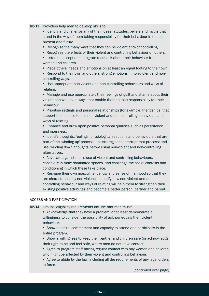#### MS 13 Providers help men to develop skills to:

**I** Identify and challenge any of their ideas, attitudes, beliefs and myths that stand in the way of them taking responsibility for their behaviour in the past, present and future.

- **Recognise the many ways that they can be violent and/or controlling.**
- Recognise the effects of their violent and controlling behaviour on others.

**Example 2** Listen to, accept and integrate feedback about their behaviour from women and children.

- **Place others' needs and emotions on at least an equal footing to their own.**
- Respond to their own and others' strong emotions in non-violent and noncontrolling ways.

■ Use appropriate non-violent and non-controlling behaviours and ways of relating.

**• Manage and use appropriately their feelings of guilt and shame about their** violent behaviours, in ways that enable them to take responsibility for their behaviour.

**Prioritise settings and personal relationships (for example, friendships) that** support their choice to use non-violent and non-controlling behaviours and ways of relating.

**Enhance and draw upon positive personal qualities such as persistence** and openness.

**IDENTIFY IDENTIFY IDENTIFY:** Identify thoughts, feelings, physiological reactions and behaviours that are part of the 'winding up' process; use strategies to interrupt that process; and use 'winding down' thoughts before using non-violent and non-controlling alternatives.

**Advocate against men's use of violent and controlling behaviours,** especially in male-dominated spaces, and challenge the social contexts and conditioning in which these take place.

Reshape their own masculine identity and sense of manhood so that they are characterised by non-violence. Identify how non-violent and noncontrolling behaviour and ways of relating will help them to strengthen their existing positive attributes and become a better person, partner and parent.

## ACCESS AND PARTICIPATION

MS 14 Groups' eligibility requirements include that men must:

• Acknowledge that they have a problem, or at least demonstrate a willingness to consider the possibility of acknowledging their violent behaviour.

ß Show a desire, commitment and capacity to attend and participate in the entire program.

**Show a willingness to keep their partner and children safe (or acknowledge)** their right to be and feel safe, where men do not have contact).

**Agree to program staff having regular contact with any women and children** who might be affected by their violent and controlling behaviour.

**Agree to abide by the law, including all the requirements of any legal orders** in force.

(continued over page)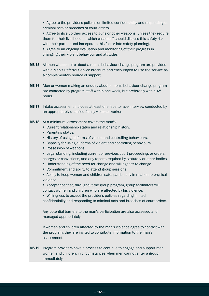ß Agree to the provider's policies on limited confidentiality and responding to criminal acts or breaches of court orders.

**EXECT** Agree to give up their access to guns or other weapons, unless they require them for their livelihood (in which case staff should discuss this safety risk with their partner and incorporate this factor into safety planning).

Agree to an ongoing evaluation and monitoring of their progress in changing their violent behaviour and attitudes.

- MS 15 All men who enquire about a men's behaviour change program are provided with a Men's Referral Service brochure and encouraged to use the service as a complementary source of support.
- **MS 16** Men or women making an enquiry about a men's behaviour change program are contacted by program staff within one week, but preferably within 48 hours.
- MS 17 Intake assessment includes at least one face-to-face interview conducted by an appropriately qualified family violence worker.
- MS 18 At a minimum, assessment covers the man's:
	- **Current relationship status and relationship history.**
	- Parenting status.
	- **History of using all forms of violent and controlling behaviours.**
	- **Example:** Capacity for using all forms of violent and controlling behaviours.
	- **Possession of weapons.**
	- **Example 2** Legal standing, including current or previous court proceedings or orders,
	- charges or convictions, and any reports required by statutory or other bodies.
	- **Understanding of the need for change and willingness to change.**
	- **Commitment and ability to attend group sessions.**
	- Ability to keep women and children safe, particularly in relation to physical violence.
	- ß Acceptance that, throughout the group program, group facilitators will contact women and children who are affected by his violence.
	- ß Willingness to accept the provider's policies regarding limited confidentiality and responding to criminal acts and breaches of court orders.

Any potential barriers to the man's participation are also assessed and managed appropriately.

If women and children affected by the man's violence agree to contact with the program, they are invited to contribute information to the man's assessment.

**MS 19** Program providers have a process to continue to engage and support men, women and children, in circumstances when men cannot enter a group immediately.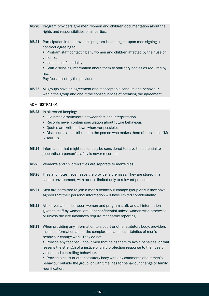- MS 20 Program providers give men, women and children documentation about the rights and responsibilities of all parties.
- MS 21 Participation in the provider's program is contingent upon men signing a contract agreeing to:

**Program staff contacting any women and children affected by their use of** violence.

- **EXECUTE:** Limited confidentiality.
- **Staff disclosing information about them to statutory bodies as required by** law.

Pay fees as set by the provider.

MS 22 All groups have an agreement about acceptable conduct and behaviour within the group and about the consequences of breaking the agreement.

#### ADMINISTRATION

- MS 23 In all record keeping:
	- **File notes discriminate between fact and interpretation.**
	- Records never contain speculation about future behaviour.
	- **Quotes are written down wherever possible.**
	- **Disclosures are attributed to the person who makes them (for example, 'Mr** N said …').
- MS 24 Information that might reasonably be considered to have the potential to jeopardise a person's safety is never recorded.
- MS 25 Women's and children's files are separate to men's files.
- MS 26 Files and notes never leave the provider's premises. They are stored in a secure environment, with access limited only to relevant personnel.
- **MS 27** Men are permitted to join a men's behaviour change group only if they have agreed that their personal information will have limited confidentiality.
- MS 28 All conversations between women and program staff, and all information given to staff by women, are kept confidential unless women wish otherwise or unless the circumstances require mandatory reporting.
- **MS 29** When providing any information to a court or other statutory body, providers include information about the complexities and uncertainties of men's behaviour change work. They do not:

**Provide any feedback about men that helps them to avoid penalties, or that** lessens the strength of a justice or child protection response to their use of violent and controlling behaviour.

**Provide a court or other statutory body with any comments about men's** behaviour outside the group, or with timelines for behaviour change or family reunification.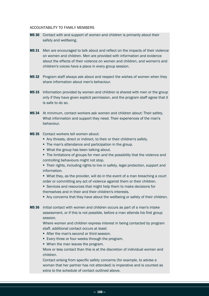#### ACCOUNTABILITY TO FAMILY MEMBERS

- MS 30 Contact with and support of women and children is primarily about their safety and wellbeing.
- **MS 31** Men are encouraged to talk about and reflect on the impacts of their violence on women and children. Men are provided with information and evidence about the effects of their violence on women and children, and women's and children's voices have a place in every group session.
- **MS 32** Program staff always ask about and respect the wishes of women when they share information about men's behaviour.
- **MS 33** Information provided by women and children is shared with men or the group only if they have given explicit permission, and the program staff agree that it is safe to do so.
- MS 34 At minimum, contact workers ask women and children about: Their safety. What information and support they need. Their experiences of the man's behaviour.

### MS 35 Contact workers tell women about:

- Any threats, direct or indirect, to their or their children's safety.
- The man's attendance and participation in the group.
- What the group has been talking about.
- The limitations of groups for men and the possibility that the violence and controlling behaviours might not stop.
- Their rights, including rights to live in safety, legal protection, support and information.
- What they, as the provider, will do in the event of a man breaching a court order or committing any act of violence against them or their children.
- **Services and resources that might help them to make decisions for** themselves and in their and their children's interests.
- ß Any concerns that they have about the wellbeing or safety of their children.
- **MS 36** Initial contact with women and children occurs as part of a man's intake assessment, or if this is not possible, before a man attends his first group session.

Where women and children express interest in being contacted by program staff, additional contact occurs at least:

- **Keta After the man's second or third session.**
- **Every three or four weeks through the program.**
- When the man leaves the program.

More or less contact than this is at the discretion of individual women and children.

Contact arising from specific safety concerns (for example, to advise a woman that her partner has not attended) is imperative and is counted as extra to the schedule of contact outlined above.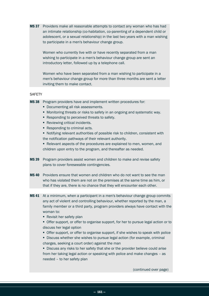**MS 37** Providers make all reasonable attempts to contact any woman who has had an intimate relationship (co-habitation, co-parenting of a dependent child or adolescent, or a sexual relationship) in the last two years with a man wishing to participate in a men's behaviour change group.

Women who currently live with or have recently separated from a man wishing to participate in a men's behaviour change group are sent an introductory letter, followed up by a telephone call.

Women who have been separated from a man wishing to participate in a men's behaviour change group for more than three months are sent a letter inviting them to make contact.

## **SAFETY**

MS 38 Program providers have and implement written procedures for:

- **Documenting all risk assessments.**
- **Monitoring threats or risks to safety in an ongoing and systematic way.**
- Responding to perceived threats to safety.
- Reviewing critical incidents.
- Responding to criminal acts.
- Notifying relevant authorities of possible risk to children, consistent with the notification pathways of their relevant authority.

Relevant aspects of the procedures are explained to men, women, and children upon entry to the program, and thereafter as needed.

- MS 39 Program providers assist women and children to make and revise safety plans to cover foreseeable contingencies.
- MS 40 Providers ensure that women and children who do not want to see the man who has violated them are not on the premises at the same time as him, or that if they are, there is no chance that they will encounter each other.

**MS 41** At a minimum, when a participant in a men's behaviour change group commits any act of violent and controlling behaviour, whether reported by the man, a family member or a third party, program providers always have contact with the woman to:

Revisit her safety plan

**• Offer support, or offer to organise support, for her to pursue legal action or to** discuss her legal option

- **Offer support, or offer to organise support, if she wishes to speak with police**
- Discuss whether she wishes to pursue legal action (for example, criminal charges, seeking a court order) against the man

**Discuss any risks to her safety that she or the provider believe could arise** from her taking legal action or speaking with police and make changes – as needed – to her safety plan

(continued over page)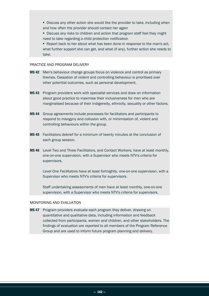- **Discuss any other action she would like the provider to take, including when** and how often the provider should contact her again
- Discuss any risks to children and action that program staff feel they might need to take regarding a child protection notification

Report back to her about what has been done in response to the man's act, what further support she can get, and what (if any), further action she needs to take.

#### PRACTICE AND PROGRAM DELIVERY

- MS 42 Men's behaviour change groups focus on violence and control as primary themes. Cessation of violent and controlling behaviour is prioritised over other potential outcomes, such as personal development.
- **MS 43** Program providers work with specialist services and draw on information about good practice to maximise their inclusiveness for men who are marginalised because of their indigeneity, ethnicity, sexuality or other factors.
- MS 44 Group agreements include processes for facilitators and participants to respond to misogyny and collusion with, or minimisation of, violent and controlling behaviours within the group.
- **MS 45** Facilitators debrief for a minimum of twenty minutes at the conclusion of each group session.
- MS 46 Level Two and Three Facilitators, and Contact Workers, have at least monthly, one-on-one supervision, with a Supervisor who meets NTV's criteria for supervisors.

Level One Facilitators have at least fortnightly, one-on-one supervision, with a Supervisor who meets NTV's criteria for supervisors.

Staff undertaking assessments of men have at least monthly, one-on-one supervision, with a Supervisor who meets NTV's criteria for supervisors.

#### MONITORING AND EVALUATION

MS 47 Program providers evaluate each program they deliver, drawing on quantitative and qualitative data, including information and feedback collected from participants, women and children, and other stakeholders. The findings of evaluation are reported to all members of the Program Reference Group and are used to inform future program planning and delivery.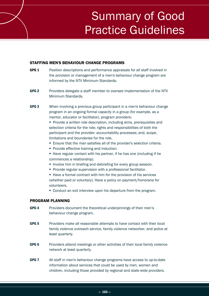# Summary of Good Practice Guidelines

## STAFFING MEN'S BEHAVIOUR CHANGE PROGRAMS

- **GPG 1** Position descriptions and performance appraisals for all staff involved in the provision or management of a men's behaviour change program are informed by the NTV Minimum Standards.
- GPG 2 Providers delegate a staff member to oversee implementation of the NTV Minimum Standards.
- **GPG 3** When involving a previous group participant in a men's behaviour change program in an ongoing formal capacity in a group (for example, as a mentor, educator or facilitator), program providers:

**Provide a written role description, including aims, prerequisites and** selection criteria for the role; rights and responsibilities of both the participant and the provider; accountability processes; and, scope, limitations and boundaries for the role.

- **Ensure that the man satisfies all of the provider's selection criteria.**
- **Provide effective training and induction.**
- ß Have regular contact with his partner, if he has one (including if he commences a relationship).
- **Involve him in briefing and debriefing for every group session.**
- **Provide regular supervision with a professional facilitator.**
- Have a formal contract with him for the provision of his services (whether paid or voluntary). Have a policy on payment/honoraria for volunteers.
- Conduct an exit interview upon his departure from the program.

## PROGRAM PLANNING

- GPG 4 Providers document the theoretical underpinnings of their men's behaviour change program.
- GPG 5 Providers make all reasonable attempts to have contact with their local family violence outreach service, family violence networker, and police at least quarterly.
- GPG 6 Providers attend meetings or other activities of their local family violence network at least quarterly.
- GPG 7 All staff in men's behaviour change programs have access to up-to-date information about services that could be used by men, women and children, including those provided by regional and state-wide providers.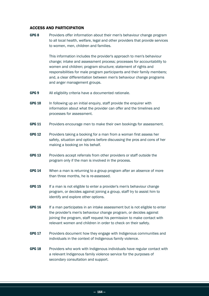## ACCESS AND PARTICIPATION

GPG 8 Providers offer information about their men's behaviour change program to all local health, welfare, legal and other providers that provide services to women, men, children and families.

> This information includes the provider's approach to men's behaviour change; intake and assessment process; processes for accountability to women and children; program structure; statement of rights and responsibilities for male program participants and their family members; and, a clear differentiation between men's behaviour change programs and anger management groups.

- GPG 9 All eligibility criteria have a documented rationale.
- **GPG 10** In following up an initial enquiry, staff provide the enquirer with information about what the provider can offer and the timelines and processes for assessment.
- GPG 11 Providers encourage men to make their own bookings for assessment.
- GPG 12 Providers taking a booking for a man from a woman first assess her safety, situation and options before discussing the pros and cons of her making a booking on his behalf.
- GPG 13 Providers accept referrals from other providers or staff outside the program only if the man is involved in the process.
- GPG 14 When a man is returning to a group program after an absence of more than three months, he is re-assessed.
- GPG 15 If a man is not eligible to enter a provider's men's behaviour change program, or decides against joining a group, staff try to assist him to identify and explore other options.
- GPG 16 If a man participates in an intake assessment but is not eligible to enter the provider's men's behaviour change program, or decides against joining the program, staff request his permission to make contact with relevant women and children in order to check on their safety.
- **GPG 17** Providers document how they engage with Indigenous communities and individuals in the context of Indigenous family violence.
- GPG 18 Providers who work with Indigenous individuals have regular contact with a relevant Indigenous family violence service for the purposes of secondary consultation and support.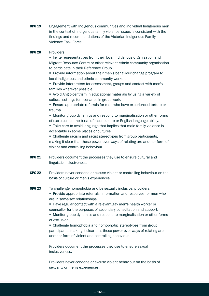GPG 19 Engagement with Indigenous communities and individual Indigenous men in the context of Indigenous family violence issues is consistent with the findings and recommendations of the Victorian Indigenous Family Violence Task Force.

## GPG 20 Providers :

**Invite representatives from their local Indigenous organisation and** Migrant Resource Centre or other relevant ethnic community organisation to participate in their Reference Group.

**Provide information about their men's behaviour change program to** local Indigenous and ethnic community workers.

**Provide interpreters for assessment, groups and contact with men's** families wherever possible.

ß Avoid Anglo-centrism in educational materials by using a variety of cultural settings for scenarios in group work.

**Ensure appropriate referrals for men who have experienced torture or** trauma.

• Monitor group dynamics and respond to marginalisation or other forms of exclusion on the basis of race, culture or English language ability.

■ Take care to avoid language that implies that male family violence is acceptable in some places or cultures.

• Challenge racism and racist stereotypes from group participants, making it clear that these power-over ways of relating are another form of violent and controlling behaviour.

- GPG 21 Providers document the processes they use to ensure cultural and linguistic inclusiveness.
- GPG 22 Providers never condone or excuse violent or controlling behaviour on the basis of culture or men's experiences.

GPG 23 To challenge homophobia and be sexually inclusive, providers:

**Provide appropriate referrals, information and resources for men who** are in same-sex relationships.

**Have regular contact with a relevant gay men's health worker or** counsellor for the purposes of secondary consultation and support.

• Monitor group dynamics and respond to marginalisation or other forms of exclusion.

• Challenge homophobia and homophobic stereotypes from group participants, making it clear that these power-over ways of relating are another form of violent and controlling behaviour.

Providers document the processes they use to ensure sexual inclusiveness.

Providers never condone or excuse violent behaviour on the basis of sexuality or men's experiences.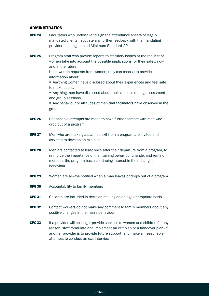## ADMINISTRATION

- GPG 24 Facilitators who undertake to sign the attendance sheets of legally mandated clients negotiate any further feedback with the mandating provider, bearing in mind Minimum Standard 29.
- GPG 25 Program staff who provide reports to statutory bodies at the request of women take into account the possible implications for their safety now and in the future.

Upon written requests from women, they can choose to provide information about:

- **Anything women have disclosed about their experiences and feel safe** to make public.
- Anything men have disclosed about their violence during assessment and group sessions.

**Any behaviour or attitudes of men that facilitators have observed in the** group.

- GPG 26 Reasonable attempts are made to have further contact with men who drop out of a program.
- GPG 27 Men who are making a planned exit from a program are invited and assisted to develop an exit plan.
- GPG 28 Men are contacted at least once after their departure from a program, to reinforce the importance of maintaining behaviour change, and remind men that the program has a continuing interest in their changed behaviour.
- GPG 29 Women are always notified when a man leaves or drops out of a program.
- **GPG 30** Accountability to family members
- GPG 31 Children are included in decision making on an age-appropriate basis.
- GPG 32 Contact workers do not make any comment to family members about any positive changes in the man's behaviour.
- GPG 33 If a provider will no longer provide services to women and children for any reason, staff formulate and implement an exit plan or a handover plan (if another provider is to provide future support) and make all reasonable attempts to conduct an exit interview.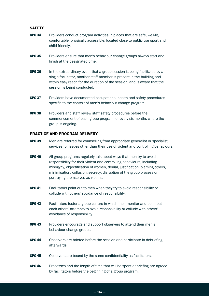## **SAFETY**

- GPG 34 Providers conduct program activities in places that are safe, well-lit, comfortable, physically accessible, located close to public transport and child-friendly.
- **GPG 35** Providers ensure that men's behaviour change groups always start and finish at the designated time.
- GPG 36 In the extraordinary event that a group session is being facilitated by a single facilitator, another staff member is present in the building and within easy reach for the duration of the session, and is aware that the session is being conducted.
- GPG 37 Providers have documented occupational health and safety procedures specific to the context of men's behaviour change program.
- GPG 38 Providers and staff review staff safety procedures before the commencement of each group program, or every six months where the group is ongoing.

## PRACTICE AND PROGRAM DELIVERY

- GPG 39 Men are referred for counselling from appropriate generalist or specialist services for issues other than their use of violent and controlling behaviours.
- **GPG 40** All group programs regularly talk about ways that men try to avoid responsibility for their violent and controlling behaviours, including misogyny, objectification of women, denial, justification, blaming others, minimisation, collusion, secrecy, disruption of the group process or portraying themselves as victims.
- GPG 41 Facilitators point out to men when they try to avoid responsibility or collude with others' avoidance of responsibility.
- GPG 42 Facilitators foster a group culture in which men monitor and point out each others' attempts to avoid responsibility or collude with others' avoidance of responsibility.
- GPG 43 Providers encourage and support observers to attend their men's behaviour change groups.
- GPG 44 Observers are briefed before the session and participate in debriefing afterwards.
- GPG 45 Observers are bound by the same confidentiality as facilitators.
- GPG 46 Processes and the length of time that will be spent debriefing are agreed by facilitators before the beginning of a group program.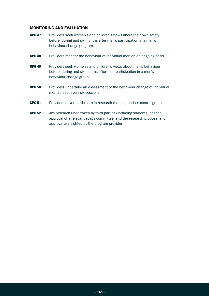## MONITORING AND EVALUATION

- GPG 47 Providers seek women's and children's views about their own safety before, during and six months after men's participation in a men's behaviour change program.
- GPG 48 Providers monitor the behaviour of individual men on an ongoing basis.
- GPG 49 Providers seek women's and children's views about men's behaviour before, during and six months after their participation in a men's behaviour change group.
- GPG 50 Providers undertake an assessment of the behaviour change of individual men at least every six sessions.
- GPG 51 Providers never participate in research that establishes control groups.
- GPG 52 Any research undertaken by third parties (including students) has the approval of a relevant ethics committee, and the research proposal and approval are sighted by the program provider.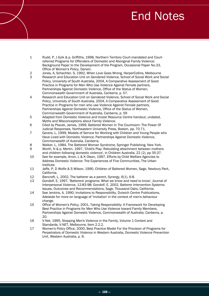## End Notes

- 1 Rudd, P, J Gzik & p. Griffiths, 1998, Northern Territory Court-mandated and Courtreferred Programs for Offenders of Domestic and Aboriginal Family Violence: Background Paper to the Development of the Program, Occasional Paper No.33, Office of Women's Policy, Darwin.
- 2 Jones, A, Schechter, S, 1992, When Love Goes Wrong, HarperCollins, Melbourne
- 3 Research and Education Unit on Gendered Violence, School of Social Work and Social Policy, University of South Australia, 2004, A Comparative Assessment of Good Practice in Programs for Men Who Use Violence Against Female partners, Partnerships Against Domestic Violence, Office of the Status of Women, Commonwealth Government of Australia, Canberra, p. 57.
- 4 Research and Education Unit on Gendered Violence, School of Social Work and Social Policy, University of South Australia, 2004, A Comparative Assessment of Good Practice in Programs for men who use Violence Against Female partners, Partnerships Against Domestic Violence, Office of the Status of Women, Commonwealth Government of Australia, Canberra, p. 59
- 5 Adapted from Domestic Violence and Incest Resource Centre handout, undated, Myths and Misconceptions about Family Violence.
- 6 Cited by Ptacek, James, 1999, Battered Women In The Courtroom: The Power Of Judicial Responses, Northeastern University Press, Boston, pp. 70-71.
- 7 Gevers, L, 1999, Models of Service for Working with Children and Young People who Have Lived with Domestic Violence, Partnerships Against Domestic Violence, Commonwealth of Australia, Canberra.
- 8 Walker, L, 1984, The Battered Woman Syndrome, Springer Publishing, New York.
- 9 Worth, N & p. Mertin, 1997, 'Child's Play: Rebuilding attachment between mothers and children following domestic violence', in Children Australia, 22 (2), pp 35-37.
- 10 See for example, Arron, L & K Olson, 1997, Efforts by Child Welfare Agencies to Address Domestic Violence: The Experiences of Five Communities, The Urban Institute.
- 11 Jaffe, P, D Wolfe & S Wilson, 1990, Children of Battered Women, Sage, Newbury Park, California.
- 12 Bancroft, L, 2002, The batterer as a parent, Synergy, 6(1), 6-8.
- 13 Gondolf, E, 1997, 'Batterers' programs: What we know and need to know', Journal of Interpersonal Violence, 12:83-98; Gondolf, E, 2002, Batterer Intervention Systems: Issues, Outcomes and Recommendations, Sage, Thousand Oaks, California.
- 14 See Jenkins, A, 1990, Invitations to Responsibility, Dulwich Centre Publications, Adelaide for more on language of 'invitation' in the context of men's behaviour change.
- 15 Office of Women's Policy, 2001, Taking Responsibility: A Framework for Developing Best Practice in Programs for Men Who Use Violence toward Family Members, Partnerships Against Domestic Violence, Commonwealth of Australia, Canberra, p. 20.
- 16 V-Net, 1995, Stopping Men's Violence in the Family, Volume 1 Context and Standards, V-NET, Melbourne, Item 2.2.2.
- 17 Women's Policy Office, 2000, Best Practice Model For the Provision of Programs for Perpetrators of Domestic Violence in Western Australia, Domestic Violence Prevention Unit, Western Australia, p. 9.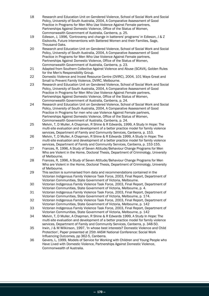- 18 Research and Education Unit on Gendered Violence, School of Social Work and Social Policy, University of South Australia, 2004, A Comparative Assessment of Good Practice in Programs for Men Who Use Violence Against Female partners, Partnerships Against Domestic Violence, Office of the Status of Women, Commonwealth Government of Australia, Canberra, p. 25.
- 19 Edleson, J, 1996, 'Controversy and change in batterers' programs' in Edleson, J & Z Eisikovits, Future Interventions with Battered Women and their Families, Sage, Thousand Oaks.
- 20 Research and Education Unit on Gendered Violence, School of Social Work and Social Policy, University of South Australia, 2004, A Comparative Assessment of Good Practice in Programs for Men Who Use Violence Against Female partners, Partnerships Against Domestic Violence, Office of the Status of Women, Commonwealth Government of Australia, Canberra, p. 23.
- 21 Adapted from Southern Collective Against Violence and Abuse (SCAVA), Golden Rules for the Men's Responsibility Group.
- 22 Domestic Violence and Incest Resource Centre (DVIRC), 2004, 101 Ways Great and Small to Prevent Family Violence, DVIRC, Melbourne.
- 23 Research and Education Unit on Gendered Violence, School of Social Work and Social Policy, University of South Australia, 2004, A Comparative Assessment of Good Practice in Programs for Men Who Use Violence Against Female partners, Partnerships Against Domestic Violence, Office of the Status of Women, Commonwealth Government of Australia, Canberra, p. 24.
- 24 Research and Education Unit on Gendered Violence, School of Social Work and Social Policy, University of South Australia, 2004, A Comparative Assessment of Good Practice in Programs for men who use Violence Against Female partners, Partnerships Against Domestic Violence, Office of the Status of Women, Commonwealth Government of Australia, Canberra, p. 24.
- 25 Melvin, T, D Muller, A Chapman, R Shine & R Edwards, 1999, A Study In Hope: The multi-site evaluation and development of a better practice model for family violence services, Department of Family and Community Services, Canberra, p. 153.
- 26 Melvin, T, D Muller, A Chapman, R Shine & R Edwards 1999, A Study In Hope: The multi-site evaluation and development of a better practice model for family violence services, Department of Family and Community Services, Canberra, p. 153-155.
- 27 Frances, R, 1996, A Study of Seven Attitude/Behaviour Change Programs for Men Who are Violent in the Home, Doctoral Thesis, Department of Criminology, University of Melbourne.
- 28 Frances, R, 1996, A Study of Seven Attitude/Behaviour Change Programs for Men Who are Violent in the Home, Doctoral Thesis, Department of Criminology, University of Melbourne.
- 29 This section is summarised from data and recommendations contained in the Victorian Indigenous Family Violence Task Force, 2003, Final Report, Department of Victorian Communities, State Government of Victoria, Melbourne.
- 30 Victorian Indigenous Family Violence Task Force, 2003, Final Report, Department of Victorian Communities, State Government of Victoria, Melbourne, p. 4.
- 31 Victorian Indigenous Family Violence Task Force, 2003, Final Report, Department of Victorian Communities, State Government of Victoria, Melbourne, p. 174.
- 32 Victorian Indigenous Family Violence Task Force, 2003, Final Report, Department of Victorian Communities, State Government of Victoria, Melbourne, p. 142
- 33 Victorian Indigenous Family Violence Task Force, 2003, Final Report, Department of Victorian Communities, State Government of Victoria, Melbourne, p. 142
- 34 Melvin, T, D Muller, A Chapman, R Shine & R Edwards 1999, A Study In Hope: The multi-site evaluation and development of a better practice model for family violence services, Department of Family and Community Services, Canberra, p. 348-50.
- 35 Irwin, J & M Wilkinson, 1997, 'In whose best interests? Domestic Violence and Child Protection', Paper presented at 25th AASW National Conference: Social Work Influencing Outcomes, pp 362-5, Canberra.
- 36 Gevers, L, 1999, Models of Service for Working with Children and Young People who Have Lived with Domestic Violence, Partnerships Against Domestic Violence, Commonwealth of Australia.